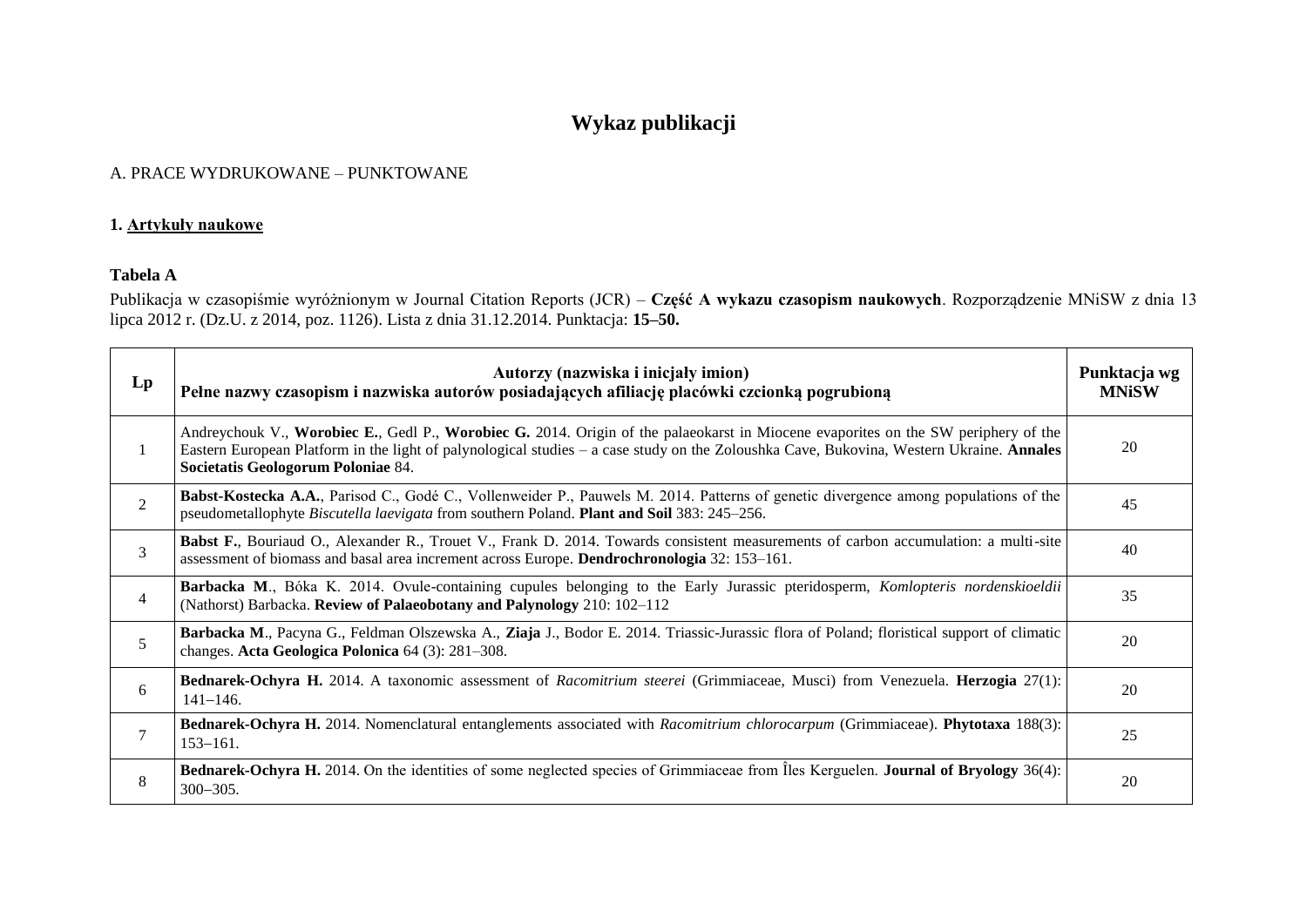# **Wykaz publikacji**

#### A. PRACE WYDRUKOWANE – PUNKTOWANE

#### **1. Artykuły naukowe**

### **Tabela A**

Publikacja w czasopiśmie wyróżnionym w Journal Citation Reports (JCR) – **Część A wykazu czasopism naukowych**. Rozporządzenie MNiSW z dnia 13 lipca 2012 r. (Dz.U. z 2014, poz. 1126). Lista z dnia 31.12.2014. Punktacja: **15–50.**

| $\mathbf{L}\mathbf{p}$ | Autorzy (nazwiska i inicjały imion)<br>Pełne nazwy czasopism i nazwiska autorów posiadających afiliację placówki czcionką pogrubioną                                                                                                                                                                                 |    |
|------------------------|----------------------------------------------------------------------------------------------------------------------------------------------------------------------------------------------------------------------------------------------------------------------------------------------------------------------|----|
| 1                      | Andreychouk V., Worobiec E., Gedl P., Worobiec G. 2014. Origin of the palaeokarst in Miocene evaporites on the SW periphery of the<br>Eastern European Platform in the light of palynological studies – a case study on the Zoloushka Cave, Bukovina, Western Ukraine. Annales<br>Societatis Geologorum Poloniae 84. |    |
| $\overline{2}$         | <b>Babst-Kostecka A.A.</b> , Parisod C., Godé C., Vollenweider P., Pauwels M. 2014. Patterns of genetic divergence among populations of the<br>pseudometallophyte Biscutella laevigata from southern Poland. Plant and Soil 383: 245–256.                                                                            |    |
| 3                      | Babst F., Bouriaud O., Alexander R., Trouet V., Frank D. 2014. Towards consistent measurements of carbon accumulation: a multi-site<br>assessment of biomass and basal area increment across Europe. Dendrochronologia 32: 153–161.                                                                                  |    |
| $\overline{4}$         | Barbacka M., Bóka K. 2014. Ovule-containing cupules belonging to the Early Jurassic pteridosperm, Komlopteris nordenskioeldii<br>(Nathorst) Barbacka. Review of Palaeobotany and Palynology 210: 102-112                                                                                                             |    |
| 5                      | Barbacka M., Pacyna G., Feldman Olszewska A., Ziaja J., Bodor E. 2014. Triassic-Jurassic flora of Poland; floristical support of climatic<br>changes. Acta Geologica Polonica 64 (3): 281-308.                                                                                                                       |    |
| 6                      | Bednarek-Ochyra H. 2014. A taxonomic assessment of Racomitrium steerei (Grimmiaceae, Musci) from Venezuela. Herzogia 27(1):<br>$141 - 146.$                                                                                                                                                                          |    |
| 7                      | Bednarek-Ochyra H. 2014. Nomenclatural entanglements associated with Racomitrium chlorocarpum (Grimmiaceae). Phytotaxa 188(3):<br>$153 - 161.$                                                                                                                                                                       |    |
| 8                      | <b>Bednarek-Ochyra H.</b> 2014. On the identities of some neglected species of Grimmiaceae from Iles Kerguelen. Journal of Bryology 36(4):<br>$300 - 305.$                                                                                                                                                           | 20 |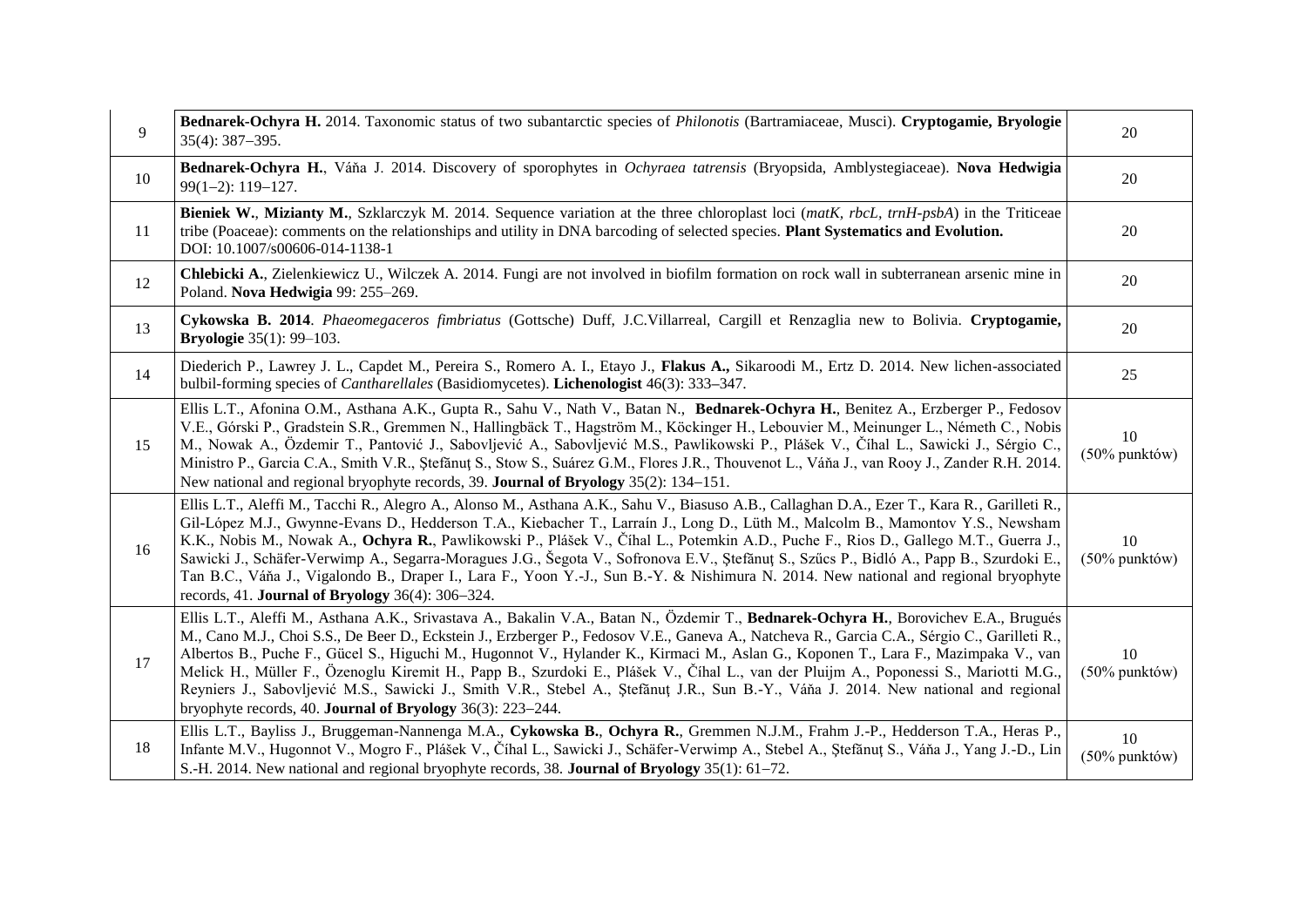| 9  | Bednarek-Ochyra H. 2014. Taxonomic status of two subantarctic species of <i>Philonotis</i> (Bartramiaceae, Musci). Cryptogamie, Bryologie<br>$35(4): 387 - 395.$                                                                                                                                                                                                                                                                                                                                                                                                                                                                                                                                                                                                          |                     |
|----|---------------------------------------------------------------------------------------------------------------------------------------------------------------------------------------------------------------------------------------------------------------------------------------------------------------------------------------------------------------------------------------------------------------------------------------------------------------------------------------------------------------------------------------------------------------------------------------------------------------------------------------------------------------------------------------------------------------------------------------------------------------------------|---------------------|
| 10 | Bednarek-Ochyra H., Váňa J. 2014. Discovery of sporophytes in Ochyraea tatrensis (Bryopsida, Amblystegiaceae). Nova Hedwigia<br>$99(1-2): 119-127.$                                                                                                                                                                                                                                                                                                                                                                                                                                                                                                                                                                                                                       |                     |
| 11 | Bieniek W., Mizianty M., Szklarczyk M. 2014. Sequence variation at the three chloroplast loci (matK, rbcL, trnH-psbA) in the Triticeae<br>tribe (Poaceae): comments on the relationships and utility in DNA barcoding of selected species. Plant Systematics and Evolution.<br>DOI: 10.1007/s00606-014-1138-1                                                                                                                                                                                                                                                                                                                                                                                                                                                             |                     |
| 12 | Chlebicki A., Zielenkiewicz U., Wilczek A. 2014. Fungi are not involved in biofilm formation on rock wall in subterranean arsenic mine in<br>Poland. Nova Hedwigia 99: 255-269.                                                                                                                                                                                                                                                                                                                                                                                                                                                                                                                                                                                           | 20                  |
| 13 | Cykowska B. 2014. Phaeomegaceros fimbriatus (Gottsche) Duff, J.C.Villarreal, Cargill et Renzaglia new to Bolivia. Cryptogamie,<br><b>Bryologie</b> 35(1): 99-103.                                                                                                                                                                                                                                                                                                                                                                                                                                                                                                                                                                                                         |                     |
| 14 | Diederich P., Lawrey J. L., Capdet M., Pereira S., Romero A. I., Etayo J., Flakus A., Sikaroodi M., Ertz D. 2014. New lichen-associated<br>bulbil-forming species of <i>Cantharellales</i> (Basidiomycetes). Lichenologist 46(3): 333–347.                                                                                                                                                                                                                                                                                                                                                                                                                                                                                                                                |                     |
| 15 | Ellis L.T., Afonina O.M., Asthana A.K., Gupta R., Sahu V., Nath V., Batan N., Bednarek-Ochyra H., Benitez A., Erzberger P., Fedosov<br>V.E., Górski P., Gradstein S.R., Gremmen N., Hallingbäck T., Hagström M., Köckinger H., Lebouvier M., Meinunger L., Németh C., Nobis<br>M., Nowak A., Özdemir T., Pantović J., Sabovljević A., Sabovljević M.S., Pawlikowski P., Plášek V., Číhal L., Sawicki J., Sérgio C.,<br>Ministro P., Garcia C.A., Smith V.R., Ștefănuț S., Stow S., Suárez G.M., Flores J.R., Thouvenot L., Váňa J., van Rooy J., Zander R.H. 2014.<br>New national and regional bryophyte records, 39. Journal of Bryology 35(2): 134–151.                                                                                                                |                     |
| 16 | Ellis L.T., Aleffi M., Tacchi R., Alegro A., Alonso M., Asthana A.K., Sahu V., Biasuso A.B., Callaghan D.A., Ezer T., Kara R., Garilleti R.,<br>Gil-López M.J., Gwynne-Evans D., Hedderson T.A., Kiebacher T., Larraín J., Long D., Lüth M., Malcolm B., Mamontov Y.S., Newsham<br>K.K., Nobis M., Nowak A., Ochyra R., Pawlikowski P., Plášek V., Číhal L., Potemkin A.D., Puche F., Rios D., Gallego M.T., Guerra J.,<br>Sawicki J., Schäfer-Verwimp A., Segarra-Moragues J.G., Šegota V., Sofronova E.V., Ştefănut S., Szücs P., Bidló A., Papp B., Szurdoki E.,<br>Tan B.C., Váňa J., Vigalondo B., Draper I., Lara F., Yoon Y.-J., Sun B.-Y. & Nishimura N. 2014. New national and regional bryophyte<br>records, 41. Journal of Bryology $36(4)$ : 306-324.         |                     |
| 17 | Ellis L.T., Aleffi M., Asthana A.K., Srivastava A., Bakalin V.A., Batan N., Özdemir T., Bednarek-Ochyra H., Borovichev E.A., Brugués<br>M., Cano M.J., Choi S.S., De Beer D., Eckstein J., Erzberger P., Fedosov V.E., Ganeva A., Natcheva R., Garcia C.A., Sérgio C., Garilleti R.,<br>Albertos B., Puche F., Gücel S., Higuchi M., Hugonnot V., Hylander K., Kirmaci M., Aslan G., Koponen T., Lara F., Mazimpaka V., van<br>Melick H., Müller F., Özenoglu Kiremit H., Papp B., Szurdoki E., Plášek V., Číhal L., van der Pluijm A., Poponessi S., Mariotti M.G.,<br>Reyniers J., Sabovljević M.S., Sawicki J., Smith V.R., Stebel A., Ştefănut J.R., Sun B.-Y., Váňa J. 2014. New national and regional<br>bryophyte records, 40. Journal of Bryology 36(3): 223-244. |                     |
| 18 | Ellis L.T., Bayliss J., Bruggeman-Nannenga M.A., Cykowska B., Ochyra R., Gremmen N.J.M., Frahm J.-P., Hedderson T.A., Heras P.,<br>Infante M.V., Hugonnot V., Mogro F., Plášek V., Číhal L., Sawicki J., Schäfer-Verwimp A., Stebel A., Ștefănuț S., Váňa J., Yang J.-D., Lin<br>S.-H. 2014. New national and regional bryophyte records, 38. Journal of Bryology 35(1): 61–72.                                                                                                                                                                                                                                                                                                                                                                                           | 10<br>(50% punktów) |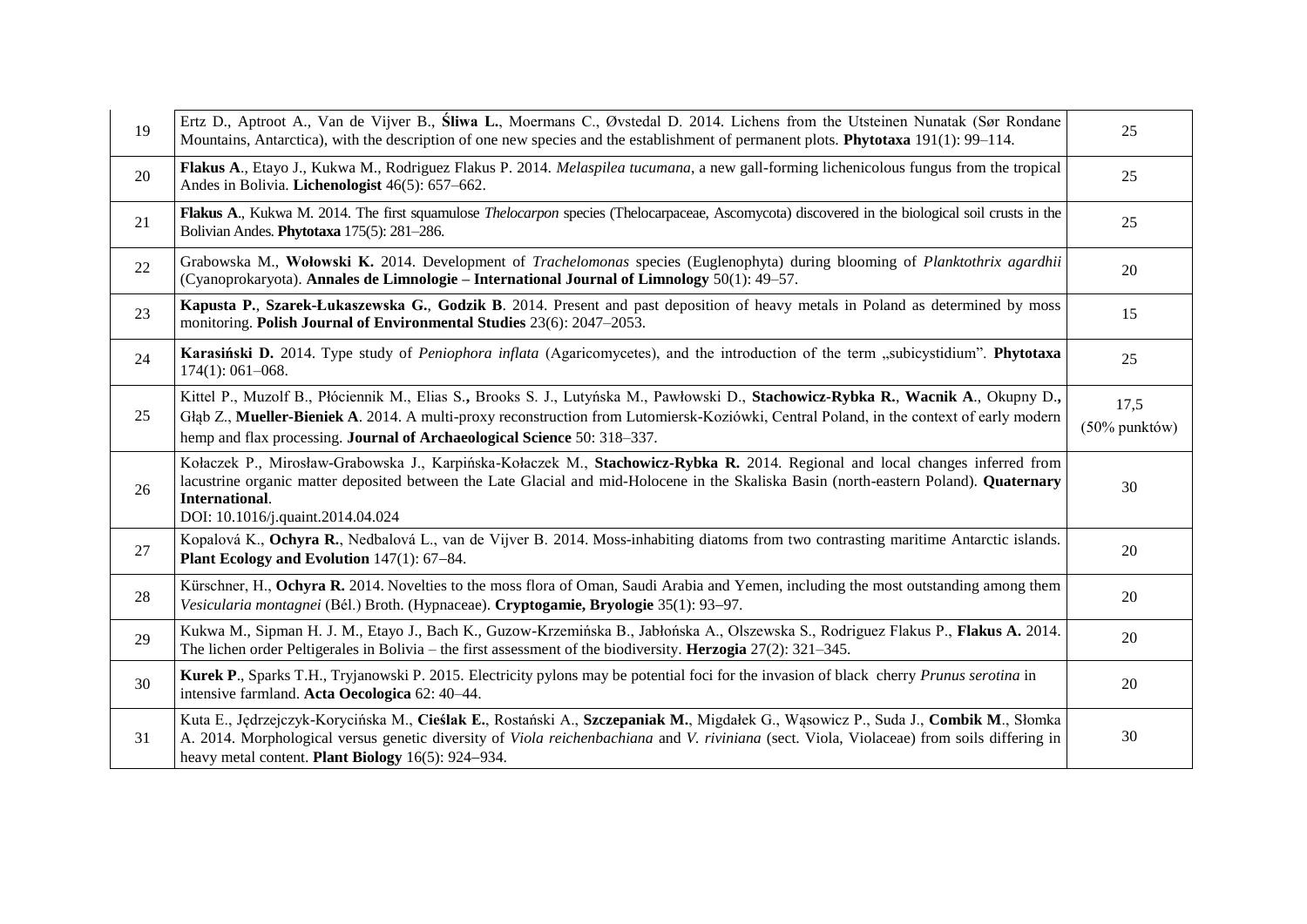| 19 | Ertz D., Aptroot A., Van de Vijver B., Sliwa L., Moermans C., Øvstedal D. 2014. Lichens from the Utsteinen Nunatak (Sør Rondane<br>Mountains, Antarctica), with the description of one new species and the establishment of permanent plots. Phytotaxa 191(1): 99-114.                                                                                    |    |
|----|-----------------------------------------------------------------------------------------------------------------------------------------------------------------------------------------------------------------------------------------------------------------------------------------------------------------------------------------------------------|----|
| 20 | Flakus A., Etayo J., Kukwa M., Rodriguez Flakus P. 2014. Melaspilea tucumana, a new gall-forming lichenicolous fungus from the tropical<br>Andes in Bolivia. Lichenologist 46(5): 657-662.                                                                                                                                                                |    |
| 21 | Flakus A., Kukwa M. 2014. The first squamulose <i>Thelocarpon</i> species (Thelocarpaceae, Ascomycota) discovered in the biological soil crusts in the<br>Bolivian Andes. Phytotaxa 175(5): 281-286.                                                                                                                                                      | 25 |
| 22 | Grabowska M., Wołowski K. 2014. Development of Trachelomonas species (Euglenophyta) during blooming of Planktothrix agardhii<br>(Cyanoprokaryota). Annales de Limnologie – International Journal of Limnology 50(1): 49–57.                                                                                                                               | 20 |
| 23 | Kapusta P., Szarek-Łukaszewska G., Godzik B. 2014. Present and past deposition of heavy metals in Poland as determined by moss<br>monitoring. Polish Journal of Environmental Studies 23(6): 2047-2053.                                                                                                                                                   | 15 |
| 24 | Karasiński D. 2014. Type study of <i>Peniophora inflata</i> (Agaricomycetes), and the introduction of the term "subicystidium". Phytotaxa<br>$174(1): 061 - 068.$                                                                                                                                                                                         |    |
| 25 | Kittel P., Muzolf B., Płóciennik M., Elias S., Brooks S. J., Lutyńska M., Pawłowski D., Stachowicz-Rybka R., Wacnik A., Okupny D.,<br>Głąb Z., Mueller-Bieniek A. 2014. A multi-proxy reconstruction from Lutomiersk-Koziówki, Central Poland, in the context of early modern<br>hemp and flax processing. Journal of Archaeological Science 50: 318-337. |    |
| 26 | Kołaczek P., Mirosław-Grabowska J., Karpińska-Kołaczek M., Stachowicz-Rybka R. 2014. Regional and local changes inferred from<br>lacustrine organic matter deposited between the Late Glacial and mid-Holocene in the Skaliska Basin (north-eastern Poland). Quaternary<br>International.<br>DOI: 10.1016/j.quaint.2014.04.024                            |    |
| 27 | Kopalová K., Ochyra R., Nedbalová L., van de Vijver B. 2014. Moss-inhabiting diatoms from two contrasting maritime Antarctic islands.<br>Plant Ecology and Evolution 147(1): 67-84.                                                                                                                                                                       |    |
| 28 | Kürschner, H., Ochyra R. 2014. Novelties to the moss flora of Oman, Saudi Arabia and Yemen, including the most outstanding among them<br>Vesicularia montagnei (Bél.) Broth. (Hypnaceae). Cryptogamie, Bryologie 35(1): 93–97.                                                                                                                            | 20 |
| 29 | Kukwa M., Sipman H. J. M., Etayo J., Bach K., Guzow-Krzemińska B., Jabłońska A., Olszewska S., Rodriguez Flakus P., Flakus A. 2014.<br>The lichen order Peltigerales in Bolivia – the first assessment of the biodiversity. Herzogia 27(2): 321–345.                                                                                                      | 20 |
| 30 | Kurek P., Sparks T.H., Tryjanowski P. 2015. Electricity pylons may be potential foci for the invasion of black cherry Prunus serotina in<br>intensive farmland. Acta Oecologica 62: 40-44.                                                                                                                                                                |    |
| 31 | Kuta E., Jędrzejczyk-Korycińska M., Cieślak E., Rostański A., Szczepaniak M., Migdałek G., Wąsowicz P., Suda J., Combik M., Słomka<br>A. 2014. Morphological versus genetic diversity of Viola reichenbachiana and V. riviniana (sect. Viola, Violaceae) from soils differing in<br>heavy metal content. Plant Biology 16(5): 924–934.                    | 30 |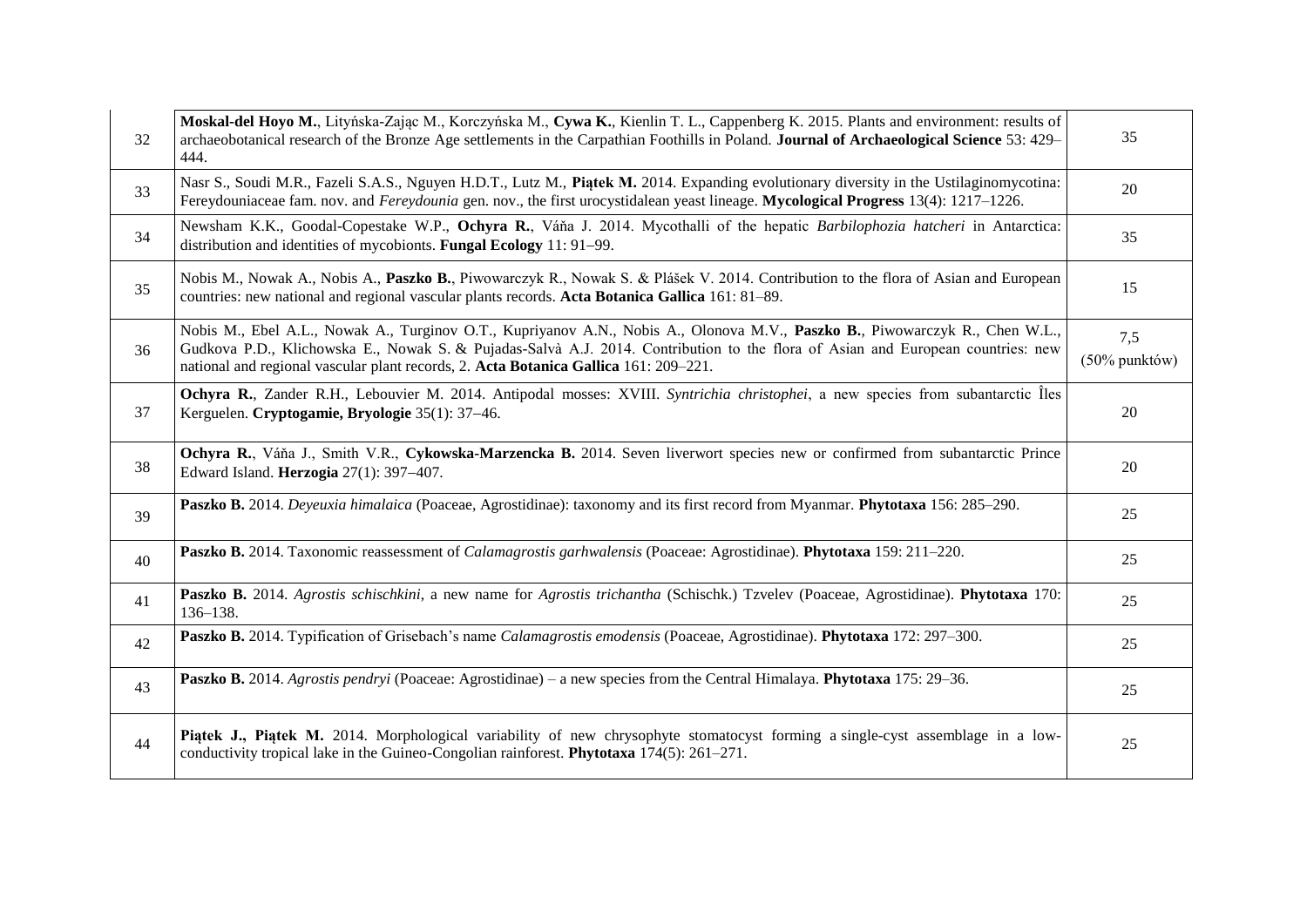| 32 | Moskal-del Hoyo M., Lityńska-Zając M., Korczyńska M., Cywa K., Kienlin T. L., Cappenberg K. 2015. Plants and environment: results of<br>archaeobotanical research of the Bronze Age settlements in the Carpathian Foothills in Poland. Journal of Archaeological Science 53: 429–<br>444.                                                               |    |
|----|---------------------------------------------------------------------------------------------------------------------------------------------------------------------------------------------------------------------------------------------------------------------------------------------------------------------------------------------------------|----|
| 33 | Nasr S., Soudi M.R., Fazeli S.A.S., Nguyen H.D.T., Lutz M., Piatek M. 2014. Expanding evolutionary diversity in the Ustilaginomycotina:<br>Fereydouniaceae fam. nov. and <i>Fereydounia</i> gen. nov., the first urocystidalean yeast lineage. Mycological Progress 13(4): 1217–1226.                                                                   |    |
| 34 | Newsham K.K., Goodal-Copestake W.P., Ochyra R., Váňa J. 2014. Mycothalli of the hepatic Barbilophozia hatcheri in Antarctica:<br>distribution and identities of mycobionts. Fungal Ecology 11: 91–99.                                                                                                                                                   | 35 |
| 35 | Nobis M., Nowak A., Nobis A., Paszko B., Piwowarczyk R., Nowak S. & Plášek V. 2014. Contribution to the flora of Asian and European<br>countries: new national and regional vascular plants records. Acta Botanica Gallica 161: 81–89.                                                                                                                  | 15 |
| 36 | Nobis M., Ebel A.L., Nowak A., Turginov O.T., Kupriyanov A.N., Nobis A., Olonova M.V., Paszko B., Piwowarczyk R., Chen W.L.,<br>Gudkova P.D., Klichowska E., Nowak S. & Pujadas-Salvà A.J. 2014. Contribution to the flora of Asian and European countries: new<br>national and regional vascular plant records, 2. Acta Botanica Gallica 161: 209-221. |    |
| 37 | Ochyra R., Zander R.H., Lebouvier M. 2014. Antipodal mosses: XVIII. Syntrichia christophei, a new species from subantarctic lles<br>Kerguelen. Cryptogamie, Bryologie 35(1): 37-46.                                                                                                                                                                     |    |
| 38 | Ochyra R., Váňa J., Smith V.R., Cykowska-Marzencka B. 2014. Seven liverwort species new or confirmed from subantarctic Prince<br>Edward Island. Herzogia 27(1): 397-407.                                                                                                                                                                                |    |
| 39 | Paszko B. 2014. Deyeuxia himalaica (Poaceae, Agrostidinae): taxonomy and its first record from Myanmar. Phytotaxa 156: 285-290.                                                                                                                                                                                                                         | 25 |
| 40 | Paszko B. 2014. Taxonomic reassessment of Calamagrostis garhwalensis (Poaceae: Agrostidinae). Phytotaxa 159: 211-220.                                                                                                                                                                                                                                   | 25 |
| 41 | Paszko B. 2014. Agrostis schischkini, a new name for Agrostis trichantha (Schischk.) Tzvelev (Poaceae, Agrostidinae). Phytotaxa 170:<br>$136 - 138.$                                                                                                                                                                                                    |    |
| 42 | Paszko B. 2014. Typification of Grisebach's name Calamagrostis emodensis (Poaceae, Agrostidinae). Phytotaxa 172: 297-300.                                                                                                                                                                                                                               |    |
| 43 | Paszko B. 2014. Agrostis pendryi (Poaceae: Agrostidinae) – a new species from the Central Himalaya. Phytotaxa 175: 29–36.                                                                                                                                                                                                                               |    |
| 44 | Piatek J., Piatek M. 2014. Morphological variability of new chrysophyte stomatocyst forming a single-cyst assemblage in a low-<br>conductivity tropical lake in the Guineo-Congolian rainforest. Phytotaxa 174(5): 261-271.                                                                                                                             | 25 |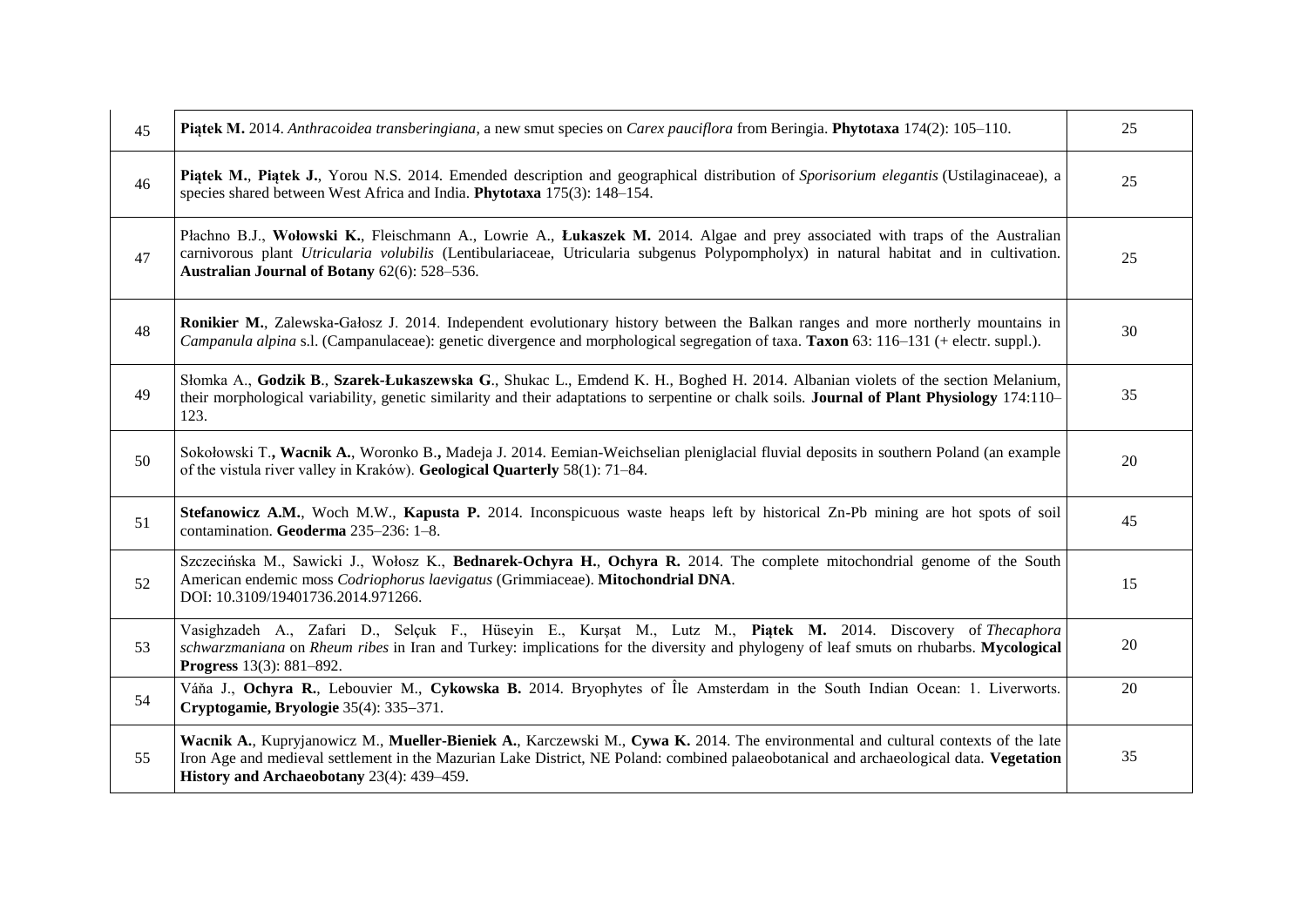| 45 | Piatek M. 2014. Anthracoidea transberingiana, a new smut species on Carex pauciflora from Beringia. Phytotaxa 174(2): 105–110.                                                                                                                                                                                            |    |
|----|---------------------------------------------------------------------------------------------------------------------------------------------------------------------------------------------------------------------------------------------------------------------------------------------------------------------------|----|
| 46 | Piatek M., Piatek J., Yorou N.S. 2014. Emended description and geographical distribution of Sporisorium elegantis (Ustilaginaceae), a<br>species shared between West Africa and India. Phytotaxa 175(3): 148-154.                                                                                                         |    |
| 47 | Płachno B.J., Wołowski K., Fleischmann A., Lowrie A., Łukaszek M. 2014. Algae and prey associated with traps of the Australian<br>carnivorous plant Utricularia volubilis (Lentibulariaceae, Utricularia subgenus Polypompholyx) in natural habitat and in cultivation.<br>Australian Journal of Botany 62(6): 528-536.   |    |
| 48 | Ronikier M., Zalewska-Gałosz J. 2014. Independent evolutionary history between the Balkan ranges and more northerly mountains in<br>Campanula alpina s.l. (Campanulaceae): genetic divergence and morphological segregation of taxa. Taxon 63: 116–131 (+ electr. suppl.).                                                | 30 |
| 49 | Słomka A., Godzik B., Szarek-Łukaszewska G., Shukac L., Emdend K. H., Boghed H. 2014. Albanian violets of the section Melanium,<br>their morphological variability, genetic similarity and their adaptations to serpentine or chalk soils. Journal of Plant Physiology 174:110–<br>123.                                   |    |
| 50 | Sokołowski T., Wacnik A., Woronko B., Madeja J. 2014. Eemian-Weichselian pleniglacial fluvial deposits in southern Poland (an example<br>of the vistula river valley in Kraków). Geological Quarterly 58(1): 71-84.                                                                                                       |    |
| 51 | Stefanowicz A.M., Woch M.W., Kapusta P. 2014. Inconspicuous waste heaps left by historical Zn-Pb mining are hot spots of soil<br>contamination. Geoderma 235-236: 1-8.                                                                                                                                                    |    |
| 52 | Szczecińska M., Sawicki J., Wołosz K., Bednarek-Ochyra H., Ochyra R. 2014. The complete mitochondrial genome of the South<br>American endemic moss Codriophorus laevigatus (Grimmiaceae). Mitochondrial DNA.<br>DOI: 10.3109/19401736.2014.971266.                                                                        |    |
| 53 | Vasighzadeh A., Zafari D., Selçuk F., Hüseyin E., Kurşat M., Lutz M., Piątek M. 2014. Discovery of Thecaphora<br>schwarzmaniana on Rheum ribes in Iran and Turkey: implications for the diversity and phylogeny of leaf smuts on rhubarbs. Mycological<br><b>Progress</b> 13(3): 881-892.                                 |    |
| 54 | Váňa J., Ochyra R., Lebouvier M., Cykowska B. 2014. Bryophytes of Île Amsterdam in the South Indian Ocean: 1. Liverworts.<br>Cryptogamie, Bryologie 35(4): 335–371.                                                                                                                                                       |    |
| 55 | Wacnik A., Kupryjanowicz M., Mueller-Bieniek A., Karczewski M., Cywa K. 2014. The environmental and cultural contexts of the late<br>Iron Age and medieval settlement in the Mazurian Lake District, NE Poland: combined palaeobotanical and archaeological data. Vegetation<br>History and Archaeobotany 23(4): 439-459. | 35 |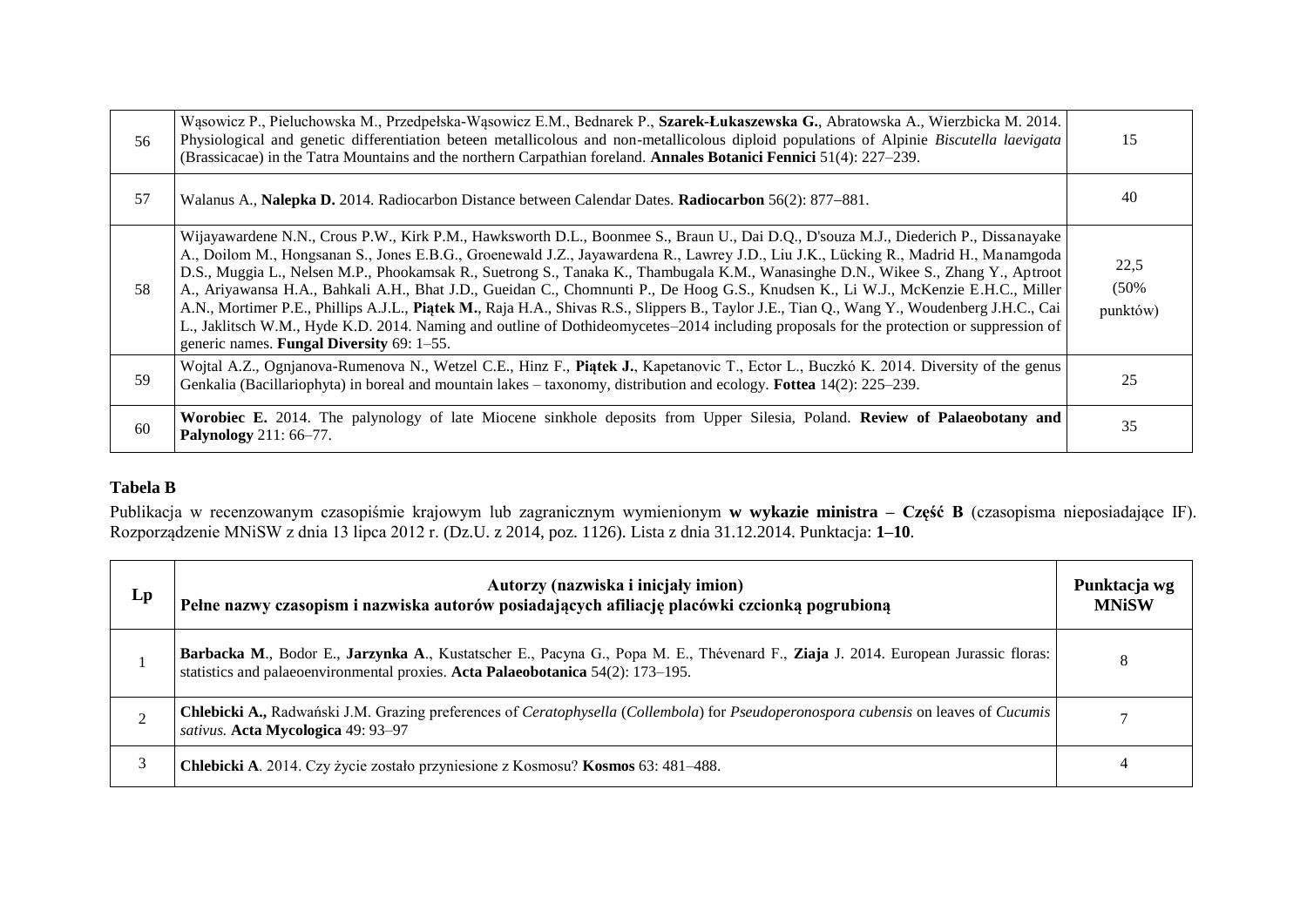| 56 | Wąsowicz P., Pieluchowska M., Przedpełska-Wąsowicz E.M., Bednarek P., Szarek-Łukaszewska G., Abratowska A., Wierzbicka M. 2014.<br>Physiological and genetic differentiation beteen metallicolous and non-metallicolous diploid populations of Alpinie Biscutella laevigata<br>(Brassicacae) in the Tatra Mountains and the northern Carpathian foreland. Annales Botanici Fennici 51(4): 227–239.                                                                                                                                                                                                                                                                                                                                                                                                                                                                                            |    |
|----|-----------------------------------------------------------------------------------------------------------------------------------------------------------------------------------------------------------------------------------------------------------------------------------------------------------------------------------------------------------------------------------------------------------------------------------------------------------------------------------------------------------------------------------------------------------------------------------------------------------------------------------------------------------------------------------------------------------------------------------------------------------------------------------------------------------------------------------------------------------------------------------------------|----|
| 57 | Walanus A., Nalepka D. 2014. Radiocarbon Distance between Calendar Dates. Radiocarbon 56(2): 877–881.                                                                                                                                                                                                                                                                                                                                                                                                                                                                                                                                                                                                                                                                                                                                                                                         |    |
| 58 | Wijayawardene N.N., Crous P.W., Kirk P.M., Hawksworth D.L., Boonmee S., Braun U., Dai D.Q., D'souza M.J., Diederich P., Dissanayake<br>A., Doilom M., Hongsanan S., Jones E.B.G., Groenewald J.Z., Jayawardena R., Lawrey J.D., Liu J.K., Lücking R., Madrid H., Manamgoda<br>D.S., Muggia L., Nelsen M.P., Phookamsak R., Suetrong S., Tanaka K., Thambugala K.M., Wanasinghe D.N., Wikee S., Zhang Y., Aptroot<br>A., Ariyawansa H.A., Bahkali A.H., Bhat J.D., Gueidan C., Chomnunti P., De Hoog G.S., Knudsen K., Li W.J., McKenzie E.H.C., Miller<br>A.N., Mortimer P.E., Phillips A.J.L., Piatek M., Raja H.A., Shivas R.S., Slippers B., Taylor J.E., Tian Q., Wang Y., Woudenberg J.H.C., Cai<br>L., Jaklitsch W.M., Hyde K.D. 2014. Naming and outline of Dothideomycetes-2014 including proposals for the protection or suppression of<br>generic names. Fungal Diversity 69: 1-55. |    |
| 59 | Wojtal A.Z., Ognjanova-Rumenova N., Wetzel C.E., Hinz F., Piatek J., Kapetanovic T., Ector L., Buczkó K. 2014. Diversity of the genus<br>Genkalia (Bacillariophyta) in boreal and mountain lakes – taxonomy, distribution and ecology. Fottea 14(2): 225–239.                                                                                                                                                                                                                                                                                                                                                                                                                                                                                                                                                                                                                                 | 25 |
| 60 | Worobiec E. 2014. The palynology of late Miocene sinkhole deposits from Upper Silesia, Poland. Review of Palaeobotany and<br>Palynology 211: 66-77.                                                                                                                                                                                                                                                                                                                                                                                                                                                                                                                                                                                                                                                                                                                                           | 35 |

# **Tabela B**

Publikacja w recenzowanym czasopiśmie krajowym lub zagranicznym wymienionym **w wykazie ministra – Część B** (czasopisma nieposiadające IF). Rozporządzenie MNiSW z dnia 13 lipca 2012 r. (Dz.U. z 2014, poz. 1126). Lista z dnia 31.12.2014. Punktacja: **1–10**.

| $L_{p}$ | Autorzy (nazwiska i inicjały imion)<br>Pełne nazwy czasopism i nazwiska autorów posiadających afiliację placówki czcionką pogrubioną                                                                                 |  |
|---------|----------------------------------------------------------------------------------------------------------------------------------------------------------------------------------------------------------------------|--|
|         | Barbacka M., Bodor E., Jarzynka A., Kustatscher E., Pacyna G., Popa M. E., Thévenard F., Ziaja J. 2014. European Jurassic floras:<br>statistics and palaeoenvironmental proxies. Acta Palaeobotanica 54(2): 173–195. |  |
|         | Chlebicki A., Radwański J.M. Grazing preferences of Ceratophysella (Collembola) for Pseudoperonospora cubensis on leaves of Cucumis<br>sativus. Acta Mycologica 49: 93-97                                            |  |
|         | Chlebicki A. 2014. Czy życie zostało przyniesione z Kosmosu? Kosmos 63: 481–488.                                                                                                                                     |  |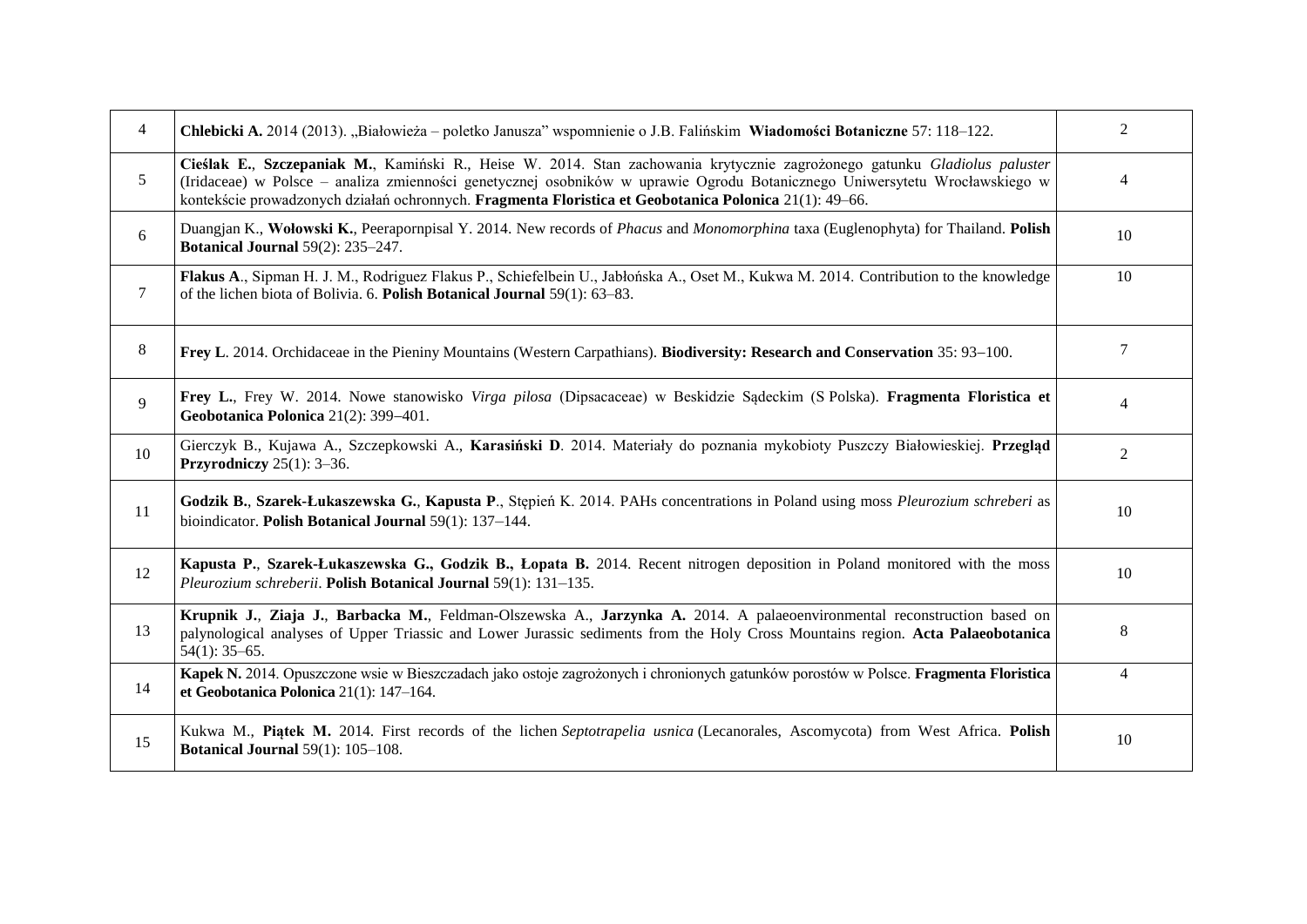| 4      | Chlebicki A. 2014 (2013). "Białowieża – poletko Janusza" wspomnienie o J.B. Falińskim Wiadomości Botaniczne 57: 118–122.                                                                                                                                                                                                                                          |                |
|--------|-------------------------------------------------------------------------------------------------------------------------------------------------------------------------------------------------------------------------------------------------------------------------------------------------------------------------------------------------------------------|----------------|
| 5      | Cieślak E., Szczepaniak M., Kamiński R., Heise W. 2014. Stan zachowania krytycznie zagrożonego gatunku Gladiolus paluster<br>(Iridaceae) w Polsce – analiza zmienności genetycznej osobników w uprawie Ogrodu Botanicznego Uniwersytetu Wrocławskiego w<br>kontekście prowadzonych działań ochronnych. Fragmenta Floristica et Geobotanica Polonica 21(1): 49-66. |                |
| 6      | Duangjan K., Wołowski K., Peerapornpisal Y. 2014. New records of Phacus and Monomorphina taxa (Euglenophyta) for Thailand. Polish<br><b>Botanical Journal 59(2): 235-247.</b>                                                                                                                                                                                     |                |
| $\tau$ | Flakus A., Sipman H. J. M., Rodriguez Flakus P., Schiefelbein U., Jabłońska A., Oset M., Kukwa M. 2014. Contribution to the knowledge<br>of the lichen biota of Bolivia. 6. Polish Botanical Journal 59(1): 63-83.                                                                                                                                                |                |
| 8      | Frey L. 2014. Orchidaceae in the Pieniny Mountains (Western Carpathians). Biodiversity: Research and Conservation 35: 93-100.                                                                                                                                                                                                                                     | 7              |
| 9      | Frey L., Frey W. 2014. Nowe stanowisko Virga pilosa (Dipsacaceae) w Beskidzie Sądeckim (S Polska). Fragmenta Floristica et<br>Geobotanica Polonica 21(2): 399-401.                                                                                                                                                                                                | 4              |
| 10     | Gierczyk B., Kujawa A., Szczepkowski A., Karasiński D. 2014. Materiały do poznania mykobioty Puszczy Białowieskiej. Przegląd<br>Przyrodniczy $25(1)$ : 3–36.                                                                                                                                                                                                      | $\overline{2}$ |
| 11     | Godzik B., Szarek-Łukaszewska G., Kapusta P., Stępień K. 2014. PAHs concentrations in Poland using moss Pleurozium schreberi as<br>bioindicator. Polish Botanical Journal 59(1): 137-144.                                                                                                                                                                         |                |
| 12     | Kapusta P., Szarek-Lukaszewska G., Godzik B., Lopata B. 2014. Recent nitrogen deposition in Poland monitored with the moss<br>Pleurozium schreberii. Polish Botanical Journal 59(1): 131-135.                                                                                                                                                                     | 10             |
| 13     | Krupnik J., Ziaja J., Barbacka M., Feldman-Olszewska A., Jarzynka A. 2014. A palaeoenvironmental reconstruction based on<br>palynological analyses of Upper Triassic and Lower Jurassic sediments from the Holy Cross Mountains region. Acta Palaeobotanica<br>$54(1)$ : 35-65.                                                                                   | 8              |
| 14     | Kapek N. 2014. Opuszczone wsie w Bieszczadach jako ostoje zagrożonych i chronionych gatunków porostów w Polsce. Fragmenta Floristica<br>et Geobotanica Polonica 21(1): 147-164.                                                                                                                                                                                   | $\overline{4}$ |
| 15     | Kukwa M., Piatek M. 2014. First records of the lichen Septotrapelia usnica (Lecanorales, Ascomycota) from West Africa. Polish<br>Botanical Journal 59(1): 105-108.                                                                                                                                                                                                | 10             |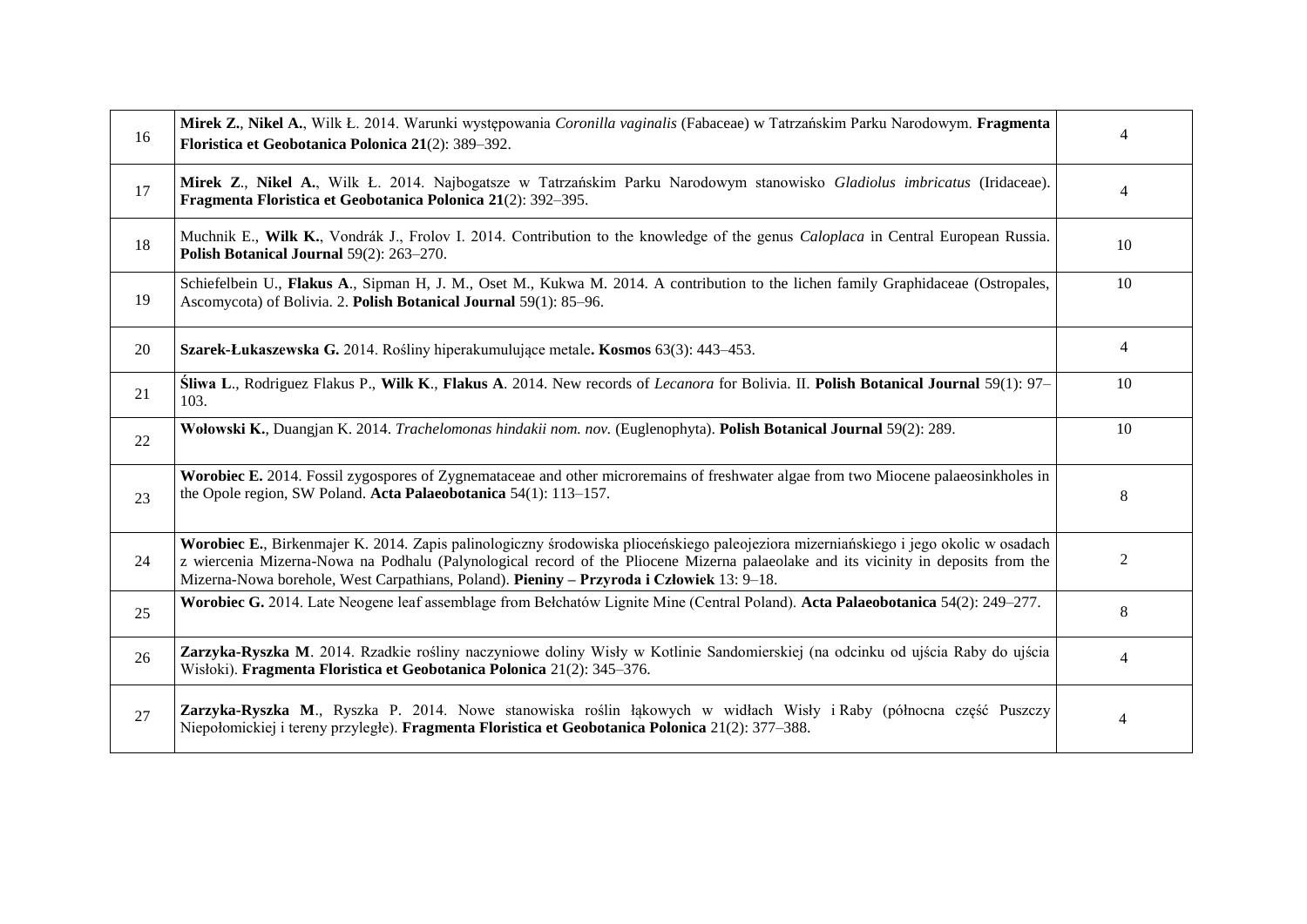| 16 | Mirek Z., Nikel A., Wilk Ł. 2014. Warunki występowania Coronilla vaginalis (Fabaceae) w Tatrzańskim Parku Narodowym. Fragmenta<br>Floristica et Geobotanica Polonica 21(2): 389-392.                                                                                                                                                                                    |                |
|----|-------------------------------------------------------------------------------------------------------------------------------------------------------------------------------------------------------------------------------------------------------------------------------------------------------------------------------------------------------------------------|----------------|
| 17 | Mirek Z., Nikel A., Wilk Ł. 2014. Najbogatsze w Tatrzańskim Parku Narodowym stanowisko Gladiolus imbricatus (Iridaceae).<br>Fragmenta Floristica et Geobotanica Polonica 21(2): 392-395.                                                                                                                                                                                |                |
| 18 | Muchnik E., Wilk K., Vondrák J., Frolov I. 2014. Contribution to the knowledge of the genus <i>Caloplaca</i> in Central European Russia.<br>Polish Botanical Journal 59(2): 263-270.                                                                                                                                                                                    |                |
| 19 | Schiefelbein U., Flakus A., Sipman H, J. M., Oset M., Kukwa M. 2014. A contribution to the lichen family Graphidaceae (Ostropales,<br>Ascomycota) of Bolivia. 2. Polish Botanical Journal 59(1): 85-96.                                                                                                                                                                 |                |
| 20 | Szarek-Łukaszewska G. 2014. Rośliny hiperakumulujące metale. Kosmos 63(3): 443–453.                                                                                                                                                                                                                                                                                     | $\overline{4}$ |
| 21 | Sliwa L., Rodriguez Flakus P., Wilk K., Flakus A. 2014. New records of Lecanora for Bolivia. II. Polish Botanical Journal 59(1): 97–<br>103.                                                                                                                                                                                                                            |                |
| 22 | Wołowski K., Duangjan K. 2014. Trachelomonas hindakii nom. nov. (Euglenophyta). Polish Botanical Journal 59(2): 289.                                                                                                                                                                                                                                                    |                |
| 23 | Worobiec E. 2014. Fossil zygospores of Zygnemataceae and other microremains of freshwater algae from two Miocene palaeosinkholes in<br>the Opole region, SW Poland. Acta Palaeobotanica 54(1): 113-157.                                                                                                                                                                 |                |
| 24 | Worobiec E., Birkenmajer K. 2014. Zapis palinologiczny środowiska plioceńskiego paleojeziora mizerniańskiego i jego okolic w osadach<br>z wiercenia Mizerna-Nowa na Podhalu (Palynological record of the Pliocene Mizerna palaeolake and its vicinity in deposits from the<br>Mizerna-Nowa borehole, West Carpathians, Poland). Pieniny - Przyroda i Człowiek 13: 9-18. |                |
| 25 | Worobiec G. 2014. Late Neogene leaf assemblage from Bełchatów Lignite Mine (Central Poland). Acta Palaeobotanica 54(2): 249–277.                                                                                                                                                                                                                                        |                |
| 26 | Zarzyka-Ryszka M. 2014. Rzadkie rośliny naczyniowe doliny Wisły w Kotlinie Sandomierskiej (na odcinku od ujścia Raby do ujścia<br>Wisłoki). Fragmenta Floristica et Geobotanica Polonica 21(2): 345-376.                                                                                                                                                                |                |
| 27 | Zarzyka-Ryszka M., Ryszka P. 2014. Nowe stanowiska roślin łąkowych w widłach Wisły i Raby (północna część Puszczy<br>Niepołomickiej i tereny przyległe). Fragmenta Floristica et Geobotanica Polonica 21(2): 377–388.                                                                                                                                                   | $\overline{4}$ |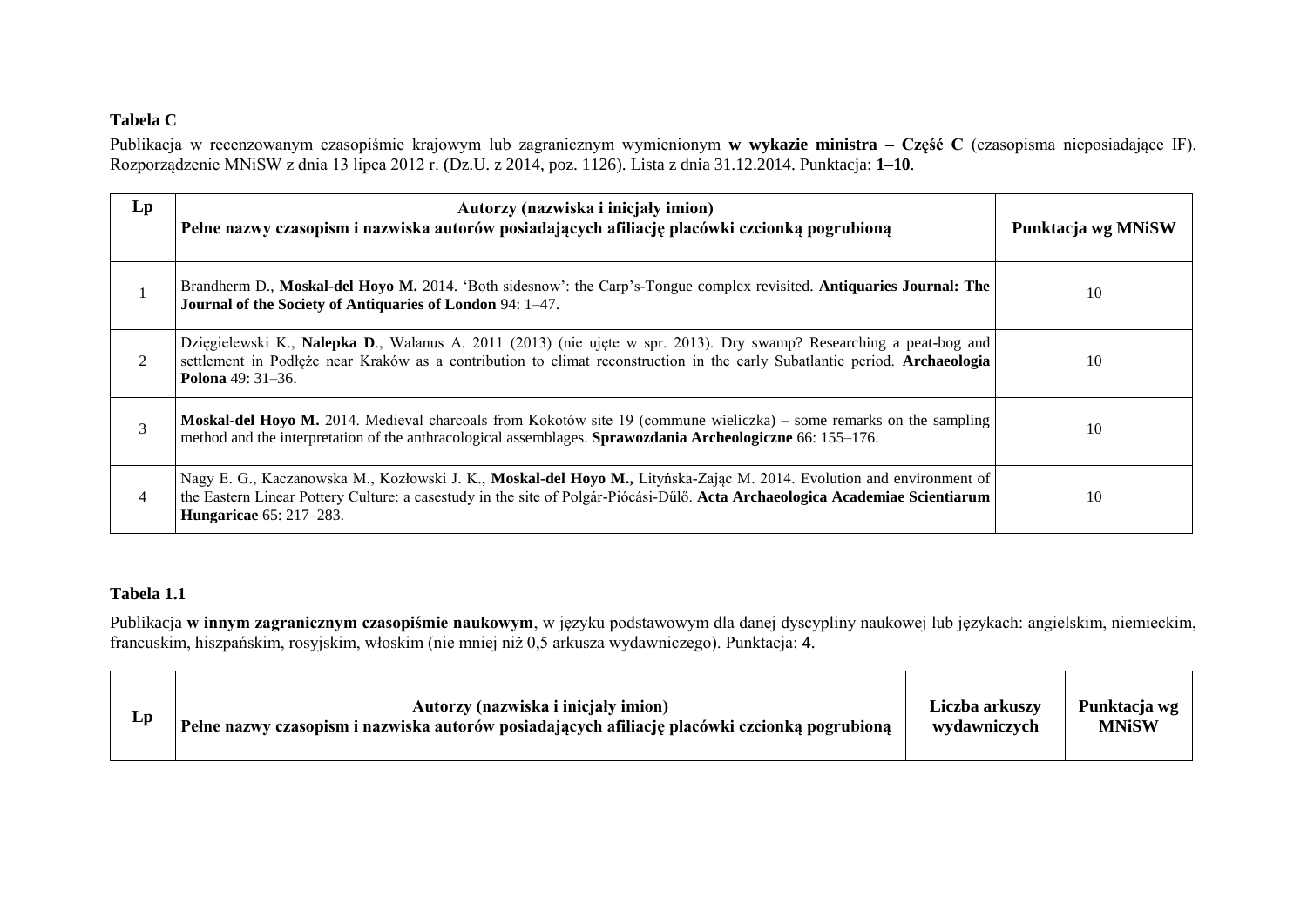# **Tabela C**

Publikacja w recenzowanym czasopiśmie krajowym lub zagranicznym wymienionym **w wykazie ministra – Część C** (czasopisma nieposiadające IF). Rozporządzenie MNiSW z dnia 13 lipca 2012 r. (Dz.U. z 2014, poz. 1126). Lista z dnia 31.12.2014. Punktacja: **1–10**.

| $\mathbf{L}\mathbf{p}$ | Autorzy (nazwiska i inicjały imion)<br>Pełne nazwy czasopism i nazwiska autorów posiadających afiliację placówki czcionką pogrubioną                                                                                                                                                    | Punktacja wg MNiSW |
|------------------------|-----------------------------------------------------------------------------------------------------------------------------------------------------------------------------------------------------------------------------------------------------------------------------------------|--------------------|
|                        | Brandherm D., Moskal-del Hoyo M. 2014. 'Both sidesnow': the Carp's-Tongue complex revisited. Antiquaries Journal: The<br>Journal of the Society of Antiquaries of London 94: 1-47.                                                                                                      | 10                 |
| 2                      | Dzięgielewski K., Nalepka D., Walanus A. 2011 (2013) (nie ujęte w spr. 2013). Dry swamp? Researching a peat-bog and<br>settlement in Podłęże near Kraków as a contribution to climat reconstruction in the early Subatlantic period. Archaeologia<br>Polona 49: 31-36.                  | 10                 |
| 3                      | Moskal-del Hoyo M. 2014. Medieval charcoals from Kokotów site 19 (commune wieliczka) – some remarks on the sampling<br>method and the interpretation of the anthracological assemblages. Sprawozdania Archeologiczne 66: 155–176.                                                       | 10                 |
| 4                      | Nagy E. G., Kaczanowska M., Kozłowski J. K., Moskal-del Hoyo M., Lityńska-Zając M. 2014. Evolution and environment of<br>the Eastern Linear Pottery Culture: a casestudy in the site of Polgár-Piócási-Dűlő. Acta Archaeologica Academiae Scientiarum<br><b>Hungaricae</b> 65: 217-283. | 10                 |

# **Tabela 1.1**

Publikacja **w innym zagranicznym czasopiśmie naukowym**, w języku podstawowym dla danej dyscypliny naukowej lub językach: angielskim, niemieckim, francuskim, hiszpańskim, rosyjskim, włoskim (nie mniej niż 0,5 arkusza wydawniczego). Punktacja: **4**.

| $\mathbf{L}\mathbf{p}$ | Autorzy (nazwiska i inicjały imion)<br>Pełne nazwy czasopism i nazwiska autorów posiadających afiliację placówki czcionką pogrubioną | Liczba arkuszy<br>wydawniczych | Punktacja wg<br><b>MNiSW</b> |
|------------------------|--------------------------------------------------------------------------------------------------------------------------------------|--------------------------------|------------------------------|
|                        |                                                                                                                                      |                                |                              |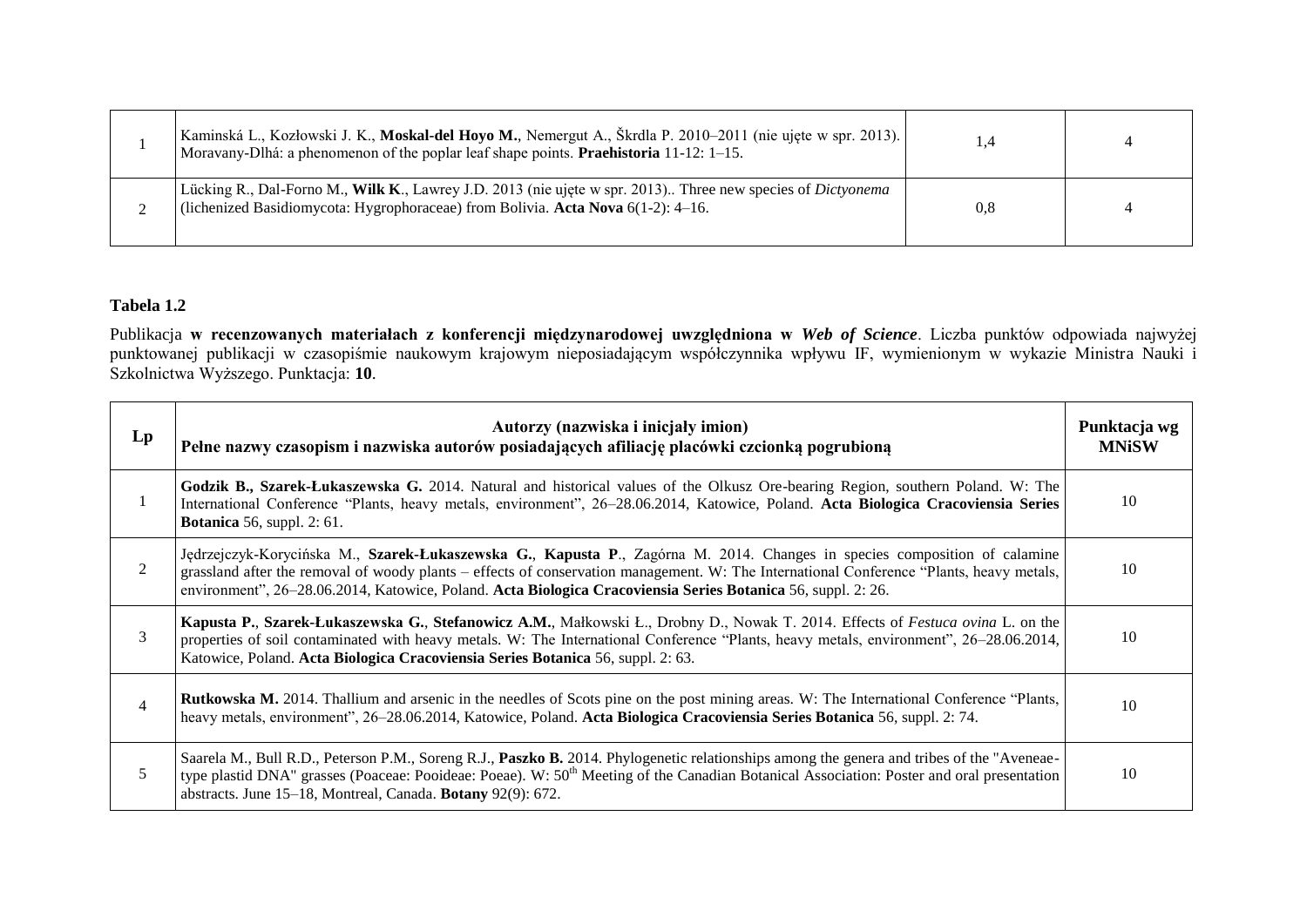| Kaminská L., Kozłowski J. K., Moskal-del Hoyo M., Nemergut A., Škrdla P. 2010–2011 (nie ujęte w spr. 2013).<br>Moravany-Dlhá: a phenomenon of the poplar leaf shape points. <b>Praehistoria</b> $11-12$ : $1-15$ . |     |  |
|--------------------------------------------------------------------------------------------------------------------------------------------------------------------------------------------------------------------|-----|--|
| Lücking R., Dal-Forno M., Wilk K., Lawrey J.D. 2013 (nie ujęte w spr. 2013). Three new species of Dictyonema<br>(lichenized Basidiomycota: Hygrophoraceae) from Bolivia. Acta Nova 6(1-2): 4-16.                   | 0.8 |  |

### **Tabela 1.2**

Publikacja **w recenzowanych materiałach z konferencji międzynarodowej uwzględniona w** *Web of Science*. Liczba punktów odpowiada najwyżej punktowanej publikacji w czasopiśmie naukowym krajowym nieposiadającym współczynnika wpływu IF, wymienionym w wykazie Ministra Nauki i Szkolnictwa Wyższego. Punktacja: **10**.

| $L_{p}$        | Autorzy (nazwiska i inicjały imion)<br>Pełne nazwy czasopism i nazwiska autorów posiadających afiliację placówki czcionką pogrubioną                                                                                                                                                                                                                                                  |    |
|----------------|---------------------------------------------------------------------------------------------------------------------------------------------------------------------------------------------------------------------------------------------------------------------------------------------------------------------------------------------------------------------------------------|----|
|                | Godzik B., Szarek-Łukaszewska G. 2014. Natural and historical values of the Olkusz Ore-bearing Region, southern Poland. W: The<br>International Conference "Plants, heavy metals, environment", 26–28.06.2014, Katowice, Poland. Acta Biologica Cracoviensia Series<br><b>Botanica</b> 56, suppl. 2: $61$ .                                                                           | 10 |
| 2              | Jędrzejczyk-Korycińska M., Szarek-Łukaszewska G., Kapusta P., Zagórna M. 2014. Changes in species composition of calamine<br>grassland after the removal of woody plants – effects of conservation management. W: The International Conference "Plants, heavy metals,<br>environment", 26–28.06.2014, Katowice, Poland. Acta Biologica Cracoviensia Series Botanica 56, suppl. 2: 26. | 10 |
| 3              | Kapusta P., Szarek-Łukaszewska G., Stefanowicz A.M., Małkowski Ł., Drobny D., Nowak T. 2014. Effects of Festuca ovina L. on the<br>properties of soil contaminated with heavy metals. W: The International Conference "Plants, heavy metals, environment", 26–28.06.2014,<br>Katowice, Poland. Acta Biologica Cracoviensia Series Botanica 56, suppl. 2: 63.                          | 10 |
| $\overline{4}$ | Rutkowska M. 2014. Thallium and arsenic in the needles of Scots pine on the post mining areas. W: The International Conference "Plants,<br>heavy metals, environment", 26–28.06.2014, Katowice, Poland. Acta Biologica Cracoviensia Series Botanica 56, suppl. 2: 74.                                                                                                                 | 10 |
| 5              | Saarela M., Bull R.D., Peterson P.M., Soreng R.J., Paszko B. 2014. Phylogenetic relationships among the genera and tribes of the "Aveneae-<br>type plastid DNA" grasses (Poaceae: Pooideae: Poeae). W: 50 <sup>th</sup> Meeting of the Canadian Botanical Association: Poster and oral presentation<br>abstracts. June 15-18, Montreal, Canada. Botany 92(9): 672.                    | 10 |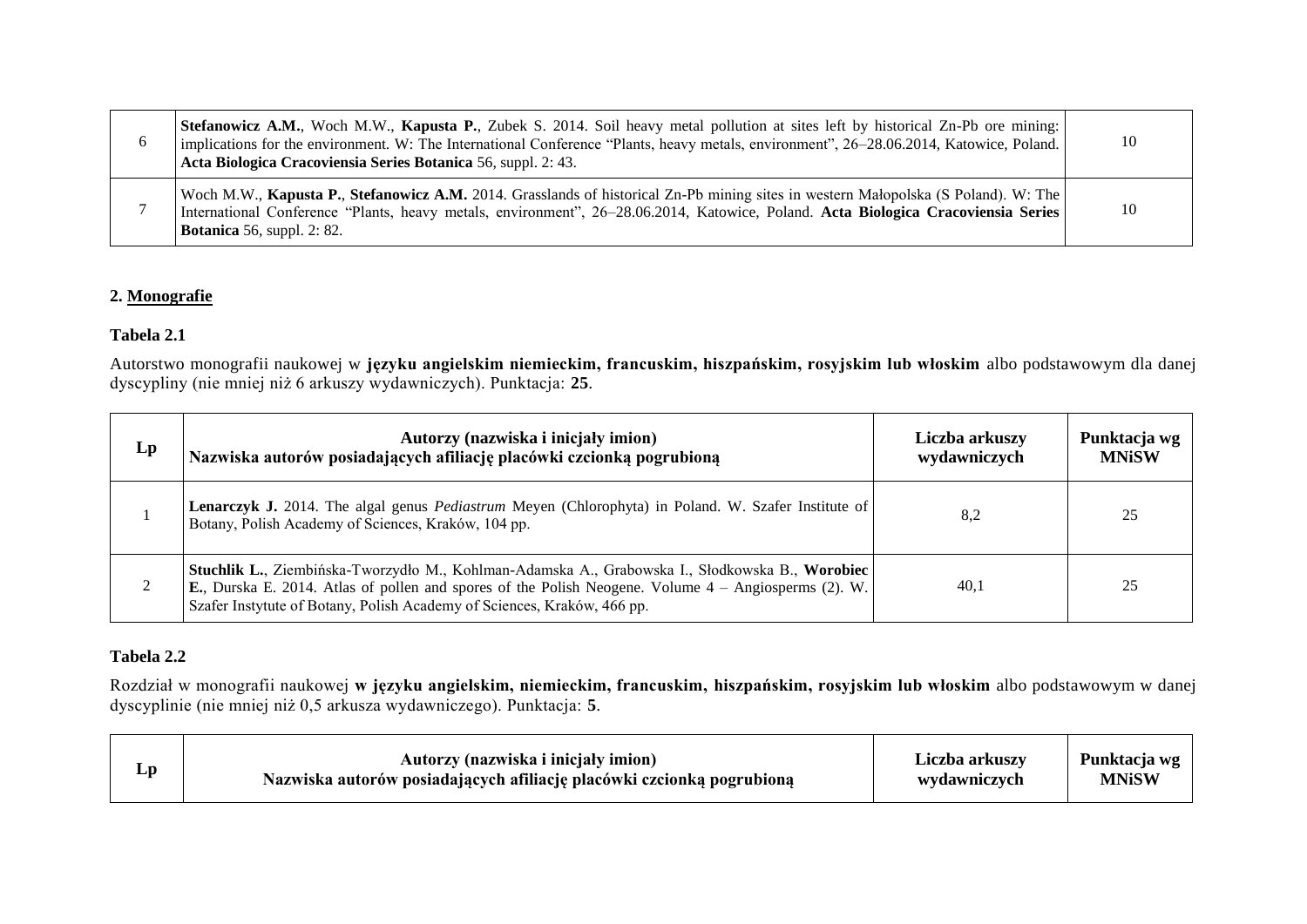| 6 | Stefanowicz A.M., Woch M.W., Kapusta P., Zubek S. 2014. Soil heavy metal pollution at sites left by historical Zn-Pb ore mining:<br>implications for the environment. W: The International Conference "Plants, heavy metals, environment", 26–28.06.2014, Katowice, Poland.<br>Acta Biologica Cracoviensia Series Botanica 56, suppl. 2: 43. | -10 |
|---|----------------------------------------------------------------------------------------------------------------------------------------------------------------------------------------------------------------------------------------------------------------------------------------------------------------------------------------------|-----|
|   | Woch M.W., Kapusta P., Stefanowicz A.M. 2014. Grasslands of historical Zn-Pb mining sites in western Małopolska (S Poland). W: The<br>International Conference "Plants, heavy metals, environment", 26–28.06.2014, Katowice, Poland. Acta Biologica Cracoviensia Series<br><b>Botanica</b> 56, suppl. 2: 82.                                 | -10 |

#### **2. Monografie**

### **Tabela 2.1**

Autorstwo monografii naukowej w **języku angielskim niemieckim, francuskim, hiszpańskim, rosyjskim lub włoskim** albo podstawowym dla danej dyscypliny (nie mniej niż 6 arkuszy wydawniczych). Punktacja: **25**.

| $\mathbf{L}\mathbf{p}$ | Autorzy (nazwiska i inicjały imion)<br>Nazwiska autorów posiadających afiliację placówki czcionką pogrubioną                                                                                                                                                                                 | Liczba arkuszy<br>wydawniczych | Punktacja wg<br><b>MNiSW</b> |
|------------------------|----------------------------------------------------------------------------------------------------------------------------------------------------------------------------------------------------------------------------------------------------------------------------------------------|--------------------------------|------------------------------|
|                        | <b>Lenarczyk J.</b> 2014. The algal genus <i>Pediastrum</i> Meyen (Chlorophyta) in Poland. W. Szafer Institute of<br>Botany, Polish Academy of Sciences, Kraków, 104 pp.                                                                                                                     | 8,2                            | 25                           |
|                        | Stuchlik L., Ziembińska-Tworzydło M., Kohlman-Adamska A., Grabowska I., Słodkowska B., Worobiec<br><b>E.</b> , Durska E. 2014. Atlas of pollen and spores of the Polish Neogene. Volume $4 -$ Angiosperms (2). W.<br>Szafer Instytute of Botany, Polish Academy of Sciences, Kraków, 466 pp. | 40,1                           | 25                           |

# **Tabela 2.2**

Rozdział w monografii naukowej **w języku angielskim, niemieckim, francuskim, hiszpańskim, rosyjskim lub włoskim** albo podstawowym w danej dyscyplinie (nie mniej niż 0,5 arkusza wydawniczego). Punktacja: **5**.

| Lp | Autorzy (nazwiska i inicjały imion)                                   | Liczba arkuszv | Punktacja wg |
|----|-----------------------------------------------------------------------|----------------|--------------|
|    | Nazwiska autorów posiadających afiliację placówki czcionką pogrubioną | wydawniczych   | <b>MNiSW</b> |
|    |                                                                       |                |              |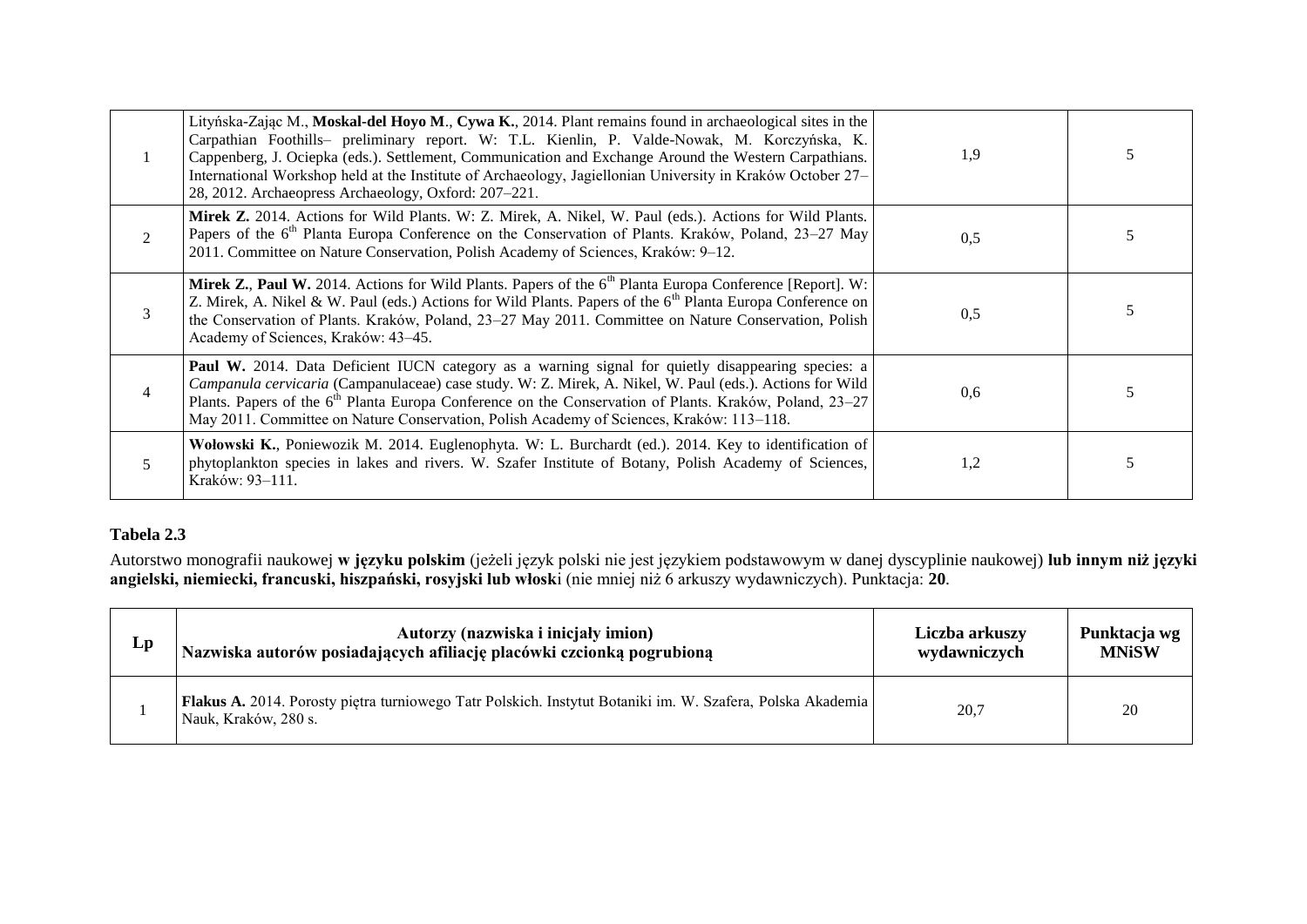|                | Lityńska-Zając M., Moskal-del Hoyo M., Cywa K., 2014. Plant remains found in archaeological sites in the<br>Carpathian Foothills- preliminary report. W: T.L. Kienlin, P. Valde-Nowak, M. Korczyńska, K.<br>Cappenberg, J. Ociepka (eds.). Settlement, Communication and Exchange Around the Western Carpathians.<br>International Workshop held at the Institute of Archaeology, Jagiellonian University in Kraków October 27–<br>28, 2012. Archaeopress Archaeology, Oxford: 207-221. | 1,9 |   |
|----------------|-----------------------------------------------------------------------------------------------------------------------------------------------------------------------------------------------------------------------------------------------------------------------------------------------------------------------------------------------------------------------------------------------------------------------------------------------------------------------------------------|-----|---|
| 2              | Mirek Z. 2014. Actions for Wild Plants. W: Z. Mirek, A. Nikel, W. Paul (eds.). Actions for Wild Plants.<br>Papers of the 6 <sup>th</sup> Planta Europa Conference on the Conservation of Plants. Kraków, Poland, 23–27 May<br>2011. Committee on Nature Conservation, Polish Academy of Sciences, Kraków: 9-12.                                                                                                                                                                         | 0,5 |   |
| 3              | Mirek Z., Paul W. 2014. Actions for Wild Plants. Papers of the 6 <sup>th</sup> Planta Europa Conference [Report]. W:<br>Z. Mirek, A. Nikel & W. Paul (eds.) Actions for Wild Plants. Papers of the 6 <sup>th</sup> Planta Europa Conference on<br>the Conservation of Plants. Kraków, Poland, 23–27 May 2011. Committee on Nature Conservation, Polish<br>Academy of Sciences, Kraków: 43-45.                                                                                           | 0.5 |   |
| $\overline{4}$ | Paul W. 2014. Data Deficient IUCN category as a warning signal for quietly disappearing species: a<br>Campanula cervicaria (Campanulaceae) case study. W: Z. Mirek, A. Nikel, W. Paul (eds.). Actions for Wild<br>Plants. Papers of the 6 <sup>th</sup> Planta Europa Conference on the Conservation of Plants. Kraków, Poland, 23–27<br>May 2011. Committee on Nature Conservation, Polish Academy of Sciences, Kraków: 113-118.                                                       | 0,6 |   |
| 5              | Wołowski K., Poniewozik M. 2014. Euglenophyta. W: L. Burchardt (ed.). 2014. Key to identification of<br>phytoplankton species in lakes and rivers. W. Szafer Institute of Botany, Polish Academy of Sciences,<br>Kraków: 93-111.                                                                                                                                                                                                                                                        | 1,2 | 5 |

### **Tabela 2.3**

Autorstwo monografii naukowej **w języku polskim** (jeżeli język polski nie jest językiem podstawowym w danej dyscyplinie naukowej) **lub innym niż języki angielski, niemiecki, francuski, hiszpański, rosyjski lub włosk**i (nie mniej niż 6 arkuszy wydawniczych). Punktacja: **20**.

| Lp | Autorzy (nazwiska i inicjały imion)                                                                                                | Liczba arkuszy | Punktacja wg |
|----|------------------------------------------------------------------------------------------------------------------------------------|----------------|--------------|
|    | Nazwiska autorów posiadających afiliację placówki czcionką pogrubioną                                                              | wydawniczych   | <b>MNiSW</b> |
|    | Flakus A. 2014. Porosty piętra turniowego Tatr Polskich. Instytut Botaniki im. W. Szafera, Polska Akademia<br>Nauk, Kraków, 280 s. | 20,7           | 20           |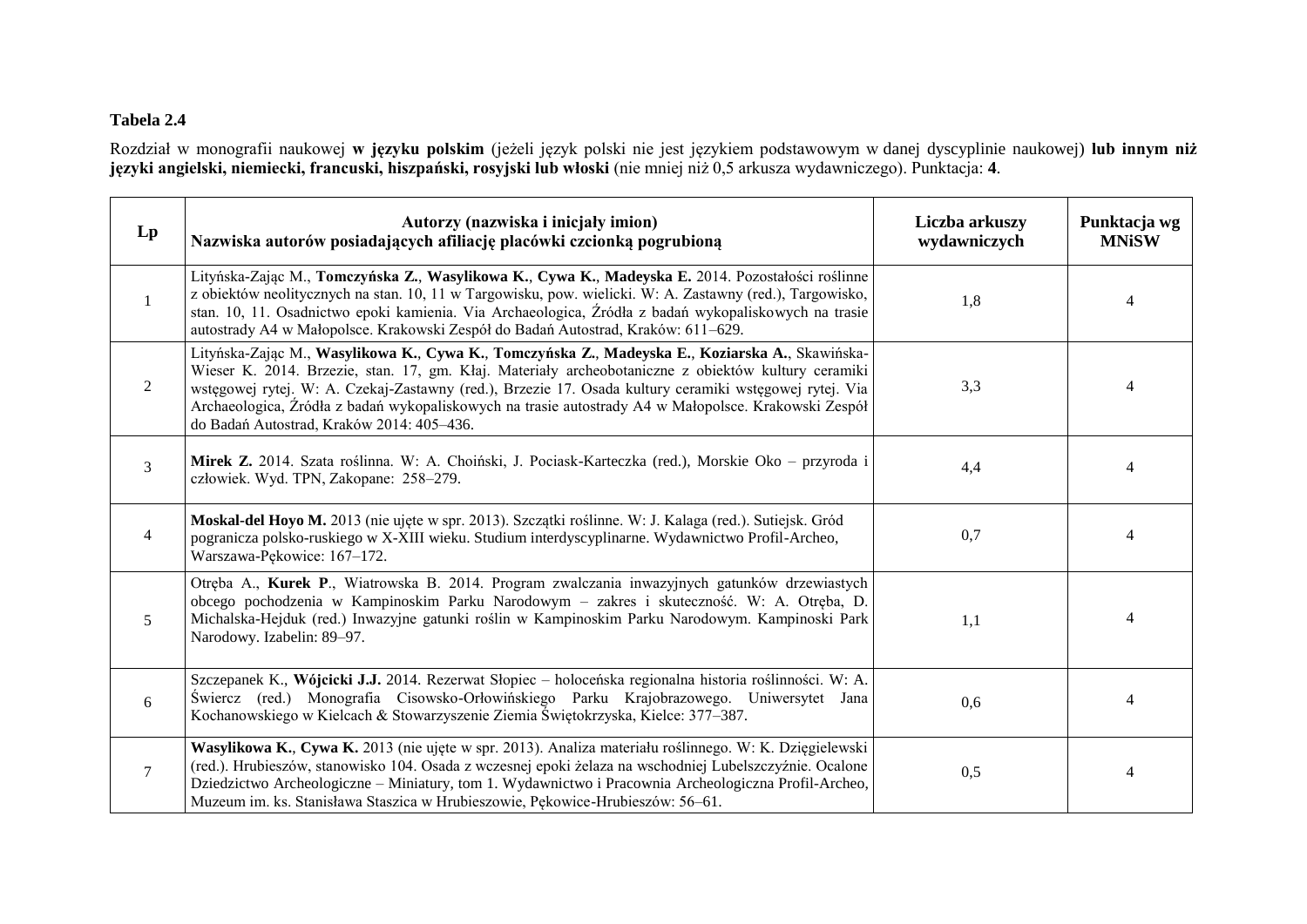# **Tabela 2.4**

Rozdział w monografii naukowej **w języku polskim** (jeżeli język polski nie jest językiem podstawowym w danej dyscyplinie naukowej) **lub innym niż języki angielski, niemiecki, francuski, hiszpański, rosyjski lub włoski** (nie mniej niż 0,5 arkusza wydawniczego). Punktacja: **4**.

| $\mathbf{L}\mathbf{p}$ | Autorzy (nazwiska i inicjały imion)<br>Nazwiska autorów posiadających afiliację placówki czcionką pogrubioną                                                                                                                                                                                                                                                                                                                                                          | Liczba arkuszy<br>wydawniczych | Punktacja wg<br><b>MNiSW</b> |
|------------------------|-----------------------------------------------------------------------------------------------------------------------------------------------------------------------------------------------------------------------------------------------------------------------------------------------------------------------------------------------------------------------------------------------------------------------------------------------------------------------|--------------------------------|------------------------------|
| 1                      | Lityńska-Zając M., Tomczyńska Z., Wasylikowa K., Cywa K., Madeyska E. 2014. Pozostałości roślinne<br>z obiektów neolitycznych na stan. 10, 11 w Targowisku, pow. wielicki. W: A. Zastawny (red.), Targowisko,<br>stan. 10, 11. Osadnictwo epoki kamienia. Via Archaeologica, Źródła z badań wykopaliskowych na trasie<br>autostrady A4 w Małopolsce. Krakowski Zespół do Badań Autostrad, Kraków: 611–629.                                                            | 1,8                            | 4                            |
| $\overline{2}$         | Lityńska-Zając M., Wasylikowa K., Cywa K., Tomczyńska Z., Madeyska E., Koziarska A., Skawińska-<br>Wieser K. 2014. Brzezie, stan. 17, gm. Kłaj. Materiały archeobotaniczne z obiektów kultury ceramiki<br>wstęgowej rytej. W: A. Czekaj-Zastawny (red.), Brzezie 17. Osada kultury ceramiki wstęgowej rytej. Via<br>Archaeologica, Źródła z badań wykopaliskowych na trasie autostrady A4 w Małopolsce. Krakowski Zespół<br>do Badań Autostrad, Kraków 2014: 405-436. | 3,3                            | 4                            |
| 3                      | Mirek Z. 2014. Szata roślinna. W: A. Choiński, J. Pociask-Karteczka (red.), Morskie Oko – przyroda i<br>człowiek. Wyd. TPN, Zakopane: 258-279.                                                                                                                                                                                                                                                                                                                        | 4,4                            | 4                            |
| $\overline{4}$         | Moskal-del Hoyo M. 2013 (nie ujęte w spr. 2013). Szczątki roślinne. W: J. Kalaga (red.). Sutiejsk. Gród<br>pogranicza polsko-ruskiego w X-XIII wieku. Studium interdyscyplinarne. Wydawnictwo Profil-Archeo,<br>Warszawa-Pękowice: 167-172.                                                                                                                                                                                                                           | 0,7                            | $\overline{4}$               |
| 5                      | Otręba A., Kurek P., Wiatrowska B. 2014. Program zwalczania inwazyjnych gatunków drzewiastych<br>obcego pochodzenia w Kampinoskim Parku Narodowym – zakres i skuteczność. W: A. Otręba, D.<br>Michalska-Hejduk (red.) Inwazyjne gatunki roślin w Kampinoskim Parku Narodowym. Kampinoski Park<br>Narodowy. Izabelin: 89-97.                                                                                                                                           | 1,1                            |                              |
| 6                      | Szczepanek K., Wójcicki J.J. 2014. Rezerwat Słopiec – holoceńska regionalna historia roślinności. W: A.<br>Świercz (red.) Monografia Cisowsko-Orłowińskiego Parku Krajobrazowego. Uniwersytet Jana<br>Kochanowskiego w Kielcach & Stowarzyszenie Ziemia Świętokrzyska, Kielce: 377–387.                                                                                                                                                                               | 0,6                            | $\boldsymbol{\vartriangle}$  |
| $\tau$                 | Wasylikowa K., Cywa K. 2013 (nie ujęte w spr. 2013). Analiza materiału roślinnego. W: K. Dzięgielewski<br>(red.). Hrubieszów, stanowisko 104. Osada z wczesnej epoki żelaza na wschodniej Lubelszczyźnie. Ocalone<br>Dziedzictwo Archeologiczne – Miniatury, tom 1. Wydawnictwo i Pracownia Archeologiczna Profil-Archeo,<br>Muzeum im. ks. Stanisława Staszica w Hrubieszowie, Pękowice-Hrubieszów: 56–61.                                                           | 0,5                            |                              |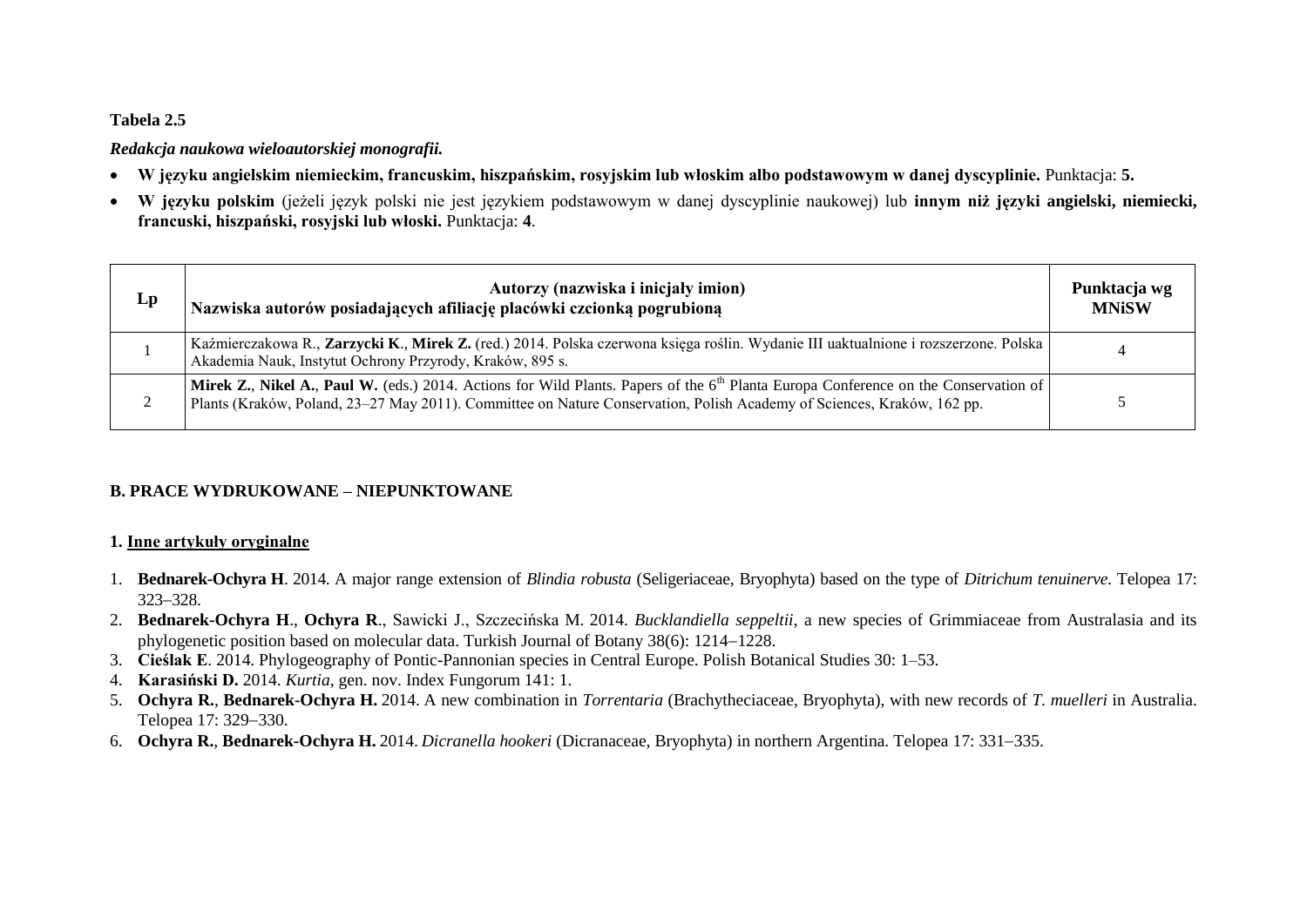#### **Tabela 2.5**

#### *Redakcja naukowa wieloautorskiej monografii.*

- **W języku angielskim niemieckim, francuskim, hiszpańskim, rosyjskim lub włoskim albo podstawowym w danej dyscyplinie.** Punktacja: **5.**
- **W języku polskim** (jeżeli język polski nie jest językiem podstawowym w danej dyscyplinie naukowej) lub **innym niż języki angielski, niemiecki, francuski, hiszpański, rosyjski lub włoski.** Punktacja: **4**.

| Lp | Autorzy (nazwiska i inicjały imion)<br>Nazwiska autorów posiadających afiliację placówki czcionką pogrubioną                                                                                                                                                           | Punktacja wg<br><b>MNiSW</b> |
|----|------------------------------------------------------------------------------------------------------------------------------------------------------------------------------------------------------------------------------------------------------------------------|------------------------------|
|    | Kaźmierczakowa R., Zarzycki K., Mirek Z. (red.) 2014. Polska czerwona księga roślin. Wydanie III uaktualnione i rozszerzone. Polska  <br>Akademia Nauk, Instytut Ochrony Przyrody, Kraków, 895 s.                                                                      |                              |
|    | <b>Mirek Z., Nikel A., Paul W.</b> (eds.) 2014. Actions for Wild Plants. Papers of the $6th$ Planta Europa Conference on the Conservation of<br>Plants (Kraków, Poland, 23–27 May 2011). Committee on Nature Conservation, Polish Academy of Sciences, Kraków, 162 pp. |                              |

### **B. PRACE WYDRUKOWANE – NIEPUNKTOWANE**

#### **1. Inne artykuły oryginalne**

- 1. **Bednarek-Ochyra H**. 2014. A major range extension of *Blindia robusta* (Seligeriaceae, Bryophyta) based on the type of *Ditrichum tenuinerve*. Telopea 17: 323 - 328
- 2. **Bednarek-Ochyra H**., **Ochyra R**., Sawicki J., Szczecińska M. 2014. *Bucklandiella seppeltii*, a new species of Grimmiaceae from Australasia and its phylogenetic position based on molecular data. Turkish Journal of Botany 38(6): 1214–1228.
- 3. **Cieślak E**. 2014. Phylogeography of Pontic-Pannonian species in Central Europe. Polish Botanical Studies 30: 1–53.
- 4. **Karasiński D.** 2014. *Kurtia*, gen. nov. Index Fungorum 141: 1.
- 5. **Ochyra R.**, **Bednarek-Ochyra H.** 2014. A new combination in *Torrentaria* (Brachytheciaceae, Bryophyta), with new records of *T. muelleri* in Australia. Telopea 17: 329-330.
- 6. **Ochyra R., Bednarek-Ochyra H.** 2014. *Dicranella hookeri* (Dicranaceae, Bryophyta) in northern Argentina. Telopea 17: 331–335.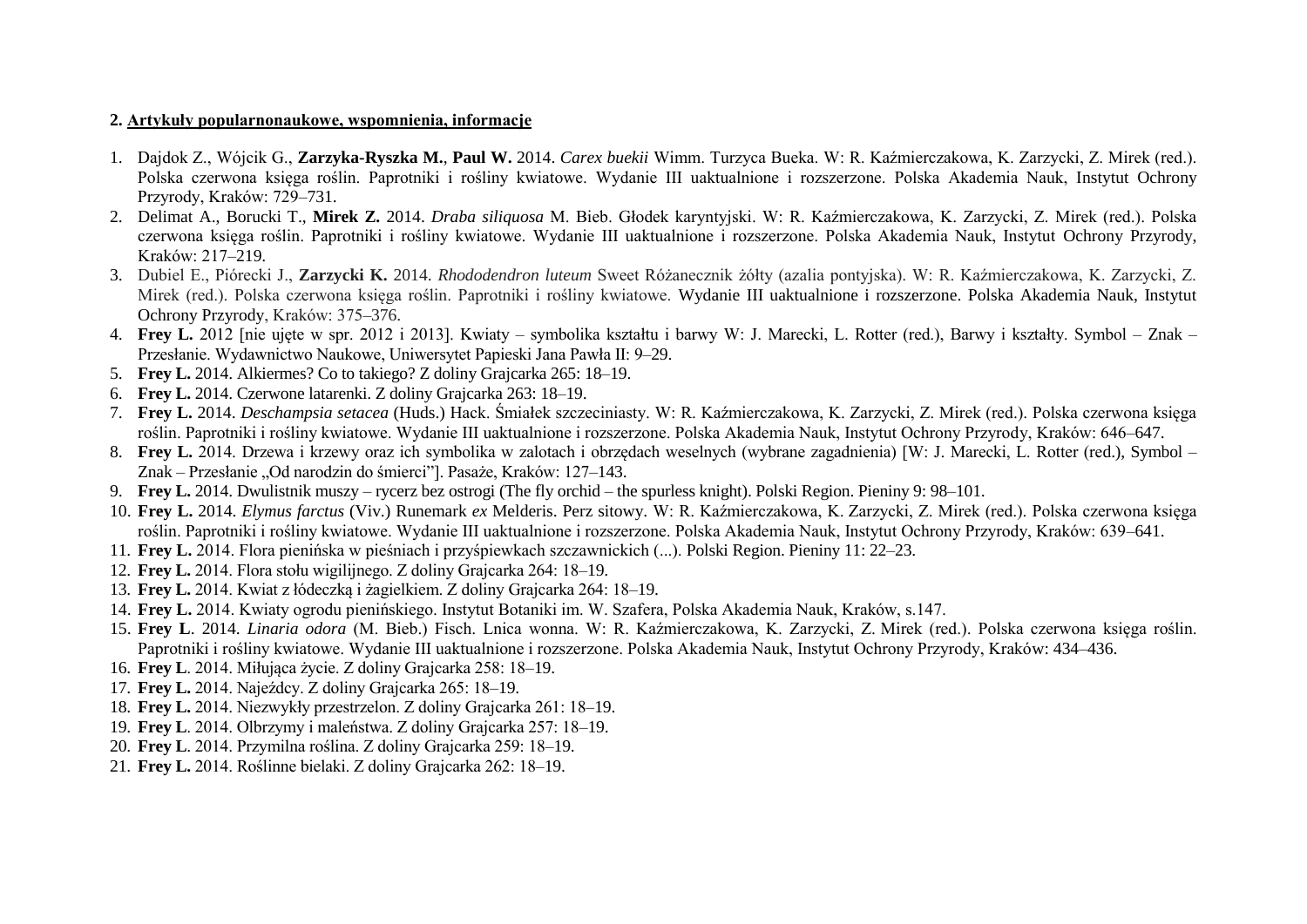#### **2. Artykuły popularnonaukowe, wspomnienia, informacje**

- 1. Dajdok Z., Wójcik G., **Zarzyka-Ryszka M.**, **Paul W.** 2014. *Carex buekii* Wimm. Turzyca Bueka. W: R. Kaźmierczakowa, K. Zarzycki, Z. Mirek (red.). Polska czerwona księga roślin. Paprotniki i rośliny kwiatowe. Wydanie III uaktualnione i rozszerzone. Polska Akademia Nauk, Instytut Ochrony Przyrody, Kraków: 729–731.
- 2. Delimat A., Borucki T., **Mirek Z.** 2014. *Draba siliquosa* M. Bieb. Głodek karyntyjski. W: R. Kaźmierczakowa, K. Zarzycki, Z. Mirek (red.). Polska czerwona księga roślin. Paprotniki i rośliny kwiatowe. Wydanie III uaktualnione i rozszerzone. Polska Akademia Nauk, Instytut Ochrony Przyrody, Kraków: 217–219.
- 3. Dubiel E., Piórecki J., **Zarzycki K.** 2014. *Rhododendron luteum* Sweet Różanecznik żółty (azalia pontyjska). W: R. Kaźmierczakowa, K. Zarzycki, Z. Mirek (red.). Polska czerwona księga roślin. Paprotniki i rośliny kwiatowe. Wydanie III uaktualnione i rozszerzone. Polska Akademia Nauk, Instytut Ochrony Przyrody, Kraków: 375–376.
- 4. **Frey L.** 2012 [nie ujęte w spr. 2012 i 2013]. Kwiaty symbolika kształtu i barwy W: J. Marecki, L. Rotter (red.), Barwy i kształty. Symbol Znak Przesłanie. Wydawnictwo Naukowe, Uniwersytet Papieski Jana Pawła II: 9–29.
- 5. **Frey L.** 2014. Alkiermes? Co to takiego? Z doliny Grajcarka 265: 18–19.
- 6. **Frey L.** 2014. Czerwone latarenki. Z doliny Grajcarka 263: 18–19.
- 7. **Frey L.** 2014. *Deschampsia setacea* (Huds.) Hack. Śmiałek szczeciniasty. W: R. Kaźmierczakowa, K. Zarzycki, Z. Mirek (red.). Polska czerwona księga roślin. Paprotniki i rośliny kwiatowe. Wydanie III uaktualnione i rozszerzone. Polska Akademia Nauk, Instytut Ochrony Przyrody, Kraków: 646–647.
- 8. **Frey L.** 2014. Drzewa i krzewy oraz ich symbolika w zalotach i obrzędach weselnych (wybrane zagadnienia) [W: J. Marecki, L. Rotter (red.), Symbol Znak – Przesłanie "Od narodzin do śmierci"]. Pasaże, Kraków: 127–143.
- 9. **Frey L.** 2014. Dwulistnik muszy rycerz bez ostrogi (The fly orchid the spurless knight). Polski Region. Pieniny 9: 98–101.
- 10. **Frey L.** 2014. *Elymus farctus* (Viv.) Runemark *ex* Melderis. Perz sitowy. W: R. Kaźmierczakowa, K. Zarzycki, Z. Mirek (red.). Polska czerwona księga roślin. Paprotniki i rośliny kwiatowe. Wydanie III uaktualnione i rozszerzone. Polska Akademia Nauk, Instytut Ochrony Przyrody, Kraków: 639–641.
- 11. **Frey L.** 2014. Flora pienińska w pieśniach i przyśpiewkach szczawnickich (...). Polski Region. Pieniny 11: 22–23.
- 12. **Frey L.** 2014. Flora stołu wigilijnego. Z doliny Grajcarka 264: 18–19.
- 13. **Frey L.** 2014. Kwiat z łódeczką i żagielkiem. Z doliny Grajcarka 264: 18–19.
- 14. **Frey L.** 2014. Kwiaty ogrodu pienińskiego. Instytut Botaniki im. W. Szafera, Polska Akademia Nauk, Kraków, s.147.
- 15. **Frey L**. 2014. *Linaria odora* (M. Bieb.) Fisch. Lnica wonna. W: R. Kaźmierczakowa, K. Zarzycki, Z. Mirek (red.). Polska czerwona księga roślin. Paprotniki i rośliny kwiatowe. Wydanie III uaktualnione i rozszerzone. Polska Akademia Nauk, Instytut Ochrony Przyrody, Kraków: 434–436.
- 16. **Frey L**. 2014. Miłująca życie. Z doliny Grajcarka 258: 18–19.
- 17. **Frey L.** 2014. Najeźdcy. Z doliny Grajcarka 265: 18–19.
- 18. **Frey L.** 2014. Niezwykły przestrzelon. Z doliny Grajcarka 261: 18–19.
- 19. **Frey L**. 2014. Olbrzymy i maleństwa. Z doliny Grajcarka 257: 18–19.
- 20. **Frey L**. 2014. Przymilna roślina. Z doliny Grajcarka 259: 18–19.
- 21. **Frey L.** 2014. Roślinne bielaki. Z doliny Grajcarka 262: 18–19.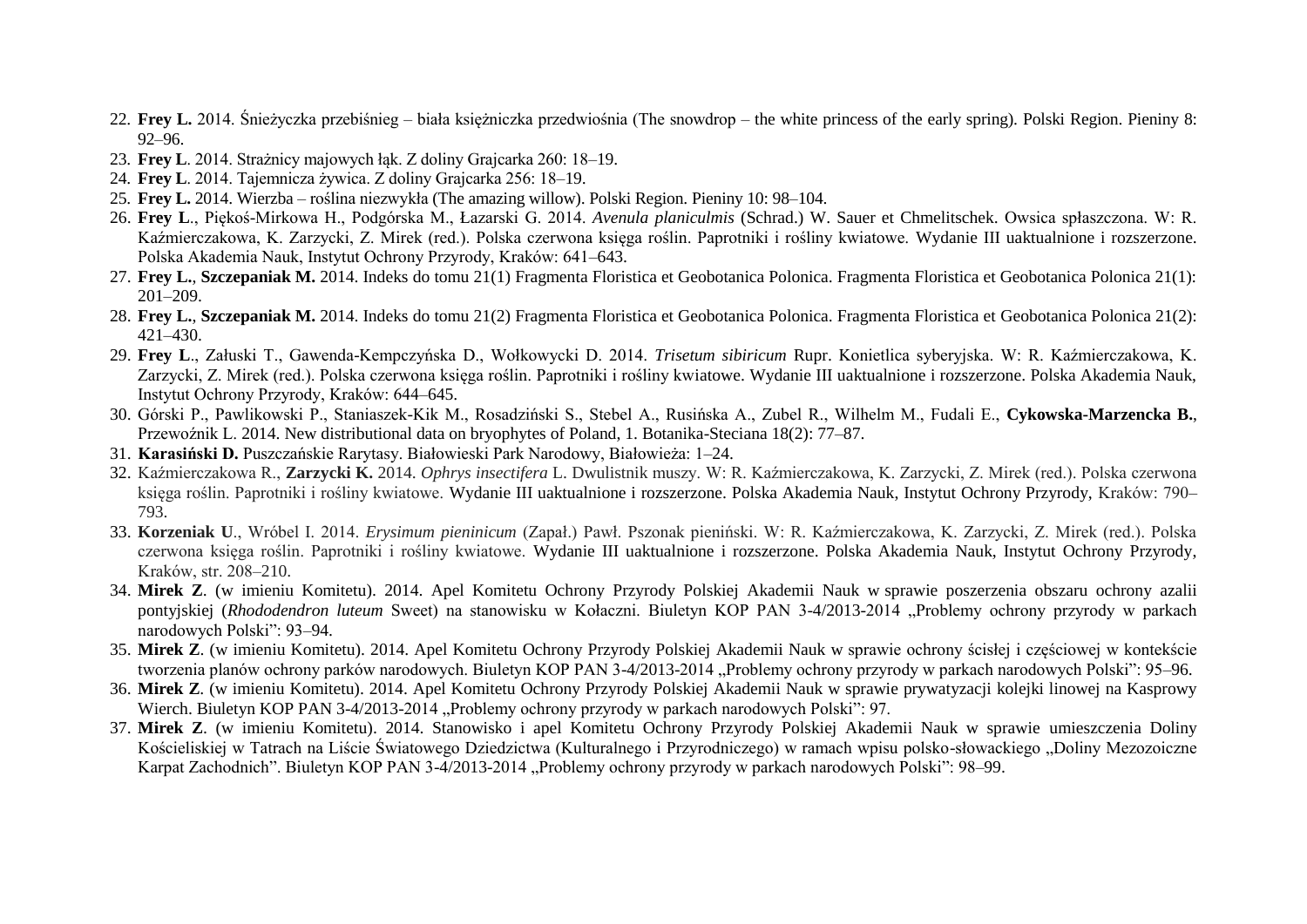- 22. **Frey L.** 2014. Śnieżyczka przebiśnieg biała księżniczka przedwiośnia (The snowdrop the white princess of the early spring). Polski Region. Pieniny 8: 92–96.
- 23. **Frey L**. 2014. Strażnicy majowych łąk. Z doliny Grajcarka 260: 18–19.
- 24. **Frey L**. 2014. Tajemnicza żywica. Z doliny Grajcarka 256: 18–19.
- 25. **Frey L.** 2014. Wierzba roślina niezwykła (The amazing willow). Polski Region. Pieniny 10: 98–104.
- 26. **Frey L**., Piękoś-Mirkowa H., Podgórska M., Łazarski G. 2014. *Avenula planiculmis* (Schrad.) W. Sauer et Chmelitschek. Owsica spłaszczona. W: R. Kaźmierczakowa, K. Zarzycki, Z. Mirek (red.). Polska czerwona księga roślin. Paprotniki i rośliny kwiatowe. Wydanie III uaktualnione i rozszerzone. Polska Akademia Nauk, Instytut Ochrony Przyrody, Kraków: 641–643.
- 27. **Frey L.**, **Szczepaniak M.** 2014. Indeks do tomu 21(1) Fragmenta Floristica et Geobotanica Polonica. Fragmenta Floristica et Geobotanica Polonica 21(1): 201–209.
- 28. **Frey L.**, **Szczepaniak M.** 2014. Indeks do tomu 21(2) Fragmenta Floristica et Geobotanica Polonica. Fragmenta Floristica et Geobotanica Polonica 21(2): 421–430.
- 29. **Frey L**., Załuski T., Gawenda-Kempczyńska D., Wołkowycki D. 2014. *Trisetum sibiricum* Rupr. Konietlica syberyjska. W: R. Kaźmierczakowa, K. Zarzycki, Z. Mirek (red.). Polska czerwona księga roślin. Paprotniki i rośliny kwiatowe. Wydanie III uaktualnione i rozszerzone. Polska Akademia Nauk, Instytut Ochrony Przyrody, Kraków: 644–645.
- 30. Górski P., Pawlikowski P., Staniaszek-Kik M., Rosadziński S., Stebel A., Rusińska A., Zubel R., Wilhelm M., Fudali E., **Cykowska-Marzencka B.**, Przewoźnik L. 2014. New distributional data on bryophytes of Poland, 1. Botanika-Steciana 18(2): 77–87.
- 31. **Karasiński D.** Puszczańskie Rarytasy. Białowieski Park Narodowy, Białowieża: 1–24.
- 32. Kaźmierczakowa R., **Zarzycki K.** 2014. *Ophrys insectifera* L. Dwulistnik muszy. W: R. Kaźmierczakowa, K. Zarzycki, Z. Mirek (red.). Polska czerwona księga roślin. Paprotniki i rośliny kwiatowe. Wydanie III uaktualnione i rozszerzone. Polska Akademia Nauk, Instytut Ochrony Przyrody, Kraków: 790– 793.
- 33. **Korzeniak U**., Wróbel I. 2014. *Erysimum pieninicum* (Zapał.) Pawł. Pszonak pieniński. W: R. Kaźmierczakowa, K. Zarzycki, Z. Mirek (red.). Polska czerwona księga roślin. Paprotniki i rośliny kwiatowe. Wydanie III uaktualnione i rozszerzone. Polska Akademia Nauk, Instytut Ochrony Przyrody, Kraków, str. 208–210.
- 34. **Mirek Z**. (w imieniu Komitetu). 2014. Apel Komitetu Ochrony Przyrody Polskiej Akademii Nauk w sprawie poszerzenia obszaru ochrony azalii pontyjskiej (*Rhododendron luteum* Sweet) na stanowisku w Kołaczni. Biuletyn KOP PAN 3-4/2013-2014 "Problemy ochrony przyrody w parkach narodowych Polski": 93–94.
- 35. **Mirek Z**. (w imieniu Komitetu). 2014. Apel Komitetu Ochrony Przyrody Polskiej Akademii Nauk w sprawie ochrony ścisłej i częściowej w kontekście tworzenia planów ochrony parków narodowych. Biuletyn KOP PAN 3-4/2013-2014 "Problemy ochrony przyrody w parkach narodowych Polski": 95–96.
- 36. **Mirek Z**. (w imieniu Komitetu). 2014. Apel Komitetu Ochrony Przyrody Polskiej Akademii Nauk w sprawie prywatyzacji kolejki linowej na Kasprowy Wierch. Biuletyn KOP PAN 3-4/2013-2014 "Problemy ochrony przyrody w parkach narodowych Polski": 97.
- 37. **Mirek Z**. (w imieniu Komitetu). 2014. Stanowisko i apel Komitetu Ochrony Przyrody Polskiej Akademii Nauk w sprawie umieszczenia Doliny Kościeliskiej w Tatrach na Liście Światowego Dziedzictwa (Kulturalnego i Przyrodniczego) w ramach wpisu polsko-słowackiego "Doliny Mezozoiczne Karpat Zachodnich". Biuletyn KOP PAN 3-4/2013-2014 "Problemy ochrony przyrody w parkach narodowych Polski": 98–99.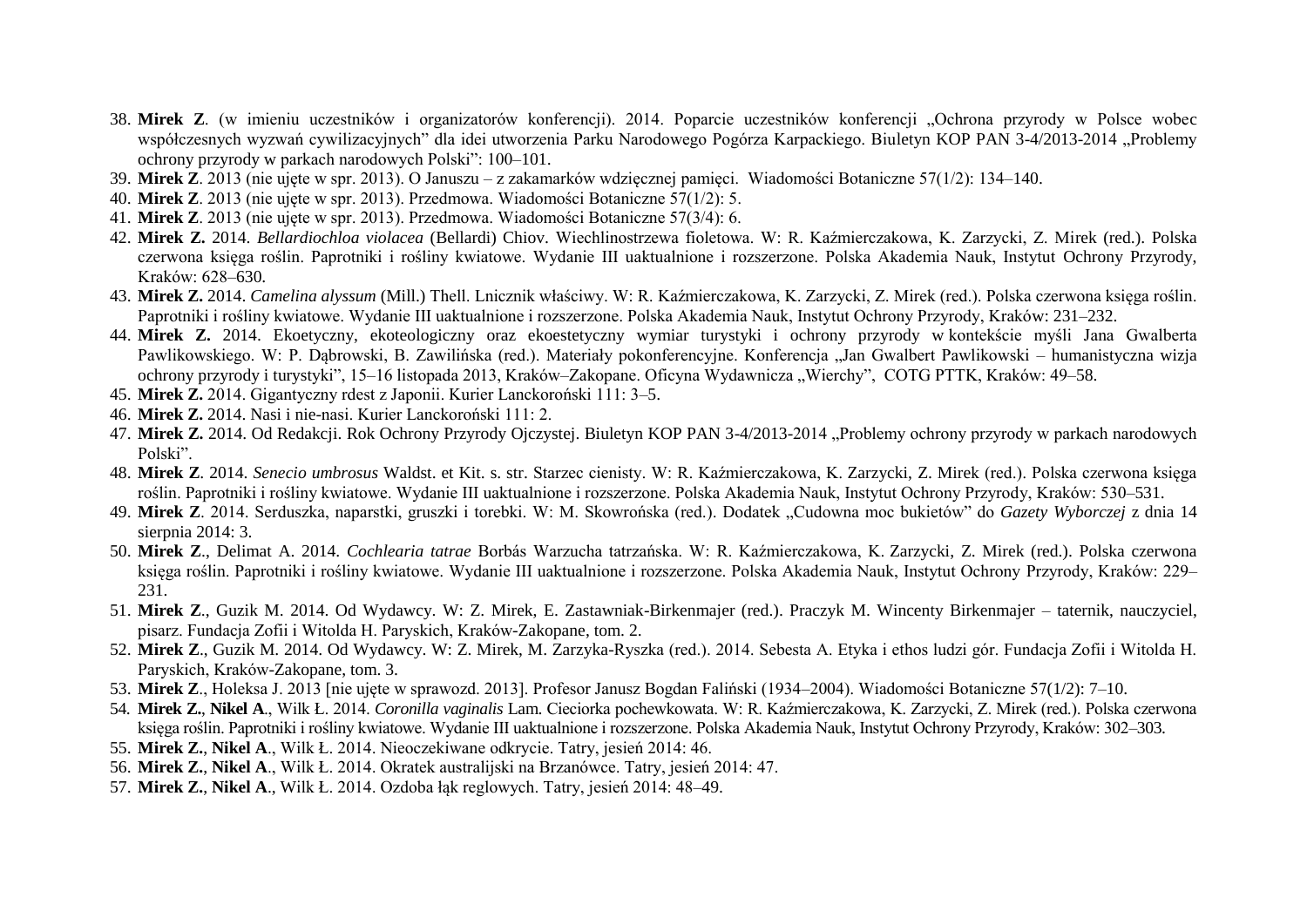- 38. **Mirek Z**. (w imieniu uczestników i organizatorów konferencji). 2014. Poparcie uczestników konferencji "Ochrona przyrody w Polsce wobec współczesnych wyzwań cywilizacyjnych" dla idei utworzenia Parku Narodowego Pogórza Karpackiego. Biuletyn KOP PAN 3-4/2013-2014 "Problemy ochrony przyrody w parkach narodowych Polski": 100–101.
- 39. **Mirek Z**. 2013 (nie ujęte w spr. 2013). O Januszu z zakamarków wdzięcznej pamięci. Wiadomości Botaniczne 57(1/2): 134–140.
- 40. **Mirek Z**. 2013 (nie ujęte w spr. 2013). Przedmowa. Wiadomości Botaniczne 57(1/2): 5.
- 41. **Mirek Z**. 2013 (nie ujęte w spr. 2013). Przedmowa. Wiadomości Botaniczne 57(3/4): 6.
- 42. **Mirek Z.** 2014. *Bellardiochloa violacea* (Bellardi) Chiov. Wiechlinostrzewa fioletowa. W: R. Kaźmierczakowa, K. Zarzycki, Z. Mirek (red.). Polska czerwona księga roślin. Paprotniki i rośliny kwiatowe. Wydanie III uaktualnione i rozszerzone. Polska Akademia Nauk, Instytut Ochrony Przyrody, Kraków: 628–630.
- 43. **Mirek Z.** 2014. *Camelina alyssum* (Mill.) Thell. Lnicznik właściwy. W: R. Kaźmierczakowa, K. Zarzycki, Z. Mirek (red.). Polska czerwona księga roślin. Paprotniki i rośliny kwiatowe. Wydanie III uaktualnione i rozszerzone. Polska Akademia Nauk, Instytut Ochrony Przyrody, Kraków: 231–232.
- 44. **Mirek Z.** 2014. Ekoetyczny, ekoteologiczny oraz ekoestetyczny wymiar turystyki i ochrony przyrody w kontekście myśli Jana Gwalberta Pawlikowskiego. W: P. Dabrowski, B. Zawilińska (red.). Materiały pokonferencyjne. Konferencja "Jan Gwalbert Pawlikowski – humanistyczna wizja ochrony przyrody i turystyki", 15–16 listopada 2013, Kraków–Zakopane. Oficyna Wydawnicza "Wierchy", COTG PTTK, Kraków: 49–58.
- 45. **Mirek Z.** 2014. Gigantyczny rdest z Japonii. Kurier Lanckoroński 111: 3–5.
- 46. **Mirek Z.** 2014. Nasi i nie-nasi. Kurier Lanckoroński 111: 2.
- 47. **Mirek Z.** 2014. Od Redakcji. Rok Ochrony Przyrody Ojczystej. Biuletyn KOP PAN 3-4/2013-2014 "Problemy ochrony przyrody w parkach narodowych Polski".
- 48. **Mirek Z**. 2014. *Senecio umbrosus* Waldst. et Kit. s. str. Starzec cienisty. W: R. Kaźmierczakowa, K. Zarzycki, Z. Mirek (red.). Polska czerwona księga roślin. Paprotniki i rośliny kwiatowe. Wydanie III uaktualnione i rozszerzone. Polska Akademia Nauk, Instytut Ochrony Przyrody, Kraków: 530–531.
- 49. Mirek Z. 2014. Serduszka, naparstki, gruszki i torebki. W: M. Skowrońska (red.). Dodatek "Cudowna moc bukietów" do *Gazety Wyborczej* z dnia 14 sierpnia 2014: 3.
- 50. **Mirek Z**., Delimat A. 2014. *Cochlearia tatrae* Borbás Warzucha tatrzańska. W: R. Kaźmierczakowa, K. Zarzycki, Z. Mirek (red.). Polska czerwona księga roślin. Paprotniki i rośliny kwiatowe. Wydanie III uaktualnione i rozszerzone. Polska Akademia Nauk, Instytut Ochrony Przyrody, Kraków: 229– 231.
- 51. **Mirek Z**., Guzik M. 2014. Od Wydawcy. W: Z. Mirek, E. Zastawniak-Birkenmajer (red.). Praczyk M. Wincenty Birkenmajer taternik, nauczyciel, pisarz. Fundacja Zofii i Witolda H. Paryskich, Kraków-Zakopane, tom. 2.
- 52. **Mirek Z**., Guzik M. 2014. Od Wydawcy. W: Z. Mirek, M. Zarzyka-Ryszka (red.). 2014. Sebesta A. Etyka i ethos ludzi gór. Fundacja Zofii i Witolda H. Paryskich, Kraków-Zakopane, tom. 3.
- 53. **Mirek Z**., Holeksa J. 2013 [nie ujęte w sprawozd. 2013]. Profesor Janusz Bogdan Faliński (1934–2004). Wiadomości Botaniczne 57(1/2): 7–10.
- 54. **Mirek Z.**, **Nikel A**., Wilk Ł. 2014. *Coronilla vaginalis* Lam. Cieciorka pochewkowata. W: R. Kaźmierczakowa, K. Zarzycki, Z. Mirek (red.). Polska czerwona księga roślin. Paprotniki i rośliny kwiatowe. Wydanie III uaktualnione i rozszerzone. Polska Akademia Nauk, Instytut Ochrony Przyrody, Kraków: 302–303.
- 55. **Mirek Z.**, **Nikel A**., Wilk Ł. 2014. Nieoczekiwane odkrycie. Tatry, jesień 2014: 46.
- 56. **Mirek Z.**, **Nikel A**., Wilk Ł. 2014. Okratek australijski na Brzanówce. Tatry, jesień 2014: 47.
- 57. **Mirek Z.**, **Nikel A**., Wilk Ł. 2014. Ozdoba łąk reglowych. Tatry, jesień 2014: 48–49.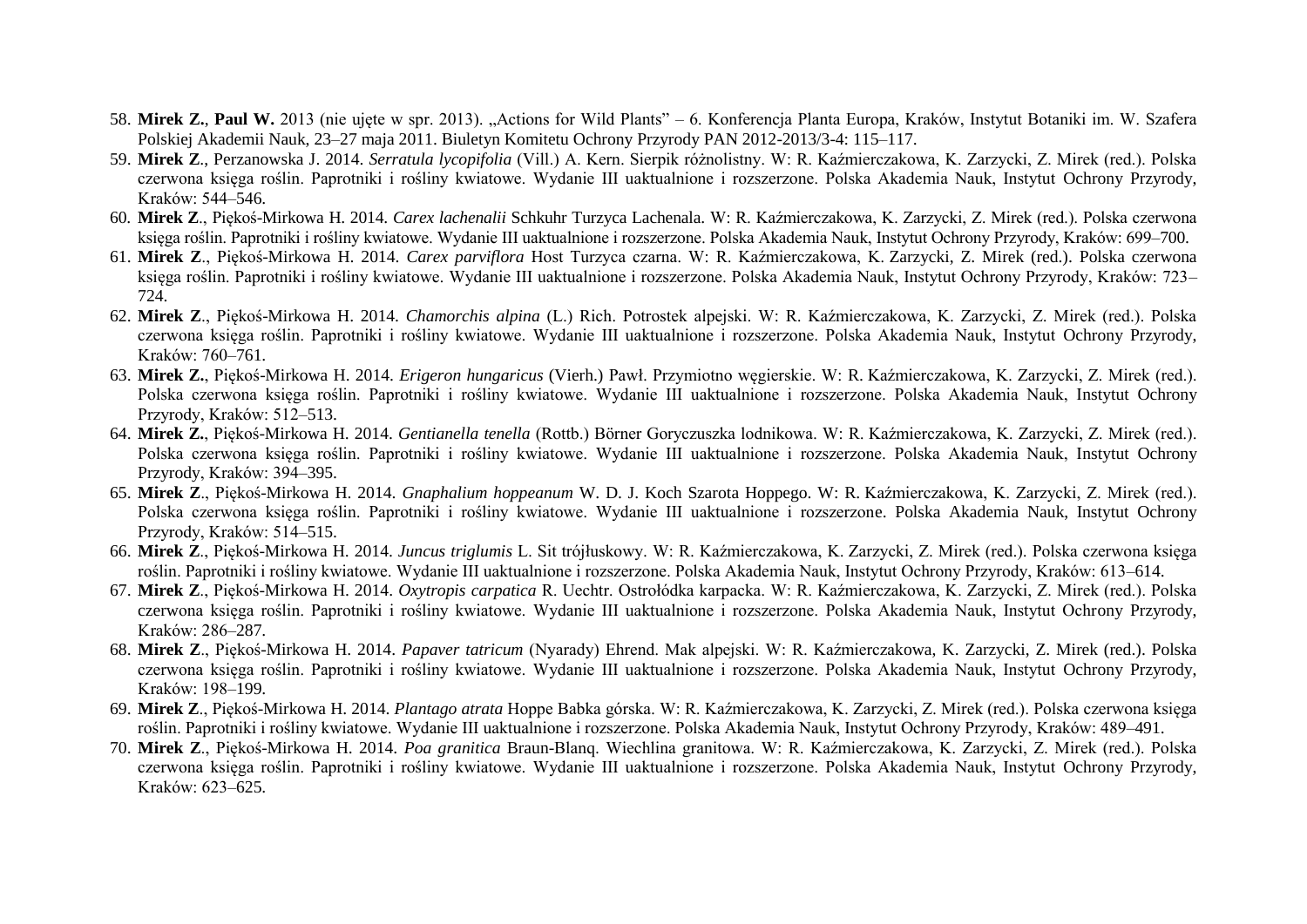- 58. **Mirek Z.**, **Paul W.** 2013 (nie ujęte w spr. 2013). "Actions for Wild Plants" 6. Konferencja Planta Europa, Kraków, Instytut Botaniki im. W. Szafera Polskiej Akademii Nauk, 23–27 maja 2011. Biuletyn Komitetu Ochrony Przyrody PAN 2012-2013/3-4: 115–117.
- 59. **Mirek Z**., Perzanowska J. 2014. *Serratula lycopifolia* (Vill.) A. Kern. Sierpik różnolistny. W: R. Kaźmierczakowa, K. Zarzycki, Z. Mirek (red.). Polska czerwona księga roślin. Paprotniki i rośliny kwiatowe. Wydanie III uaktualnione i rozszerzone. Polska Akademia Nauk, Instytut Ochrony Przyrody, Kraków: 544–546.
- 60. **Mirek Z**., Piękoś-Mirkowa H. 2014. *Carex lachenalii* Schkuhr Turzyca Lachenala. W: R. Kaźmierczakowa, K. Zarzycki, Z. Mirek (red.). Polska czerwona księga roślin. Paprotniki i rośliny kwiatowe. Wydanie III uaktualnione i rozszerzone. Polska Akademia Nauk, Instytut Ochrony Przyrody, Kraków: 699–700.
- 61. **Mirek Z**., Piękoś-Mirkowa H. 2014. *Carex parviflora* Host Turzyca czarna. W: R. Kaźmierczakowa, K. Zarzycki, Z. Mirek (red.). Polska czerwona księga roślin. Paprotniki i rośliny kwiatowe. Wydanie III uaktualnione i rozszerzone. Polska Akademia Nauk, Instytut Ochrony Przyrody, Kraków: 723– 724.
- 62. **Mirek Z**., Piękoś-Mirkowa H. 2014. *Chamorchis alpina* (L.) Rich. Potrostek alpejski. W: R. Kaźmierczakowa, K. Zarzycki, Z. Mirek (red.). Polska czerwona księga roślin. Paprotniki i rośliny kwiatowe. Wydanie III uaktualnione i rozszerzone. Polska Akademia Nauk, Instytut Ochrony Przyrody, Kraków: 760–761.
- 63. **Mirek Z.**, Piękoś-Mirkowa H. 2014. *Erigeron hungaricus* (Vierh.) Pawł. Przymiotno węgierskie. W: R. Kaźmierczakowa, K. Zarzycki, Z. Mirek (red.). Polska czerwona księga roślin. Paprotniki i rośliny kwiatowe. Wydanie III uaktualnione i rozszerzone. Polska Akademia Nauk, Instytut Ochrony Przyrody, Kraków: 512–513.
- 64. **Mirek Z.**, Piękoś-Mirkowa H. 2014. *Gentianella tenella* (Rottb.) Börner Goryczuszka lodnikowa. W: R. Kaźmierczakowa, K. Zarzycki, Z. Mirek (red.). Polska czerwona księga roślin. Paprotniki i rośliny kwiatowe. Wydanie III uaktualnione i rozszerzone. Polska Akademia Nauk, Instytut Ochrony Przyrody, Kraków: 394–395.
- 65. **Mirek Z**., Piękoś-Mirkowa H. 2014. *Gnaphalium hoppeanum* W. D. J. Koch Szarota Hoppego. W: R. Kaźmierczakowa, K. Zarzycki, Z. Mirek (red.). Polska czerwona księga roślin. Paprotniki i rośliny kwiatowe. Wydanie III uaktualnione i rozszerzone. Polska Akademia Nauk, Instytut Ochrony Przyrody, Kraków: 514–515.
- 66. **Mirek Z**., Piękoś-Mirkowa H. 2014. *Juncus triglumis* L. Sit trójłuskowy. W: R. Kaźmierczakowa, K. Zarzycki, Z. Mirek (red.). Polska czerwona księga roślin. Paprotniki i rośliny kwiatowe. Wydanie III uaktualnione i rozszerzone. Polska Akademia Nauk, Instytut Ochrony Przyrody, Kraków: 613–614.
- 67. **Mirek Z**., Piękoś-Mirkowa H. 2014. *Oxytropis carpatica* R. Uechtr. Ostrołódka karpacka. W: R. Kaźmierczakowa, K. Zarzycki, Z. Mirek (red.). Polska czerwona księga roślin. Paprotniki i rośliny kwiatowe. Wydanie III uaktualnione i rozszerzone. Polska Akademia Nauk, Instytut Ochrony Przyrody, Kraków: 286–287.
- 68. **Mirek Z**., Piękoś-Mirkowa H. 2014. *Papaver tatricum* (Nyarady) Ehrend. Mak alpejski. W: R. Kaźmierczakowa, K. Zarzycki, Z. Mirek (red.). Polska czerwona księga roślin. Paprotniki i rośliny kwiatowe. Wydanie III uaktualnione i rozszerzone. Polska Akademia Nauk, Instytut Ochrony Przyrody, Kraków: 198–199.
- 69. **Mirek Z**., Piękoś-Mirkowa H. 2014. *Plantago atrata* Hoppe Babka górska. W: R. Kaźmierczakowa, K. Zarzycki, Z. Mirek (red.). Polska czerwona księga roślin. Paprotniki i rośliny kwiatowe. Wydanie III uaktualnione i rozszerzone. Polska Akademia Nauk, Instytut Ochrony Przyrody, Kraków: 489–491.
- 70. **Mirek Z**., Piękoś-Mirkowa H. 2014. *Poa granitica* Braun-Blanq. Wiechlina granitowa. W: R. Kaźmierczakowa, K. Zarzycki, Z. Mirek (red.). Polska czerwona księga roślin. Paprotniki i rośliny kwiatowe. Wydanie III uaktualnione i rozszerzone. Polska Akademia Nauk, Instytut Ochrony Przyrody, Kraków: 623–625.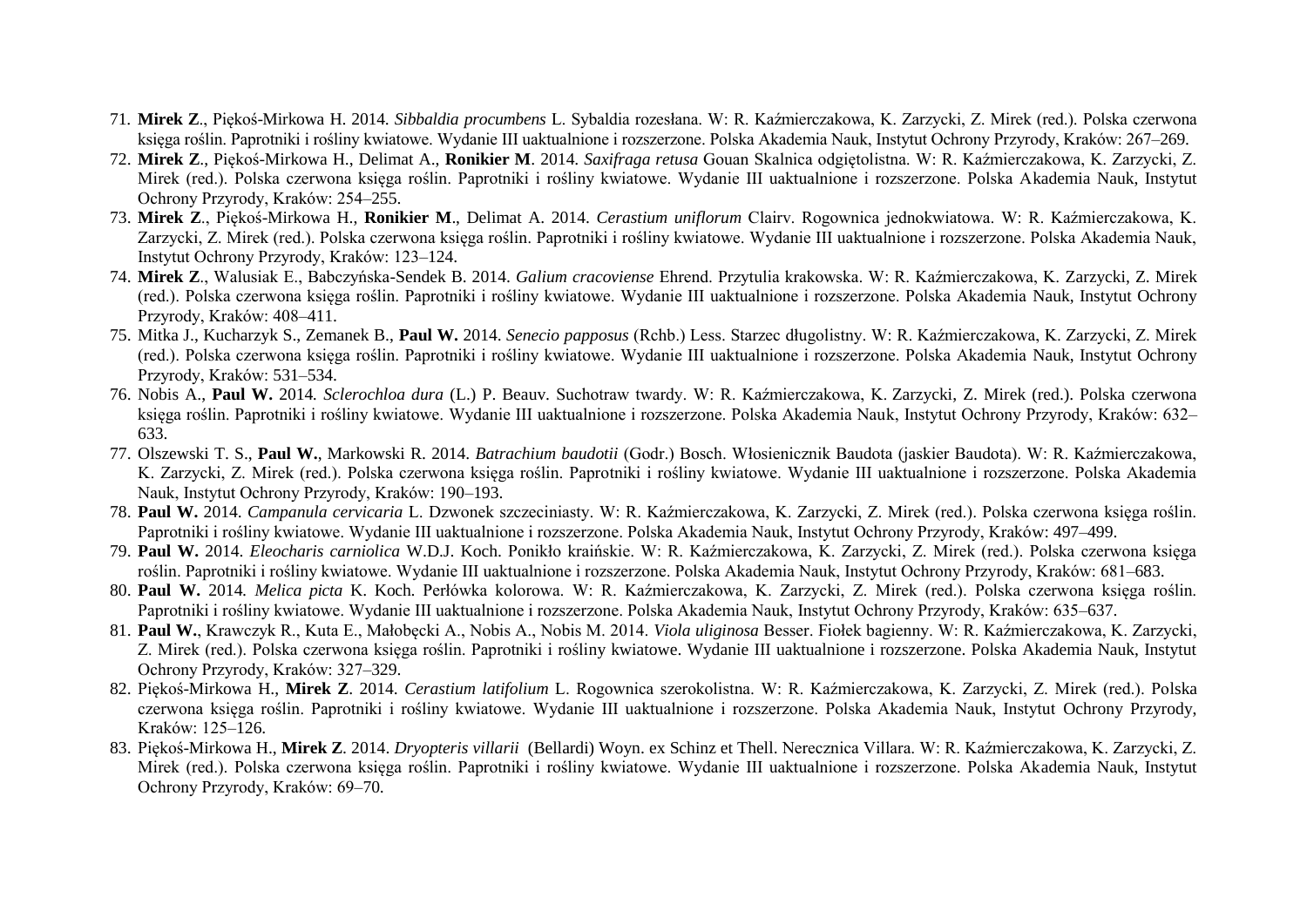- 71. **Mirek Z**., Piękoś-Mirkowa H. 2014. *Sibbaldia procumbens* L. Sybaldia rozesłana. W: R. Kaźmierczakowa, K. Zarzycki, Z. Mirek (red.). Polska czerwona księga roślin. Paprotniki i rośliny kwiatowe. Wydanie III uaktualnione i rozszerzone. Polska Akademia Nauk, Instytut Ochrony Przyrody, Kraków: 267–269.
- 72. **Mirek Z**., Piękoś-Mirkowa H., Delimat A., **Ronikier M**. 2014. *Saxifraga retusa* Gouan Skalnica odgiętolistna. W: R. Kaźmierczakowa, K. Zarzycki, Z. Mirek (red.). Polska czerwona księga roślin. Paprotniki i rośliny kwiatowe. Wydanie III uaktualnione i rozszerzone. Polska Akademia Nauk, Instytut Ochrony Przyrody, Kraków: 254–255.
- 73. **Mirek Z**., Piękoś-Mirkowa H., **Ronikier M**., Delimat A. 2014. *Cerastium uniflorum* Clairv. Rogownica jednokwiatowa. W: R. Kaźmierczakowa, K. Zarzycki, Z. Mirek (red.). Polska czerwona księga roślin. Paprotniki i rośliny kwiatowe. Wydanie III uaktualnione i rozszerzone. Polska Akademia Nauk, Instytut Ochrony Przyrody, Kraków: 123–124.
- 74. **Mirek Z**., Walusiak E., Babczyńska-Sendek B. 2014. *Galium cracoviense* Ehrend. Przytulia krakowska. W: R. Kaźmierczakowa, K. Zarzycki, Z. Mirek (red.). Polska czerwona księga roślin. Paprotniki i rośliny kwiatowe. Wydanie III uaktualnione i rozszerzone. Polska Akademia Nauk, Instytut Ochrony Przyrody, Kraków: 408–411.
- 75. Mitka J., Kucharzyk S., Zemanek B., **Paul W.** 2014. *Senecio papposus* (Rchb.) Less. Starzec długolistny. W: R. Kaźmierczakowa, K. Zarzycki, Z. Mirek (red.). Polska czerwona księga roślin. Paprotniki i rośliny kwiatowe. Wydanie III uaktualnione i rozszerzone. Polska Akademia Nauk, Instytut Ochrony Przyrody, Kraków: 531–534.
- 76. Nobis A., **Paul W.** 2014*. Sclerochloa dura* (L.) P. Beauv. Suchotraw twardy. W: R. Kaźmierczakowa, K. Zarzycki, Z. Mirek (red.). Polska czerwona księga roślin. Paprotniki i rośliny kwiatowe. Wydanie III uaktualnione i rozszerzone. Polska Akademia Nauk, Instytut Ochrony Przyrody, Kraków: 632– 633.
- 77. Olszewski T. S., **Paul W.**, Markowski R. 2014. *Batrachium baudotii* (Godr.) Bosch. Włosienicznik Baudota (jaskier Baudota). W: R. Kaźmierczakowa, K. Zarzycki, Z. Mirek (red.). Polska czerwona księga roślin. Paprotniki i rośliny kwiatowe. Wydanie III uaktualnione i rozszerzone. Polska Akademia Nauk, Instytut Ochrony Przyrody, Kraków: 190–193.
- 78. **Paul W.** 2014. *Campanula cervicaria* L. Dzwonek szczeciniasty. W: R. Kaźmierczakowa, K. Zarzycki, Z. Mirek (red.). Polska czerwona księga roślin. Paprotniki i rośliny kwiatowe. Wydanie III uaktualnione i rozszerzone. Polska Akademia Nauk, Instytut Ochrony Przyrody, Kraków: 497–499.
- 79. **Paul W.** 2014. *Eleocharis carniolica* W.D.J. Koch. Ponikło kraińskie. W: R. Kaźmierczakowa, K. Zarzycki, Z. Mirek (red.). Polska czerwona księga roślin. Paprotniki i rośliny kwiatowe. Wydanie III uaktualnione i rozszerzone. Polska Akademia Nauk, Instytut Ochrony Przyrody, Kraków: 681–683.
- 80. **Paul W.** 2014*. Melica picta* K. Koch. Perłówka kolorowa. W: R. Kaźmierczakowa, K. Zarzycki, Z. Mirek (red.). Polska czerwona księga roślin. Paprotniki i rośliny kwiatowe. Wydanie III uaktualnione i rozszerzone. Polska Akademia Nauk, Instytut Ochrony Przyrody, Kraków: 635–637.
- 81. **Paul W.**, Krawczyk R., Kuta E., Małobęcki A., Nobis A., Nobis M. 2014. *Viola uliginosa* Besser. Fiołek bagienny. W: R. Kaźmierczakowa, K. Zarzycki, Z. Mirek (red.). Polska czerwona księga roślin. Paprotniki i rośliny kwiatowe. Wydanie III uaktualnione i rozszerzone. Polska Akademia Nauk, Instytut Ochrony Przyrody, Kraków: 327–329.
- 82. Piękoś-Mirkowa H., **Mirek Z**. 2014. *Cerastium latifolium* L. Rogownica szerokolistna. W: R. Kaźmierczakowa, K. Zarzycki, Z. Mirek (red.). Polska czerwona księga roślin. Paprotniki i rośliny kwiatowe. Wydanie III uaktualnione i rozszerzone. Polska Akademia Nauk, Instytut Ochrony Przyrody, Kraków: 125–126.
- 83. Piękoś-Mirkowa H., **Mirek Z**. 2014. *Dryopteris villarii* (Bellardi) Woyn. ex Schinz et Thell. Nerecznica Villara. W: R. Kaźmierczakowa, K. Zarzycki, Z. Mirek (red.). Polska czerwona księga roślin. Paprotniki i rośliny kwiatowe. Wydanie III uaktualnione i rozszerzone. Polska Akademia Nauk, Instytut Ochrony Przyrody, Kraków: 69–70.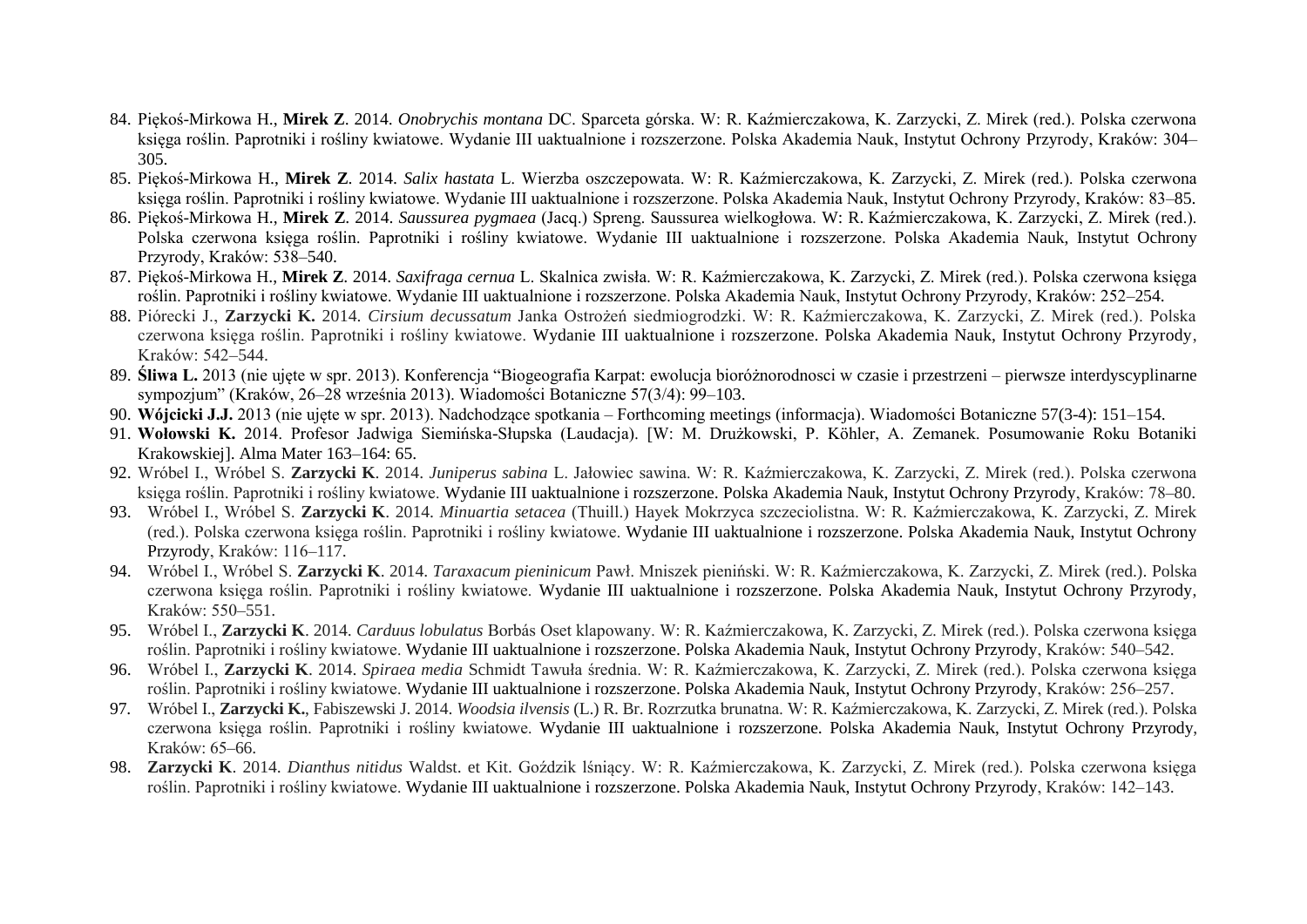- 84. Piękoś-Mirkowa H., **Mirek Z**. 2014. *Onobrychis montana* DC. Sparceta górska. W: R. Kaźmierczakowa, K. Zarzycki, Z. Mirek (red.). Polska czerwona księga roślin. Paprotniki i rośliny kwiatowe. Wydanie III uaktualnione i rozszerzone. Polska Akademia Nauk, Instytut Ochrony Przyrody, Kraków: 304– 305.
- 85. Piękoś-Mirkowa H., **Mirek Z**. 2014. *Salix hastata* L. Wierzba oszczepowata. W: R. Kaźmierczakowa, K. Zarzycki, Z. Mirek (red.). Polska czerwona księga roślin. Paprotniki i rośliny kwiatowe. Wydanie III uaktualnione i rozszerzone. Polska Akademia Nauk, Instytut Ochrony Przyrody, Kraków: 83–85.
- 86. Piękoś-Mirkowa H., **Mirek Z**. 2014. *Saussurea pygmaea* (Jacq.) Spreng. Saussurea wielkogłowa. W: R. Kaźmierczakowa, K. Zarzycki, Z. Mirek (red.). Polska czerwona księga roślin. Paprotniki i rośliny kwiatowe. Wydanie III uaktualnione i rozszerzone. Polska Akademia Nauk, Instytut Ochrony Przyrody, Kraków: 538–540.
- 87. Piękoś-Mirkowa H., **Mirek Z**. 2014. *Saxifraga cernua* L. Skalnica zwisła. W: R. Kaźmierczakowa, K. Zarzycki, Z. Mirek (red.). Polska czerwona księga roślin. Paprotniki i rośliny kwiatowe. Wydanie III uaktualnione i rozszerzone. Polska Akademia Nauk, Instytut Ochrony Przyrody, Kraków: 252–254.
- 88. Piórecki J., **Zarzycki K.** 2014. *Cirsium decussatum* Janka Ostrożeń siedmiogrodzki. W: R. Kaźmierczakowa, K. Zarzycki, Z. Mirek (red.). Polska czerwona księga roślin. Paprotniki i rośliny kwiatowe. Wydanie III uaktualnione i rozszerzone. Polska Akademia Nauk, Instytut Ochrony Przyrody, Kraków: 542–544.
- 89. **Śliwa L.** 2013 (nie ujęte w spr. 2013). Konferencja "Biogeografia Karpat: ewolucja bioróżnorodnosci w czasie i przestrzeni pierwsze interdyscyplinarne sympozjum" (Kraków, 26–28 września 2013). Wiadomości Botaniczne 57(3/4): 99–103.
- 90. **Wójcicki J.J.** 2013 (nie ujęte w spr. 2013). Nadchodzące spotkania Forthcoming meetings (informacja). Wiadomości Botaniczne 57(3-4): 151–154.
- 91. **Wołowski K.** 2014. Profesor Jadwiga Siemińska-Słupska (Laudacja). [W: M. Drużkowski, P. Köhler, A. Zemanek. Posumowanie Roku Botaniki Krakowskiej]. Alma Mater 163–164: 65.
- 92. Wróbel I., Wróbel S. **Zarzycki K**. 2014. *Juniperus sabina* L. Jałowiec sawina. W: R. Kaźmierczakowa, K. Zarzycki, Z. Mirek (red.). Polska czerwona księga roślin. Paprotniki i rośliny kwiatowe. Wydanie III uaktualnione i rozszerzone. Polska Akademia Nauk, Instytut Ochrony Przyrody, Kraków: 78–80.
- 93. Wróbel I., Wróbel S. **Zarzycki K**. 2014. *Minuartia setacea* (Thuill.) Hayek Mokrzyca szczeciolistna. W: R. Kaźmierczakowa, K. Zarzycki, Z. Mirek (red.). Polska czerwona księga roślin. Paprotniki i rośliny kwiatowe. Wydanie III uaktualnione i rozszerzone. Polska Akademia Nauk, Instytut Ochrony Przyrody, Kraków: 116–117.
- 94. Wróbel I., Wróbel S. **Zarzycki K**. 2014. *Taraxacum pieninicum* Pawł. Mniszek pieniński. W: R. Kaźmierczakowa, K. Zarzycki, Z. Mirek (red.). Polska czerwona księga roślin. Paprotniki i rośliny kwiatowe. Wydanie III uaktualnione i rozszerzone. Polska Akademia Nauk, Instytut Ochrony Przyrody, Kraków: 550–551.
- 95. Wróbel I., **Zarzycki K**. 2014. *Carduus lobulatus* Borbás Oset klapowany. W: R. Kaźmierczakowa, K. Zarzycki, Z. Mirek (red.). Polska czerwona księga roślin. Paprotniki i rośliny kwiatowe. Wydanie III uaktualnione i rozszerzone. Polska Akademia Nauk, Instytut Ochrony Przyrody, Kraków: 540–542.
- 96. Wróbel I., **Zarzycki K**. 2014. *Spiraea media* Schmidt Tawuła średnia. W: R. Kaźmierczakowa, K. Zarzycki, Z. Mirek (red.). Polska czerwona księga roślin. Paprotniki i rośliny kwiatowe. Wydanie III uaktualnione i rozszerzone. Polska Akademia Nauk, Instytut Ochrony Przyrody, Kraków: 256–257.
- 97. Wróbel I., **Zarzycki K.**, Fabiszewski J. 2014. *Woodsia ilvensis* (L.) R. Br. Rozrzutka brunatna. W: R. Kaźmierczakowa, K. Zarzycki, Z. Mirek (red.). Polska czerwona księga roślin. Paprotniki i rośliny kwiatowe. Wydanie III uaktualnione i rozszerzone. Polska Akademia Nauk, Instytut Ochrony Przyrody, Kraków: 65–66.
- 98. **Zarzycki K**. 2014. *Dianthus nitidus* Waldst. et Kit. Goździk lśniący. W: R. Kaźmierczakowa, K. Zarzycki, Z. Mirek (red.). Polska czerwona księga roślin. Paprotniki i rośliny kwiatowe. Wydanie III uaktualnione i rozszerzone. Polska Akademia Nauk, Instytut Ochrony Przyrody, Kraków: 142–143.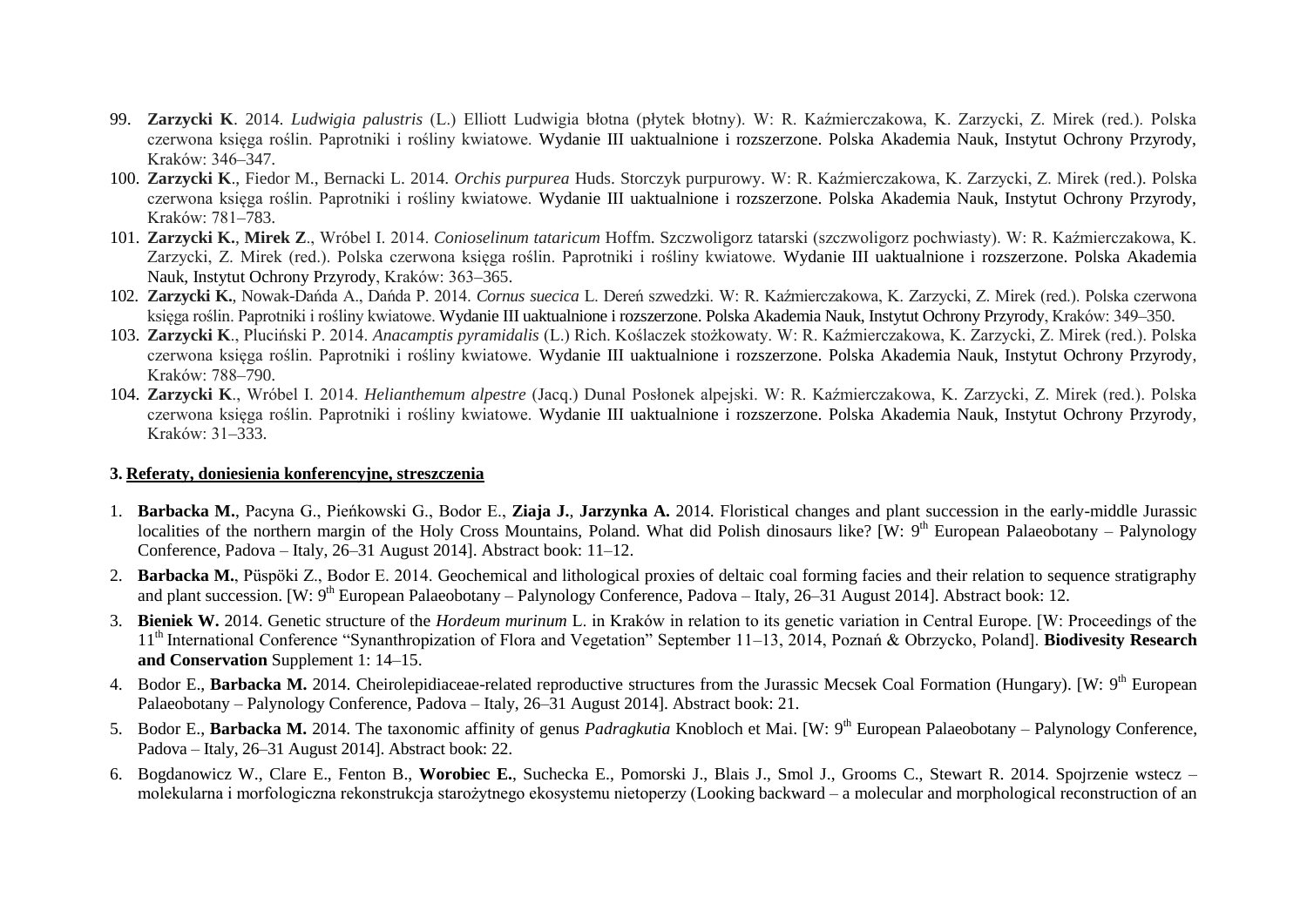- 99. **Zarzycki K**. 2014. *Ludwigia palustris* (L.) Elliott Ludwigia błotna (płytek błotny). W: R. Kaźmierczakowa, K. Zarzycki, Z. Mirek (red.). Polska czerwona księga roślin. Paprotniki i rośliny kwiatowe. Wydanie III uaktualnione i rozszerzone. Polska Akademia Nauk, Instytut Ochrony Przyrody, Kraków: 346–347.
- 100. **Zarzycki K**., Fiedor M., Bernacki L. 2014. *Orchis purpurea* Huds. Storczyk purpurowy. W: R. Kaźmierczakowa, K. Zarzycki, Z. Mirek (red.). Polska czerwona księga roślin. Paprotniki i rośliny kwiatowe. Wydanie III uaktualnione i rozszerzone. Polska Akademia Nauk, Instytut Ochrony Przyrody, Kraków: 781–783.
- 101. **Zarzycki K.**, **Mirek Z**., Wróbel I. 2014. *Conioselinum tataricum* Hoffm. Szczwoligorz tatarski (szczwoligorz pochwiasty). W: R. Kaźmierczakowa, K. Zarzycki, Z. Mirek (red.). Polska czerwona księga roślin. Paprotniki i rośliny kwiatowe. Wydanie III uaktualnione i rozszerzone. Polska Akademia Nauk, Instytut Ochrony Przyrody, Kraków: 363–365.
- 102. **Zarzycki K.**, Nowak-Dańda A., Dańda P. 2014. *Cornus suecica* L. Dereń szwedzki. W: R. Kaźmierczakowa, K. Zarzycki, Z. Mirek (red.). Polska czerwona księga roślin. Paprotniki i rośliny kwiatowe. Wydanie III uaktualnione i rozszerzone. Polska Akademia Nauk, Instytut Ochrony Przyrody, Kraków: 349–350.
- 103. **Zarzycki K**., Pluciński P. 2014. *Anacamptis pyramidalis* (L.) Rich. Koślaczek stożkowaty. W: R. Kaźmierczakowa, K. Zarzycki, Z. Mirek (red.). Polska czerwona księga roślin. Paprotniki i rośliny kwiatowe. Wydanie III uaktualnione i rozszerzone. Polska Akademia Nauk, Instytut Ochrony Przyrody, Kraków: 788–790.
- 104. **Zarzycki K**., Wróbel I. 2014. *Helianthemum alpestre* (Jacq.) Dunal Posłonek alpejski. W: R. Kaźmierczakowa, K. Zarzycki, Z. Mirek (red.). Polska czerwona księga roślin. Paprotniki i rośliny kwiatowe. Wydanie III uaktualnione i rozszerzone. Polska Akademia Nauk, Instytut Ochrony Przyrody, Kraków: 31–333.

#### **3. Referaty, doniesienia konferencyjne, streszczenia**

- 1. **Barbacka M.**, Pacyna G., Pieńkowski G., Bodor E., **Ziaja J.**, **Jarzynka A.** 2014. Floristical changes and plant succession in the early-middle Jurassic localities of the northern margin of the Holy Cross Mountains, Poland. What did Polish dinosaurs like? [W: 9<sup>th</sup> European Palaeobotany – Palynology Conference, Padova – Italy, 26–31 August 2014]. Abstract book: 11–12.
- 2. **Barbacka M.**, Püspöki Z., Bodor E. 2014. Geochemical and lithological proxies of deltaic coal forming facies and their relation to sequence stratigraphy and plant succession. [W: 9<sup>th</sup> European Palaeobotany – Palynology Conference, Padova – Italy, 26–31 August 2014]. Abstract book: 12.
- 3. **Bieniek W.** 2014. Genetic structure of the *Hordeum murinum* L. in Kraków in relation to its genetic variation in Central Europe. [W: Proceedings of the 11th International Conference "Synanthropization of Flora and Vegetation" September 11–13, 2014, Poznań & Obrzycko, Poland]. **Biodivesity Research and Conservation** Supplement 1: 14–15.
- 4. Bodor E., Barbacka M. 2014. Cheirolepidiaceae-related reproductive structures from the Jurassic Mecsek Coal Formation (Hungary). [W: 9<sup>th</sup> European Palaeobotany – Palynology Conference, Padova – Italy, 26–31 August 2014]. Abstract book: 21.
- 5. Bodor E., Barbacka M. 2014. The taxonomic affinity of genus Padragkutia Knobloch et Mai. [W: 9<sup>th</sup> European Palaeobotany Palynology Conference, Padova – Italy, 26–31 August 2014]. Abstract book: 22.
- 6. Bogdanowicz W., Clare E., Fenton B., **Worobiec E.**, Suchecka E., Pomorski J., Blais J., Smol J., Grooms C., Stewart R. 2014. Spojrzenie wstecz molekularna i morfologiczna rekonstrukcja starożytnego ekosystemu nietoperzy (Looking backward – a molecular and morphological reconstruction of an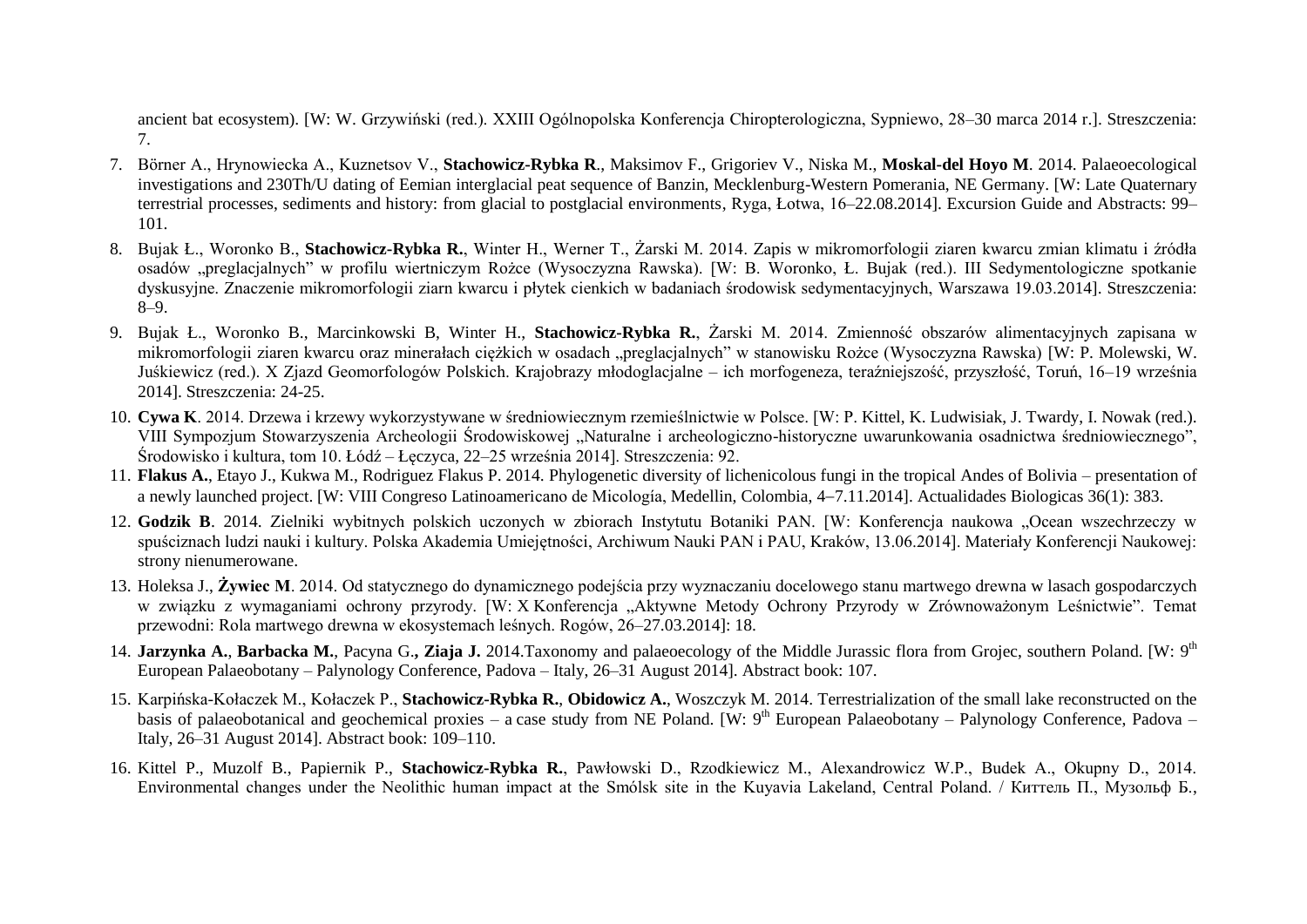ancient bat ecosystem). [W: W. Grzywiński (red.). XXIII Ogólnopolska Konferencja Chiropterologiczna, Sypniewo, 28–30 marca 2014 r.]. Streszczenia: 7.

- 7. Börner A., Hrynowiecka A., Kuznetsov V., **Stachowicz-Rybka R**., Maksimov F., Grigoriev V., Niska M., **Moskal-del Hoyo M**. 2014. Palaeoecological investigations and 230Th/U dating of Eemian interglacial peat sequence of Banzin, Mecklenburg-Western Pomerania, NE Germany. [W: Late Quaternary terrestrial processes, sediments and history: from glacial to postglacial environments, Ryga, Łotwa, 16–22.08.2014]. Excursion Guide and Abstracts: 99– 101.
- 8. Bujak Ł., Woronko B., **Stachowicz-Rybka R.**, Winter H., Werner T., Żarski M. 2014. Zapis w mikromorfologii ziaren kwarcu zmian klimatu i źródła osadów "preglacjalnych" w profilu wiertniczym Rożce (Wysoczyzna Rawska). [W: B. Woronko, Ł. Bujak (red.). III Sedymentologiczne spotkanie dyskusyjne. Znaczenie mikromorfologii ziarn kwarcu i płytek cienkich w badaniach środowisk sedymentacyjnych, Warszawa 19.03.2014]. Streszczenia: 8–9.
- 9. Bujak Ł., Woronko B., Marcinkowski B, Winter H., **Stachowicz-Rybka R.**, Żarski M. 2014. Zmienność obszarów alimentacyjnych zapisana w mikromorfologii ziaren kwarcu oraz minerałach ciężkich w osadach "preglacjalnych" w stanowisku Rożce (Wysoczyzna Rawska) [W: P. Molewski, W. Juśkiewicz (red.). X Zjazd Geomorfologów Polskich. Krajobrazy młodoglacjalne – ich morfogeneza, teraźniejszość, przyszłość, Toruń, 16–19 września 2014]. Streszczenia: 24-25.
- 10. **Cywa K**. 2014. Drzewa i krzewy wykorzystywane w średniowiecznym rzemieślnictwie w Polsce. [W: P. Kittel, K. Ludwisiak, J. Twardy, I. Nowak (red.). VIII Sympozjum Stowarzyszenia Archeologii Środowiskowej "Naturalne i archeologiczno-historyczne uwarunkowania osadnictwa średniowiecznego", Środowisko i kultura, tom 10. Łódź – Łęczyca, 22–25 września 2014]. Streszczenia: 92.
- 11. **Flakus A.**, Etayo J., Kukwa M., Rodriguez Flakus P. 2014. Phylogenetic diversity of lichenicolous fungi in the tropical Andes of Bolivia presentation of a newly launched project. [W: VIII Congreso Latinoamericano de Micología, Medellin, Colombia, 47.11.2014]. Actualidades Biologicas 36(1): 383.
- 12. Godzik B. 2014. Zielniki wybitnych polskich uczonych w zbiorach Instytutu Botaniki PAN. [W: Konferencja naukowa "Ocean wszechrzeczy w spuściznach ludzi nauki i kultury. Polska Akademia Umiejętności, Archiwum Nauki PAN i PAU, Kraków, 13.06.2014]. Materiały Konferencji Naukowej: strony nienumerowane.
- 13. Holeksa J., **Żywiec M**. 2014. Od statycznego do dynamicznego podejścia przy wyznaczaniu docelowego stanu martwego drewna w lasach gospodarczych w związku z wymaganiami ochrony przyrody. [W: X Konferencja "Aktywne Metody Ochrony Przyrody w Zrównoważonym Leśnictwie". Temat przewodni: Rola martwego drewna w ekosystemach leśnych. Rogów, 26–27.03.2014]: 18.
- 14. Jarzynka A., Barbacka M., Pacyna G., Ziaja J. 2014.Taxonomy and palaeoecology of the Middle Jurassic flora from Grojec, southern Poland. [W: 9<sup>th</sup> European Palaeobotany – Palynology Conference, Padova – Italy, 26–31 August 2014]. Abstract book: 107.
- 15. Karpińska-Kołaczek M., Kołaczek P., **Stachowicz-Rybka R.**, **Obidowicz A.**, Woszczyk M. 2014. Terrestrialization of the small lake reconstructed on the basis of palaeobotanical and geochemical proxies - a case study from NE Poland. [W: 9<sup>th</sup> European Palaeobotany - Palynology Conference, Padova -Italy, 26–31 August 2014]. Abstract book: 109–110.
- 16. Kittel P., Muzolf B., Papiernik P., **Stachowicz-Rybka R.**, Pawłowski D., Rzodkiewicz M., Alexandrowicz W.P., Budek A., Okupny D., 2014. Environmental changes under the Neolithic human impact at the Smólsk site in the Kuyavia Lakeland, Central Poland. / Киттель П., Музольф Б.,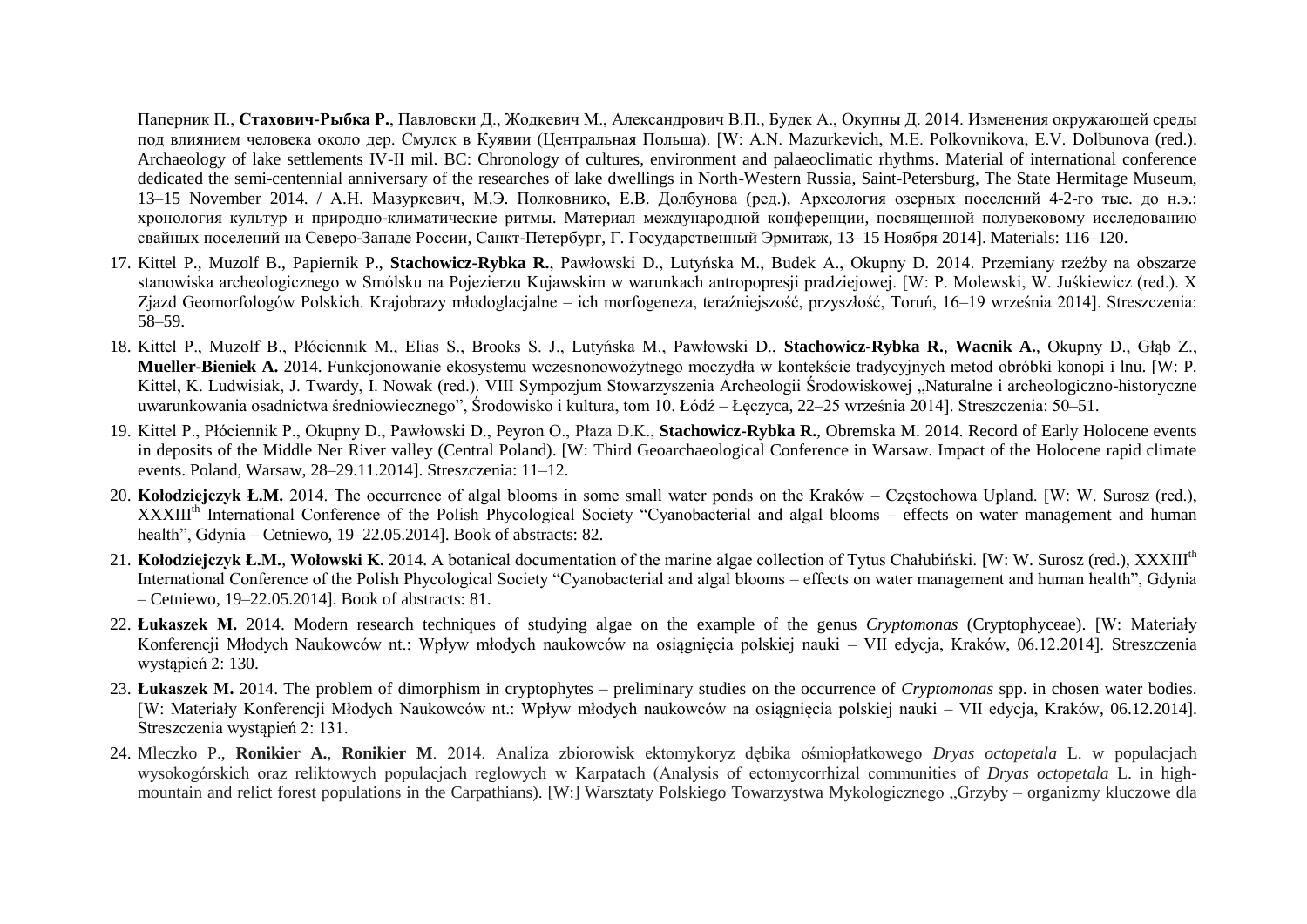Паперник П., **Стахович-Рыбка Р.**, Павловски Д., Жодкевич M., Александрович В.П., Будек A., Окупны Д. 2014. Изменения окружающей среды под влиянием человека около дер. Смулск в Куявии (Центральная Польша). [W: A.N. Mazurkevich, M.E. Polkovnikova, E.V. Dolbunova (red.). Archaeology of lake settlements IV-II mil. BC: Chronology of cultures, environment and palaeoclimatic rhythms. Material of international conference dedicated the semi-centennial anniversary of the researches of lake dwellings in North-Western Russia, Saint-Petersburg, The State Hermitage Museum, 13–15 November 2014. / А.Н. Мазуркевич, М.Э. Полковнико, Е.В. Долбунова (ред.), Археология озерных поселений 4-2-го тыс. до н.э.: хронология культур и природно-климатические ритмы. Материал международной конференции, посвященной полувековому исследованию свайных поселений на Северо-Западе России, Санкт-Петербург, Г. Государственный Эрмитаж, 13–15 Ноября 2014]. Materials: 116–120.

- 17. Kittel P., Muzolf B., Papiernik P., **Stachowicz-Rybka R.**, Pawłowski D., Lutyńska M., Budek A., Okupny D. 2014. Przemiany rzeźby na obszarze stanowiska archeologicznego w Smólsku na Pojezierzu Kujawskim w warunkach antropopresji pradziejowej. [W: P. Molewski, W. Juśkiewicz (red.). X Zjazd Geomorfologów Polskich. Krajobrazy młodoglacjalne – ich morfogeneza, teraźniejszość, przyszłość, Toruń, 16–19 września 2014]. Streszczenia: 58–59.
- 18. Kittel P., Muzolf B., Płóciennik M., Elias S., Brooks S. J., Lutyńska M., Pawłowski D., **Stachowicz-Rybka R.**, **Wacnik A.**, Okupny D., Głąb Z., **Mueller-Bieniek A.** 2014. Funkcjonowanie ekosystemu wczesnonowożytnego moczydła w kontekście tradycyjnych metod obróbki konopi i lnu. [W: P. Kittel, K. Ludwisiak, J. Twardy, I. Nowak (red.). VIII Sympozjum Stowarzyszenia Archeologii Środowiskowej "Naturalne i archeologiczno-historyczne uwarunkowania osadnictwa średniowiecznego", Środowisko i kultura, tom 10. Łódź – Łęczyca, 22–25 września 2014]. Streszczenia: 50–51.
- 19. Kittel P., Płóciennik P., Okupny D., Pawłowski D., Peyron O., Płaza D.K., **Stachowicz-Rybka R.**, Obremska M. 2014. Record of Early Holocene events in deposits of the Middle Ner River valley (Central Poland). [W: Third Geoarchaeological Conference in Warsaw. Impact of the Holocene rapid climate events. Poland, Warsaw, 28–29.11.2014]. Streszczenia: 11–12.
- 20. **Kołodziejczyk Ł.M.** 2014. The occurrence of algal blooms in some small water ponds on the Kraków Częstochowa Upland. [W: W. Surosz (red.), XXXIII<sup>th</sup> International Conference of the Polish Phycological Society "Cyanobacterial and algal blooms – effects on water management and human health", Gdynia – Cetniewo, 19–22.05.2014]. Book of abstracts: 82.
- 21. **Kołodziejczyk Ł.M.**, **Wołowski K.** 2014. A botanical documentation of the marine algae collection of Tytus Chałubiński. [W: W. Surosz (red.), XXXIIIth International Conference of the Polish Phycological Society "Cyanobacterial and algal blooms – effects on water management and human health", Gdynia – Cetniewo, 19–22.05.2014]. Book of abstracts: 81.
- 22. **Łukaszek M.** 2014. Modern research techniques of studying algae on the example of the genus *Cryptomonas* (Cryptophyceae). [W: Materiały Konferencji Młodych Naukowców nt.: Wpływ młodych naukowców na osiągnięcia polskiej nauki – VII edycja, Kraków, 06.12.2014]. Streszczenia wystąpień 2: 130.
- 23. **Łukaszek M.** 2014. The problem of dimorphism in cryptophytes preliminary studies on the occurrence of *Cryptomonas* spp. in chosen water bodies. [W: Materiały Konferencji Młodych Naukowców nt.: Wpływ młodych naukowców na osiągnięcia polskiej nauki – VII edycja, Kraków, 06.12.2014]. Streszczenia wystąpień 2: 131.
- 24. Mleczko P., **Ronikier A.**, **Ronikier M**. 2014. Analiza zbiorowisk ektomykoryz dębika ośmiopłatkowego *Dryas octopetala* L. w populacjach wysokogórskich oraz reliktowych populacjach reglowych w Karpatach (Analysis of ectomycorrhizal communities of *Dryas octopetala* L. in highmountain and relict forest populations in the Carpathians). [W:] Warsztaty Polskiego Towarzystwa Mykologicznego "Grzyby – organizmy kluczowe dla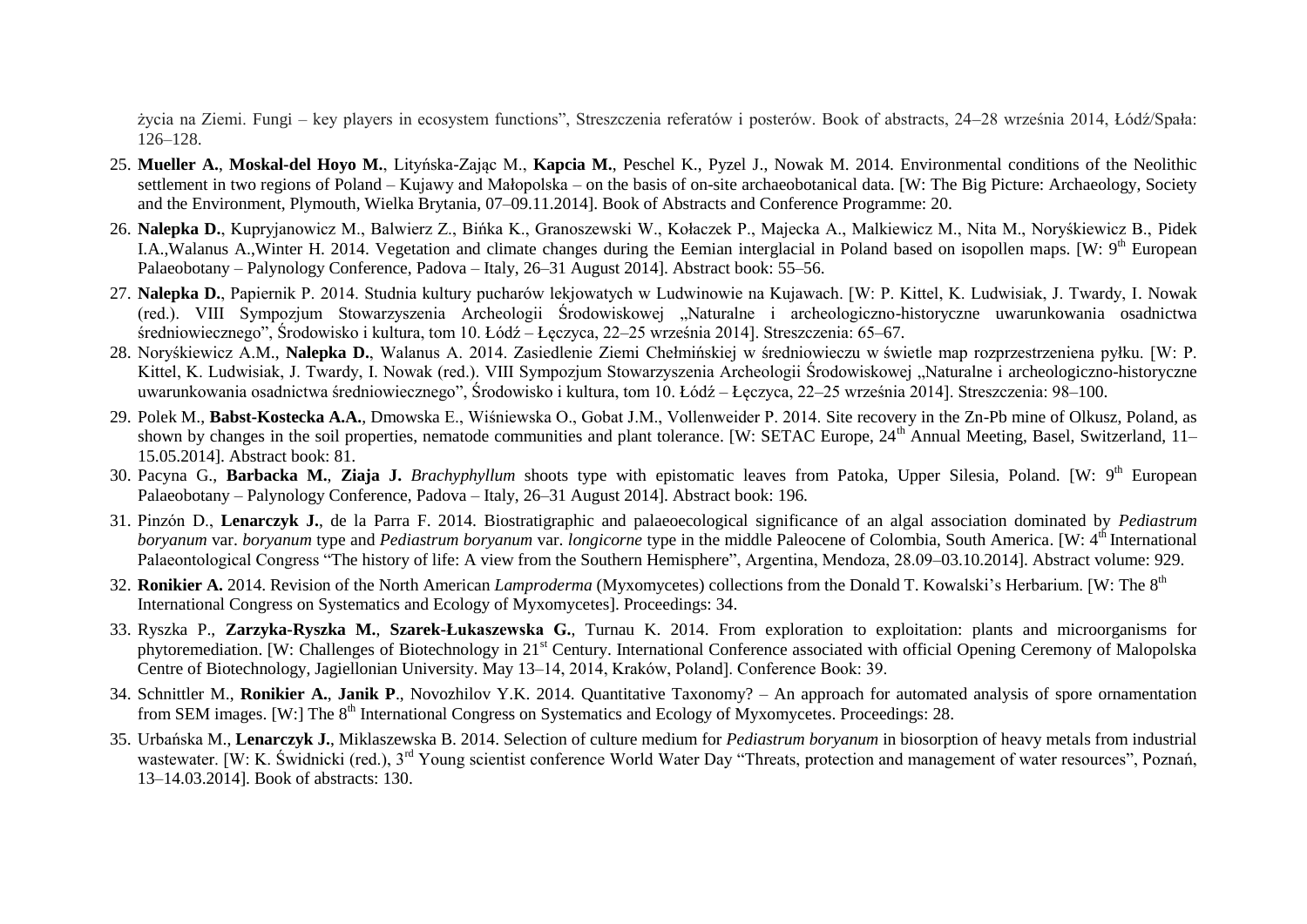życia na Ziemi. Fungi – key players in ecosystem functions", Streszczenia referatów i posterów. Book of abstracts, 24–28 września 2014, Łódź/Spała: 126–128.

- 25. **Mueller A.**, **Moskal-del Hoyo M.**, Lityńska-Zając M., **Kapcia M.**, Peschel K., Pyzel J., Nowak M. 2014. Environmental conditions of the Neolithic settlement in two regions of Poland – Kujawy and Małopolska – on the basis of on-site archaeobotanical data. [W: The Big Picture: Archaeology, Society and the Environment, Plymouth, Wielka Brytania, 07–09.11.2014]. Book of Abstracts and Conference Programme: 20.
- 26. **Nalepka D.**, Kupryjanowicz M., Balwierz Z., Bińka K., Granoszewski W., Kołaczek P., Majecka A., Malkiewicz M., Nita M., Noryśkiewicz B., Pidek I.A., Walanus A., Winter H. 2014. Vegetation and climate changes during the Eemian interglacial in Poland based on isopollen maps. [W: 9<sup>th</sup> European Palaeobotany – Palynology Conference, Padova – Italy, 26–31 August 2014]. Abstract book: 55–56.
- 27. **Nalepka D.**, Papiernik P. 2014. Studnia kultury pucharów lekjowatych w Ludwinowie na Kujawach. [W: P. Kittel, K. Ludwisiak, J. Twardy, I. Nowak (red.). VIII Sympozjum Stowarzyszenia Archeologii Środowiskowej "Naturalne i archeologiczno-historyczne uwarunkowania osadnictwa średniowiecznego", Środowisko i kultura, tom 10. Łódź – Łęczyca, 22–25 września 2014]. Streszczenia: 65–67.
- 28. Noryśkiewicz A.M., **Nalepka D.**, Walanus A. 2014. Zasiedlenie Ziemi Chełmińskiej w średniowieczu w świetle map rozprzestrzeniena pyłku. [W: P. Kittel, K. Ludwisiak, J. Twardy, I. Nowak (red.). VIII Sympozjum Stowarzyszenia Archeologii Środowiskowej "Naturalne i archeologiczno-historyczne uwarunkowania osadnictwa średniowiecznego", Środowisko i kultura, tom 10. Łódź – Łęczyca, 22–25 września 2014]. Streszczenia: 98–100.
- 29. Polek M., **Babst-Kostecka A.A.**, Dmowska E., Wiśniewska O., Gobat J.M., Vollenweider P. 2014. Site recovery in the Zn-Pb mine of Olkusz, Poland, as shown by changes in the soil properties, nematode communities and plant tolerance. [W: SETAC Europe, 24<sup>th</sup> Annual Meeting, Basel, Switzerland, 11– 15.05.2014]. Abstract book: 81.
- 30. Pacyna G., **Barbacka M.**, **Ziaja J.** *Brachyphyllum* shoots type with epistomatic leaves from Patoka, Upper Silesia, Poland. [W: 9 th European Palaeobotany – Palynology Conference, Padova – Italy, 26–31 August 2014]. Abstract book: 196.
- 31. Pinzón D., **Lenarczyk J.**, de la Parra F. 2014. Biostratigraphic and palaeoecological significance of an algal association dominated by *Pediastrum boryanum* var. *boryanum* type and *Pediastrum boryanum* var. *longicorne* type in the middle Paleocene of Colombia, South America. [W: 4<sup>th</sup> International Palaeontological Congress "The history of life: A view from the Southern Hemisphere", Argentina, Mendoza, 28.09–03.10.2014]. Abstract volume: 929.
- 32. Ronikier A. 2014. Revision of the North American *Lamproderma* (Myxomycetes) collections from the Donald T. Kowalski's Herbarium. [W: The 8<sup>th</sup> International Congress on Systematics and Ecology of Myxomycetes]. Proceedings: 34.
- 33. Ryszka P., **Zarzyka-Ryszka M.**, **Szarek-Łukaszewska G.**, Turnau K. 2014. From exploration to exploitation: plants and microorganisms for phytoremediation. [W: Challenges of Biotechnology in 21<sup>st</sup> Century. International Conference associated with official Opening Ceremony of Malopolska Centre of Biotechnology, Jagiellonian University. May 13–14, 2014, Kraków, Poland]. Conference Book: 39.
- 34. Schnittler M., **Ronikier A.**, **Janik P**., Novozhilov Y.K. 2014. Quantitative Taxonomy? An approach for automated analysis of spore ornamentation from SEM images. [W:] The 8<sup>th</sup> International Congress on Systematics and Ecology of Myxomycetes. Proceedings: 28.
- 35. Urbańska M., **Lenarczyk J.**, Miklaszewska B. 2014. Selection of culture medium for *Pediastrum boryanum* in biosorption of heavy metals from industrial wastewater. [W: K. Świdnicki (red.), 3<sup>rd</sup> Young scientist conference World Water Day "Threats, protection and management of water resources", Poznań, 13–14.03.2014]. Book of abstracts: 130.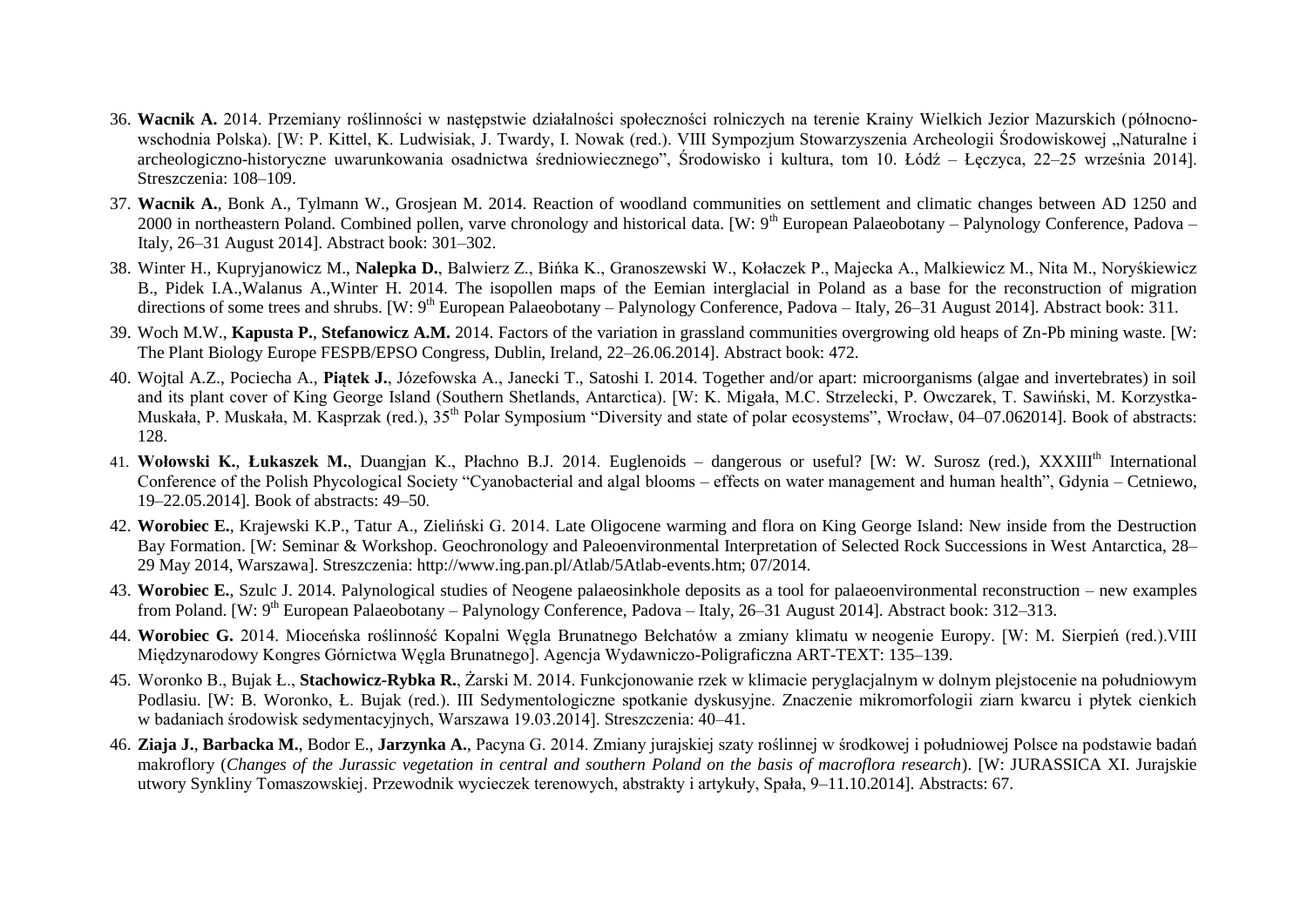- 36. **Wacnik A.** 2014. Przemiany roślinności w następstwie działalności społeczności rolniczych na terenie Krainy Wielkich Jezior Mazurskich (północnowschodnia Polska). [W: P. Kittel, K. Ludwisiak, J. Twardy, I. Nowak (red.). VIII Sympozjum Stowarzyszenia Archeologii Środowiskowej "Naturalne i archeologiczno-historyczne uwarunkowania osadnictwa średniowiecznego", Środowisko i kultura, tom 10. Łódź – Łęczyca, 22–25 września 2014]. Streszczenia: 108–109.
- 37. **Wacnik A.**, Bonk A., Tylmann W., Grosjean M. 2014. Reaction of woodland communities on settlement and climatic changes between AD 1250 and 2000 in northeastern Poland. Combined pollen, varve chronology and historical data. [W:  $9<sup>th</sup>$  European Palaeobotany – Palynology Conference, Padova – Italy, 26–31 August 2014]. Abstract book: 301–302.
- 38. Winter H., Kupryjanowicz M., **Nalepka D.**, Balwierz Z., Bińka K., Granoszewski W., Kołaczek P., Majecka A., Malkiewicz M., Nita M., Noryśkiewicz B., Pidek I.A.,Walanus A.,Winter H. 2014. The isopollen maps of the Eemian interglacial in Poland as a base for the reconstruction of migration directions of some trees and shrubs. [W: 9<sup>th</sup> European Palaeobotany – Palynology Conference, Padova – Italy, 26–31 August 2014]. Abstract book: 311.
- 39. Woch M.W., **Kapusta P.**, **Stefanowicz A.M.** 2014. Factors of the variation in grassland communities overgrowing old heaps of Zn-Pb mining waste. [W: The Plant Biology Europe FESPB/EPSO Congress, Dublin, Ireland, 22–26.06.2014]. Abstract book: 472.
- 40. Wojtal A.Z., Pociecha A., **Piątek J.**, Józefowska A., Janecki T., Satoshi I. 2014. Together and/or apart: microorganisms (algae and invertebrates) in soil and its plant cover of King George Island (Southern Shetlands, Antarctica). [W: K. Migała, M.C. Strzelecki, P. Owczarek, T. Sawiński, M. Korzystka-Muskała, P. Muskała, M. Kasprzak (red.),  $35<sup>th</sup>$  Polar Symposium "Diversity and state of polar ecosystems", Wrocław, 04–07.062014]. Book of abstracts: 128.
- 41. Wołowski K., Łukaszek M., Duangjan K., Płachno B.J. 2014. Euglenoids dangerous or useful? [W: W. Surosz (red.), XXXIII<sup>th</sup> International Conference of the Polish Phycological Society "Cyanobacterial and algal blooms – effects on water management and human health", Gdynia – Cetniewo, 19–22.05.2014]. Book of abstracts: 49–50.
- 42. **Worobiec E.**, Krajewski K.P., Tatur A., Zieliński G. 2014. Late Oligocene warming and flora on King George Island: New inside from the Destruction Bay Formation. [W: Seminar & Workshop. Geochronology and Paleoenvironmental Interpretation of Selected Rock Successions in West Antarctica, 28– 29 May 2014, Warszawa]. Streszczenia: http://www.ing.pan.pl/Atlab/5Atlab-events.htm; 07/2014.
- 43. **Worobiec E.**, Szulc J. 2014. Palynological studies of Neogene palaeosinkhole deposits as a tool for palaeoenvironmental reconstruction new examples from Poland. [W: 9<sup>th</sup> European Palaeobotany – Palynology Conference, Padova – Italy, 26–31 August 2014]. Abstract book: 312–313.
- 44. **Worobiec G.** 2014. Mioceńska roślinność Kopalni Węgla Brunatnego Bełchatów a zmiany klimatu w neogenie Europy. [W: M. Sierpień (red.).VIII Międzynarodowy Kongres Górnictwa Węgla Brunatnego]. Agencja Wydawniczo-Poligraficzna ART-TEXT: 135–139.
- 45. Woronko B., Bujak Ł., **Stachowicz-Rybka R.**, Żarski M. 2014. Funkcjonowanie rzek w klimacie peryglacjalnym w dolnym plejstocenie na południowym Podlasiu. [W: B. Woronko, Ł. Bujak (red.). III Sedymentologiczne spotkanie dyskusyjne. Znaczenie mikromorfologii ziarn kwarcu i płytek cienkich w badaniach środowisk sedymentacyjnych, Warszawa 19.03.2014]. Streszczenia: 40–41.
- 46. **Ziaja J.**, **Barbacka M.**, Bodor E., **Jarzynka A.**, Pacyna G. 2014. Zmiany jurajskiej szaty roślinnej w środkowej i południowej Polsce na podstawie badań makroflory (*Changes of the Jurassic vegetation in central and southern Poland on the basis of macroflora research*). [W: JURASSICA XI. Jurajskie utwory Synkliny Tomaszowskiej. Przewodnik wycieczek terenowych, abstrakty i artykuły, Spała, 9–11.10.2014]. Abstracts: 67.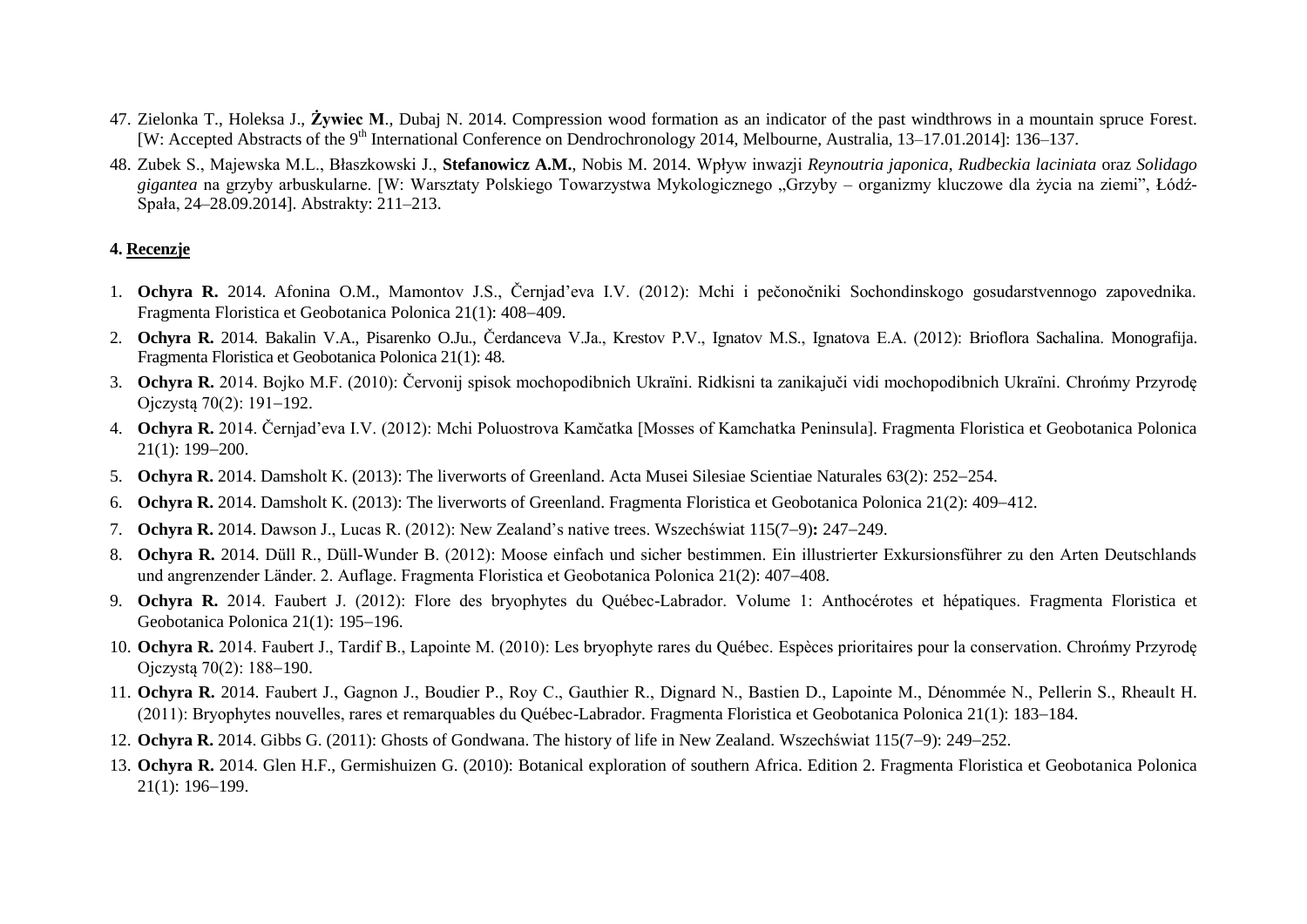- 47. Zielonka T., Holeksa J., **Żywiec M**., Dubaj N. 2014. Compression wood formation as an indicator of the past windthrows in a mountain spruce Forest. [W: Accepted Abstracts of the 9th International Conference on Dendrochronology 2014, Melbourne, Australia, 13–17.01.2014]: 136–137.
- 48. Zubek S., Majewska M.L., Błaszkowski J., **Stefanowicz A.M.**, Nobis M. 2014. Wpływ inwazji *Reynoutria japonica*, *Rudbeckia laciniata* oraz *Solidago gigantea* na grzyby arbuskularne. [W: Warsztaty Polskiego Towarzystwa Mykologicznego "Grzyby – organizmy kluczowe dla życia na ziemi", Łódź-Spała, 24–28.09.2014]. Abstrakty: 211–213.

#### **4. Recenzje**

- 1. **Ochyra R.** 2014. Afonina O.M., Mamontov J.S., Černjad'eva I.V. (2012): Mchi i pečonočniki Sochondinskogo gosudarstvennogo zapovednika. Fragmenta Floristica et Geobotanica Polonica 21(1): 408-409.
- 2. **Ochyra R.** 2014. Bakalin V.A., Pisarenko O.Ju., Čerdanceva V.Ja., Krestov P.V., Ignatov M.S., Ignatova E.A. (2012): Brioflora Sachalina. Monografija. Fragmenta Floristica et Geobotanica Polonica 21(1): 48.
- 3. **Ochyra R.** 2014. Bojko M.F. (2010): Červonij spisok mochopodibnich Ukraïni. Ridkisni ta zanikajuči vidi mochopodibnich Ukraïni. Chrońmy Przyrodę Ojczystą  $70(2)$ : 191-192.
- 4. **Ochyra R.** 2014. Černjad'eva I.V. (2012): Mchi Poluostrova Kamčatka [Mosses of Kamchatka Peninsula]. Fragmenta Floristica et Geobotanica Polonica  $21(1): 199 - 200.$
- 5. **Ochyra R.** 2014. Damsholt K. (2013): The liverworts of Greenland. Acta Musei Silesiae Scientiae Naturales 63(2): 252–254.
- 6. **Ochyra R.** 2014. Damsholt K. (2013): The liverworts of Greenland. Fragmenta Floristica et Geobotanica Polonica 21(2): 409–412.
- 7. **Ochyra R.** 2014. Dawson J., Lucas R. (2012): New Zealand's native trees. Wszechświat 115(79)**:** 247249.
- 8. **Ochyra R.** 2014. Düll R., Düll-Wunder B. (2012): Moose einfach und sicher bestimmen. Ein illustrierter Exkursionsführer zu den Arten Deutschlands und angrenzender Länder. 2. Auflage. Fragmenta Floristica et Geobotanica Polonica 21(2): 407–408.
- 9. **Ochyra R.** 2014. Faubert J. (2012): Flore des bryophytes du Québec-Labrador. Volume 1: Anthocérotes et hépatiques. Fragmenta Floristica et Geobotanica Polonica  $21(1)$ : 195-196.
- 10. **Ochyra R.** 2014. Faubert J., Tardif B., Lapointe M. (2010): Les bryophyte rares du Québec. Espèces prioritaires pour la conservation. Chrońmy Przyrodę Ojczystą 70(2): 188-190.
- 11. **Ochyra R.** 2014. Faubert J., Gagnon J., Boudier P., Roy C., Gauthier R., Dignard N., Bastien D., Lapointe M., Dénommée N., Pellerin S., Rheault H. (2011): Bryophytes nouvelles, rares et remarquables du Québec-Labrador. Fragmenta Floristica et Geobotanica Polonica 21(1): 183–184.
- 12. **Ochyra R.** 2014. Gibbs G. (2011): Ghosts of Gondwana. The history of life in New Zealand. Wszechświat 115(7–9): 249–252.
- 13. **Ochyra R.** 2014. Glen H.F., Germishuizen G. (2010): Botanical exploration of southern Africa. Edition 2. Fragmenta Floristica et Geobotanica Polonica  $21(1): 196-199.$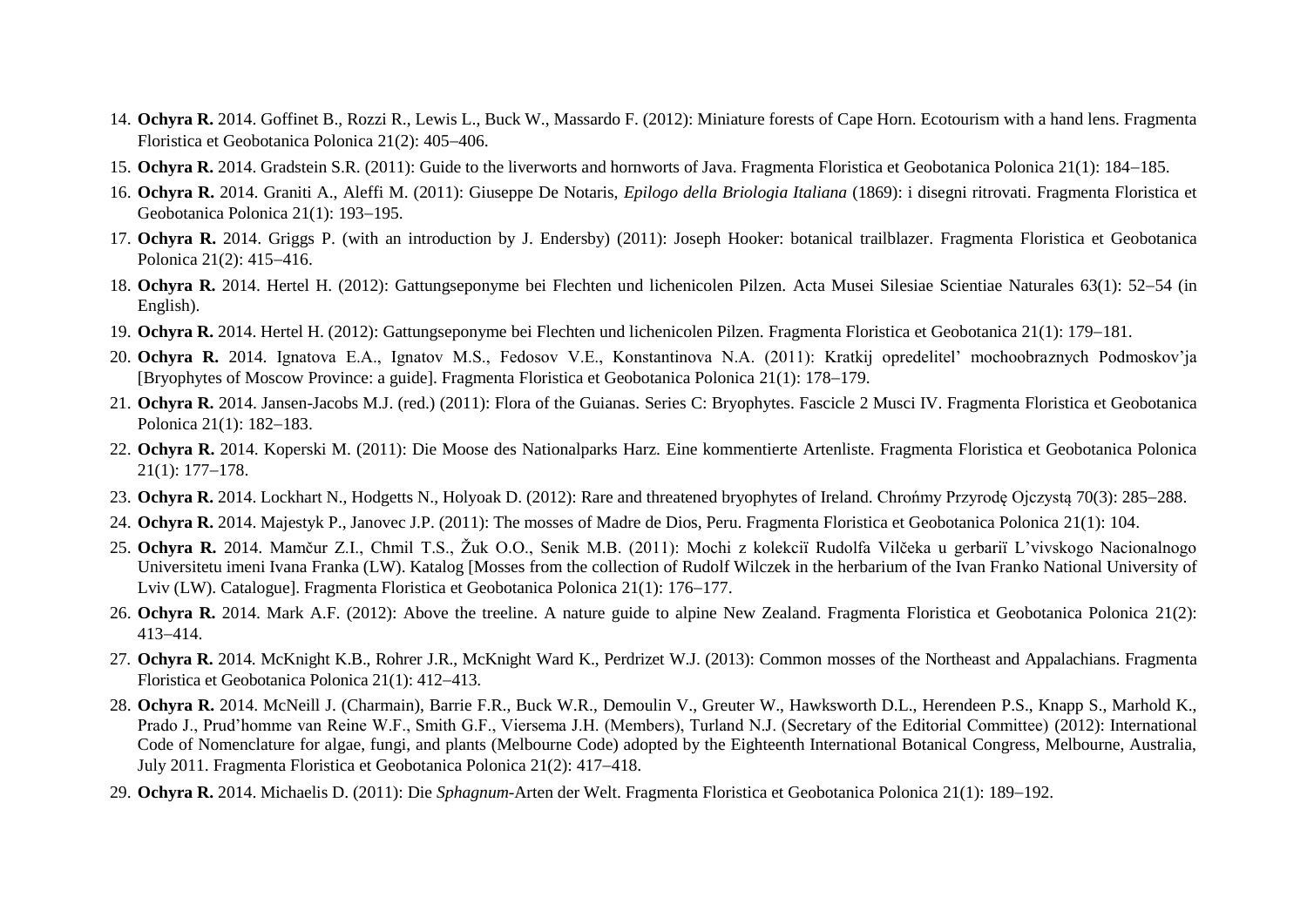- 14. **Ochyra R.** 2014. Goffinet B., Rozzi R., Lewis L., Buck W., Massardo F. (2012): Miniature forests of Cape Horn. Ecotourism with a hand lens. Fragmenta Floristica et Geobotanica Polonica 21(2): 405-406.
- 15. **Ochyra R.** 2014. Gradstein S.R. (2011): Guide to the liverworts and hornworts of Java. Fragmenta Floristica et Geobotanica Polonica 21(1): 184–185.
- 16. **Ochyra R.** 2014. Graniti A., Aleffi M. (2011): Giuseppe De Notaris, *Epilogo della Briologia Italiana* (1869): i disegni ritrovati. Fragmenta Floristica et Geobotanica Polonica 21(1): 193-195.
- 17. **Ochyra R.** 2014. Griggs P. (with an introduction by J. Endersby) (2011): Joseph Hooker: botanical trailblazer. Fragmenta Floristica et Geobotanica Polonica  $21(2)$ :  $415-416$ .
- 18. Ochyra R. 2014. Hertel H. (2012): Gattungseponyme bei Flechten und lichenicolen Pilzen. Acta Musei Silesiae Scientiae Naturales 63(1): 52-54 (in English).
- 19. **Ochyra R.** 2014. Hertel H. (2012): Gattungseponyme bei Flechten und lichenicolen Pilzen. Fragmenta Floristica et Geobotanica 21(1): 179–181.
- 20. **Ochyra R.** 2014. Ignatova E.A., Ignatov M.S., Fedosov V.E., Konstantinova N.A. (2011): Kratkij opredelitel' mochoobraznych Podmoskov'ja [Bryophytes of Moscow Province: a guide]. Fragmenta Floristica et Geobotanica Polonica 21(1): 178–179.
- 21. **Ochyra R.** 2014. Jansen-Jacobs M.J. (red.) (2011): Flora of the Guianas. Series C: Bryophytes. Fascicle 2 Musci IV. Fragmenta Floristica et Geobotanica Polonica 21(1): 182-183.
- 22. **Ochyra R.** 2014. Koperski M. (2011): Die Moose des Nationalparks Harz. Eine kommentierte Artenliste. Fragmenta Floristica et Geobotanica Polonica  $21(1): 177-178.$
- 23. **Ochyra R.** 2014. Lockhart N., Hodgetts N., Holyoak D. (2012): Rare and threatened bryophytes of Ireland. Chrońmy Przyrode Ojczysta 70(3): 285–288.
- 24. **Ochyra R.** 2014. Majestyk P., Janovec J.P. (2011): The mosses of Madre de Dios, Peru. Fragmenta Floristica et Geobotanica Polonica 21(1): 104.
- 25. **Ochyra R.** 2014. Mamčur Z.I., Chmil T.S., Žuk O.O., Senik M.B. (2011): Mochi z kolekciï Rudolfa Vilčeka u gerbariï L'vivskogo Nacionalnogo Universitetu imeni Ivana Franka (LW). Katalog [Mosses from the collection of Rudolf Wilczek in the herbarium of the Ivan Franko National University of Lviv (LW). Cataloguel. Fragmenta Floristica et Geobotanica Polonica 21(1): 176–177.
- 26. **Ochyra R.** 2014. Mark A.F. (2012): Above the treeline. A nature guide to alpine New Zealand. Fragmenta Floristica et Geobotanica Polonica 21(2): 413-414.
- 27. **Ochyra R.** 2014. McKnight K.B., Rohrer J.R., McKnight Ward K., Perdrizet W.J. (2013): Common mosses of the Northeast and Appalachians. Fragmenta Floristica et Geobotanica Polonica 21(1): 412-413.
- 28. **Ochyra R.** 2014. McNeill J. (Charmain), Barrie F.R., Buck W.R., Demoulin V., Greuter W., Hawksworth D.L., Herendeen P.S., Knapp S., Marhold K., Prado J., Prud'homme van Reine W.F., Smith G.F., Viersema J.H. (Members), Turland N.J. (Secretary of the Editorial Committee) (2012): International Code of Nomenclature for algae, fungi, and plants (Melbourne Code) adopted by the Eighteenth International Botanical Congress, Melbourne, Australia, July 2011. Fragmenta Floristica et Geobotanica Polonica 21(2): 417–418.
- 29. Ochyra R. 2014. Michaelis D. (2011): Die *Sphagnum*-Arten der Welt. Fragmenta Floristica et Geobotanica Polonica 21(1): 189–192.